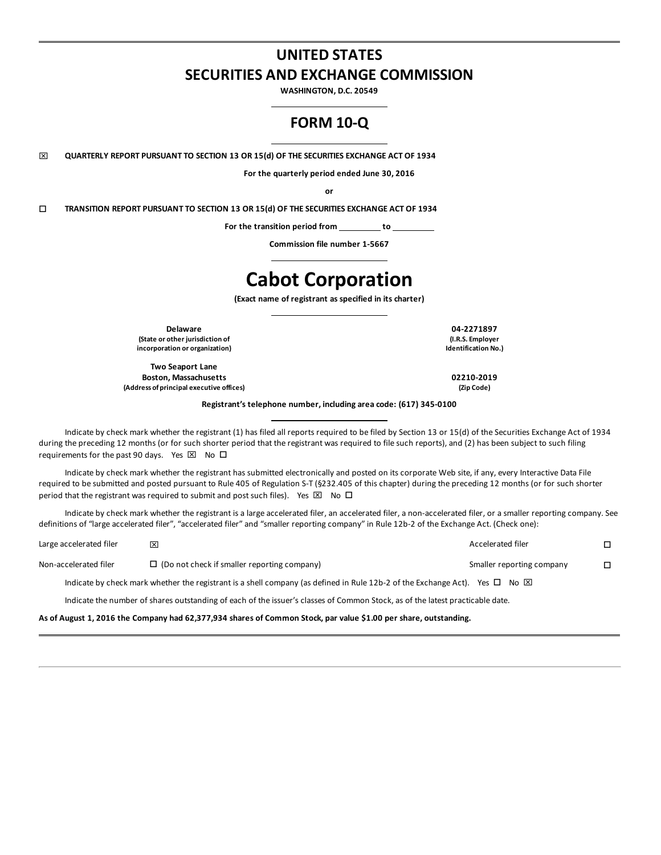# **UNITED STATES SECURITIES AND EXCHANGE COMMISSION**

**WASHINGTON, D.C. 20549**

# **FORM 10-Q**

x **QUARTERLY REPORT PURSUANT TO SECTION 13 OR 15(d) OF THE SECURITIES EXCHANGE ACT OF 1934**

**For the quarterly period ended June 30, 2016**

**or**

o **TRANSITION REPORT PURSUANT TO SECTION 13 OR 15(d) OF THE SECURITIES EXCHANGE ACT OF 1934**

**For the transition period from to**

**Commission file number 1-5667**

# **Cabot Corporation**

**(Exact name of registrant as specified in its charter)**

**Delaware 04-2271897 (State or other jurisdiction of incorporation or organization)**

**Two Seaport Lane Boston, Massachusetts 02210-2019 (Address of principal executive offices) (Zip Code)**

**(I.R.S. Employer Identification No.)**

**Registrant's telephone number, including area code: (617) 345-0100**

Indicate by check mark whether the registrant (1) has filed all reports required to be filed by Section 13 or 15(d) of the Securities Exchange Act of 1934 during the preceding 12 months (or for such shorter period that the registrant was required to file such reports), and (2) has been subject to such filing requirements for the past 90 days. Yes  $\boxtimes$  No  $\square$ 

Indicate by check mark whether the registrant has submitted electronically and posted on its corporate Web site, if any, every Interactive Data File required to be submitted and posted pursuant to Rule 405 of Regulation S-T (§232.405 of this chapter) during the preceding 12 months (or for such shorter period that the registrant was required to submit and post such files). Yes  $\boxtimes$  No  $\square$ 

Indicate by check mark whether the registrant is a large accelerated filer, an accelerated filer, a non-accelerated filer, or a smaller reporting company. See definitions of "large accelerated filer", "accelerated filer" and "smaller reporting company" in Rule 12b-2 of the Exchange Act. (Check one):

| Large accelerated filer | $\overline{\mathbf{x}}$                                                                                                                    | Accelerated filer         | п. |
|-------------------------|--------------------------------------------------------------------------------------------------------------------------------------------|---------------------------|----|
| Non-accelerated filer   | $\Box$ (Do not check if smaller reporting company)                                                                                         | Smaller reporting company | п. |
|                         | Indicate by check mark whether the registrant is a shell company (as defined in Rule 12b-2 of the Exchange Act). Yes $\Box$ No $\boxtimes$ |                           |    |
|                         | Indicate the number of shares outstanding of each of the issuer's classes of Common Stock, as of the latest practicable date.              |                           |    |

As of August 1, 2016 the Company had 62,377,934 shares of Common Stock, par value \$1.00 per share, outstanding.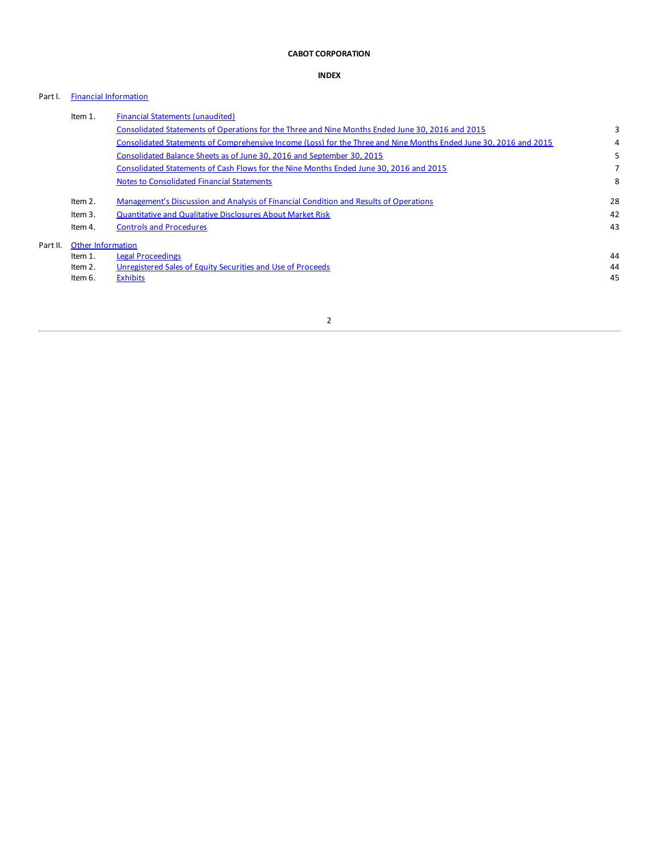# **CABOT CORPORATION**

# **INDEX**

# Part I. Financial [Information](#page-2-0)

|          | Item 1.           | <b>Financial Statements (unaudited)</b>                                                                           |    |
|----------|-------------------|-------------------------------------------------------------------------------------------------------------------|----|
|          |                   | Consolidated Statements of Operations for the Three and Nine Months Ended June 30, 2016 and 2015                  | 3  |
|          |                   | Consolidated Statements of Comprehensive Income (Loss) for the Three and Nine Months Ended June 30, 2016 and 2015 | 4  |
|          |                   | Consolidated Balance Sheets as of June 30, 2016 and September 30, 2015                                            | 5  |
|          |                   | Consolidated Statements of Cash Flows for the Nine Months Ended June 30, 2016 and 2015                            |    |
|          |                   | <b>Notes to Consolidated Financial Statements</b>                                                                 | 8  |
|          | Item 2.           | Management's Discussion and Analysis of Financial Condition and Results of Operations                             | 28 |
|          | Item 3.           | <b>Quantitative and Qualitative Disclosures About Market Risk</b>                                                 | 42 |
|          | Item 4.           | <b>Controls and Procedures</b>                                                                                    | 43 |
| Part II. | Other Information |                                                                                                                   |    |
|          | Item 1.           | Legal Proceedings                                                                                                 | 44 |
|          | Item 2.           | Unregistered Sales of Equity Securities and Use of Proceeds                                                       | 44 |
|          | Item 6.           | <b>Exhibits</b>                                                                                                   | 45 |
|          |                   |                                                                                                                   |    |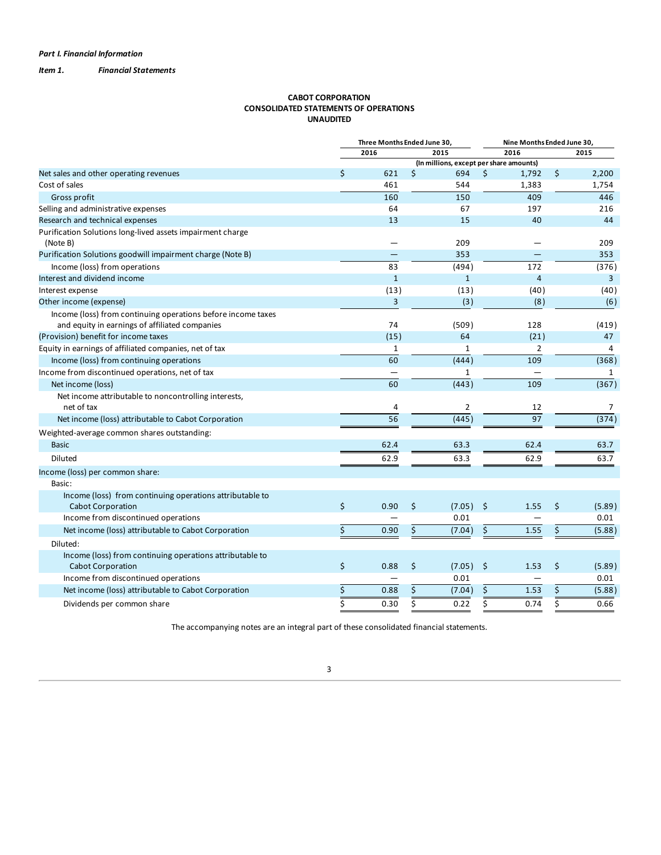<span id="page-2-0"></span>*Item 1. Financial Statements*

# **CABOT CORPORATION CONSOLIDATED STATEMENTS OF OPERATIONS UNAUDITED**

|                                                              |              | Three Months Ended June 30,             |    | Nine Months Ended June 30, |    |                |  |
|--------------------------------------------------------------|--------------|-----------------------------------------|----|----------------------------|----|----------------|--|
|                                                              | 2016         | 2015                                    |    | 2016                       |    | 2015           |  |
|                                                              |              | (In millions, except per share amounts) |    |                            |    |                |  |
| Net sales and other operating revenues                       | \$<br>621    | Ś.<br>694                               | Ś. | 1,792                      | \$ | 2,200          |  |
| Cost of sales                                                | 461          | 544                                     |    | 1,383                      |    | 1,754          |  |
| Gross profit                                                 | 160          | 150                                     |    | 409                        |    | 446            |  |
| Selling and administrative expenses                          | 64           | 67                                      |    | 197                        |    | 216            |  |
| Research and technical expenses                              | 13           | 15                                      |    | 40                         |    | 44             |  |
| Purification Solutions long-lived assets impairment charge   |              |                                         |    |                            |    |                |  |
| (Note B)                                                     |              | 209                                     |    |                            |    | 209            |  |
| Purification Solutions goodwill impairment charge (Note B)   |              | 353                                     |    |                            |    | 353            |  |
| Income (loss) from operations                                | 83           | (494)                                   |    | 172                        |    | (376)          |  |
| Interest and dividend income                                 | $\mathbf{1}$ | $\mathbf{1}$                            |    | $\overline{4}$             |    | $\overline{3}$ |  |
| Interest expense                                             | (13)         | (13)                                    |    | (40)                       |    | (40)           |  |
| Other income (expense)                                       | 3            | (3)                                     |    | (8)                        |    | (6)            |  |
| Income (loss) from continuing operations before income taxes |              |                                         |    |                            |    |                |  |
| and equity in earnings of affiliated companies               | 74           | (509)                                   |    | 128                        |    | (419)          |  |
| (Provision) benefit for income taxes                         | (15)         | 64                                      |    | (21)                       |    | 47             |  |
| Equity in earnings of affiliated companies, net of tax       | 1            | $\mathbf{1}$                            |    | 2                          |    | 4              |  |
| Income (loss) from continuing operations                     | 60           | (444)                                   |    | 109                        |    | (368)          |  |
| Income from discontinued operations, net of tax              |              | 1                                       |    |                            |    | 1              |  |
| Net income (loss)                                            | 60           | (443)                                   |    | 109                        |    | (367)          |  |
| Net income attributable to noncontrolling interests,         |              |                                         |    |                            |    |                |  |
| net of tax                                                   | 4            | $\overline{2}$                          |    | 12                         |    | 7              |  |
| Net income (loss) attributable to Cabot Corporation          | 56           | (445)                                   |    | 97                         |    | (374)          |  |
| Weighted-average common shares outstanding:                  |              |                                         |    |                            |    |                |  |
| <b>Basic</b>                                                 | 62.4         | 63.3                                    |    | 62.4                       |    | 63.7           |  |
| Diluted                                                      | 62.9         | 63.3                                    |    | 62.9                       |    | 63.7           |  |
| Income (loss) per common share:                              |              |                                         |    |                            |    |                |  |
| Basic:                                                       |              |                                         |    |                            |    |                |  |
| Income (loss) from continuing operations attributable to     |              |                                         |    |                            |    |                |  |
| <b>Cabot Corporation</b>                                     | \$<br>0.90   | \$<br>(7.05)                            | Ŝ. | 1.55                       | \$ | (5.89)         |  |
| Income from discontinued operations                          |              | 0.01                                    |    |                            |    | 0.01           |  |
| Net income (loss) attributable to Cabot Corporation          | \$<br>0.90   | \$<br>(7.04)                            | \$ | 1.55                       | \$ | (5.88)         |  |
| Diluted:                                                     |              |                                         |    |                            |    |                |  |
| Income (loss) from continuing operations attributable to     |              |                                         |    |                            |    |                |  |
| <b>Cabot Corporation</b>                                     | \$<br>0.88   | \$<br>(7.05)                            | \$ | 1.53                       | \$ | (5.89)         |  |
| Income from discontinued operations                          |              | 0.01                                    |    |                            |    | 0.01           |  |
| Net income (loss) attributable to Cabot Corporation          | \$<br>0.88   | \$<br>(7.04)                            | \$ | 1.53                       | \$ | (5.88)         |  |
|                                                              |              |                                         |    |                            |    |                |  |
| Dividends per common share                                   | \$<br>0.30   | \$<br>0.22                              | \$ | 0.74                       | \$ | 0.66           |  |

The accompanying notes are an integral part of these consolidated financial statements.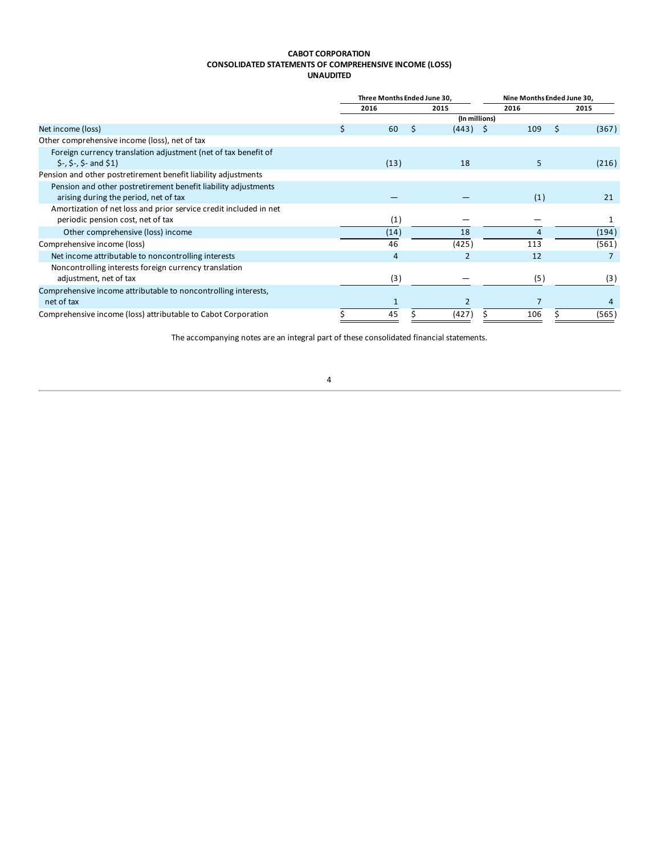# **CABOT CORPORATION CONSOLIDATED STATEMENTS OF COMPREHENSIVE INCOME (LOSS) UNAUDITED**

<span id="page-3-0"></span>

|                                                                                                 | Three Months Ended June 30, |  | Nine Months Ended June 30, |   |      |   |       |  |
|-------------------------------------------------------------------------------------------------|-----------------------------|--|----------------------------|---|------|---|-------|--|
|                                                                                                 | 2016                        |  | 2015                       |   | 2016 |   | 2015  |  |
|                                                                                                 |                             |  | (In millions)              |   |      |   |       |  |
| Net income (loss)                                                                               | 60                          |  | (443)                      | S | 109  | S | (367) |  |
| Other comprehensive income (loss), net of tax                                                   |                             |  |                            |   |      |   |       |  |
| Foreign currency translation adjustment (net of tax benefit of                                  |                             |  |                            |   |      |   |       |  |
| $\frac{1}{2}$ , $\frac{1}{2}$ , $\frac{1}{2}$ , $\frac{1}{2}$ , $\frac{1}{2}$ and $\frac{1}{2}$ | (13)                        |  | 18                         |   | 5    |   | (216) |  |
| Pension and other postretirement benefit liability adjustments                                  |                             |  |                            |   |      |   |       |  |
| Pension and other postretirement benefit liability adjustments                                  |                             |  |                            |   |      |   |       |  |
| arising during the period, net of tax                                                           |                             |  |                            |   | (1)  |   | 21    |  |
| Amortization of net loss and prior service credit included in net                               |                             |  |                            |   |      |   |       |  |
| periodic pension cost, net of tax                                                               | (1)                         |  |                            |   |      |   |       |  |
| Other comprehensive (loss) income                                                               | (14)                        |  | 18                         |   | 4    |   | (194) |  |
| Comprehensive income (loss)                                                                     | 46                          |  | (425)                      |   | 113  |   | (561) |  |
| Net income attributable to noncontrolling interests                                             | 4                           |  |                            |   | 12   |   |       |  |
| Noncontrolling interests foreign currency translation                                           |                             |  |                            |   |      |   |       |  |
| adjustment, net of tax                                                                          | (3)                         |  |                            |   | (5)  |   | (3)   |  |
| Comprehensive income attributable to noncontrolling interests,                                  |                             |  |                            |   |      |   |       |  |
| net of tax                                                                                      |                             |  |                            |   |      |   |       |  |
| Comprehensive income (loss) attributable to Cabot Corporation                                   | 45                          |  | (427)                      | Ś | 106  |   | (565) |  |

The accompanying notes are an integral part of these consolidated financial statements.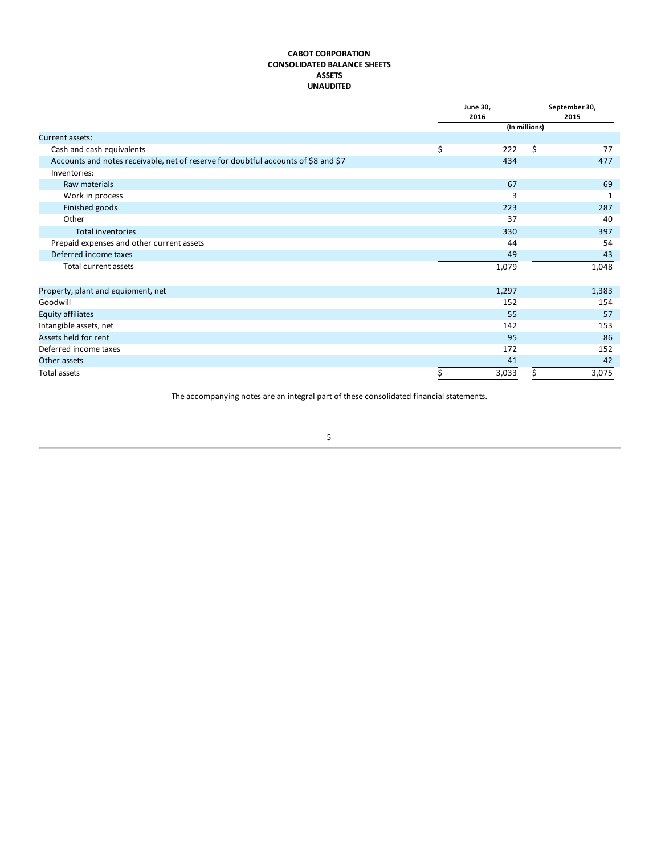# **CABOT CORPORATION CONSOLIDATED BALANCE SHEETS ASSETS UNAUDITED**

<span id="page-4-0"></span>

|                                                                                    | <b>June 30,</b><br>2016 | September 30,<br>2015 |  |  |
|------------------------------------------------------------------------------------|-------------------------|-----------------------|--|--|
|                                                                                    |                         | (In millions)         |  |  |
| Current assets:                                                                    |                         |                       |  |  |
| Cash and cash equivalents                                                          | \$<br>222               | \$<br>77              |  |  |
| Accounts and notes receivable, net of reserve for doubtful accounts of \$8 and \$7 | 434                     | 477                   |  |  |
| Inventories:                                                                       |                         |                       |  |  |
| Raw materials                                                                      | 67                      | 69                    |  |  |
| Work in process                                                                    | 3                       | 1                     |  |  |
| Finished goods                                                                     | 223                     | 287                   |  |  |
| Other                                                                              | 37                      | 40                    |  |  |
| <b>Total inventories</b>                                                           | 330                     | 397                   |  |  |
| Prepaid expenses and other current assets                                          | 44                      | 54                    |  |  |
| Deferred income taxes                                                              | 49                      | 43                    |  |  |
| Total current assets                                                               | 1,079                   | 1,048                 |  |  |
|                                                                                    |                         |                       |  |  |
| Property, plant and equipment, net                                                 | 1,297                   | 1,383                 |  |  |
| Goodwill                                                                           | 152                     | 154                   |  |  |
| <b>Equity affiliates</b>                                                           | 55                      | 57                    |  |  |
| Intangible assets, net                                                             | 142                     | 153                   |  |  |
| Assets held for rent                                                               | 95                      | 86                    |  |  |
| Deferred income taxes                                                              | 172                     | 152                   |  |  |
| Other assets                                                                       | 41                      | 42                    |  |  |
| <b>Total assets</b>                                                                | 3,033                   | 3,075<br>S            |  |  |

The accompanying notes are an integral part of these consolidated financial statements.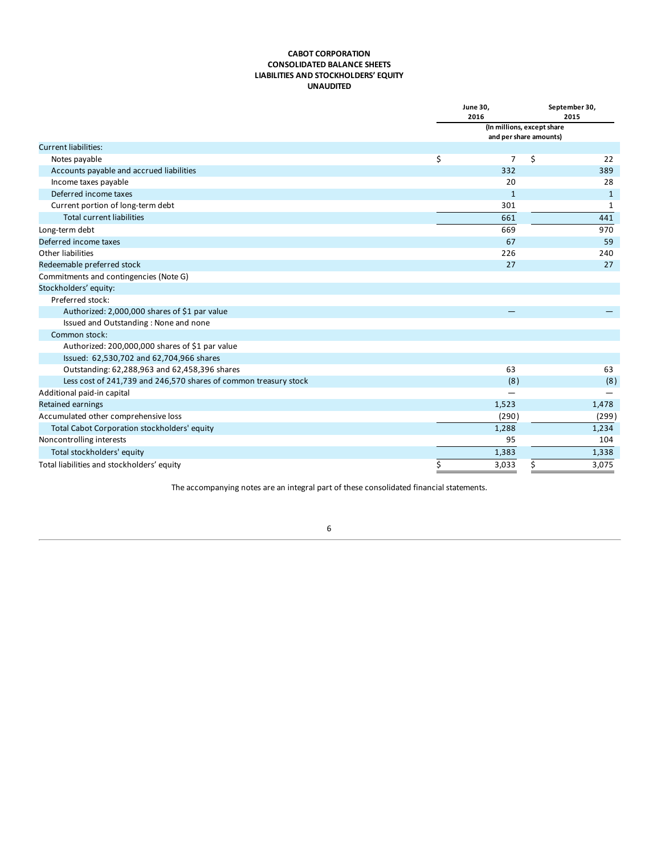# **CABOT CORPORATION CONSOLIDATED BALANCE SHEETS LIABILITIES AND STOCKHOLDERS' EQUITY UNAUDITED**

|                                                                  | <b>June 30,</b><br>2016                              | September 30,<br>2015 |
|------------------------------------------------------------------|------------------------------------------------------|-----------------------|
|                                                                  | (In millions, except share<br>and per share amounts) |                       |
| <b>Current liabilities:</b>                                      |                                                      |                       |
| Notes payable                                                    | \$<br>\$<br>$\overline{7}$                           | 22                    |
| Accounts payable and accrued liabilities                         | 332                                                  | 389                   |
| Income taxes payable                                             | 20                                                   | 28                    |
| Deferred income taxes                                            | $\mathbf{1}$                                         | $\mathbf{1}$          |
| Current portion of long-term debt                                | 301                                                  | 1                     |
| <b>Total current liabilities</b>                                 | 661                                                  | 441                   |
| Long-term debt                                                   | 669                                                  | 970                   |
| Deferred income taxes                                            | 67                                                   | 59                    |
| Other liabilities                                                | 226                                                  | 240                   |
| Redeemable preferred stock                                       | 27                                                   | 27                    |
| Commitments and contingencies (Note G)                           |                                                      |                       |
| Stockholders' equity:                                            |                                                      |                       |
| Preferred stock:                                                 |                                                      |                       |
| Authorized: 2,000,000 shares of \$1 par value                    |                                                      |                       |
| Issued and Outstanding: None and none                            |                                                      |                       |
| Common stock:                                                    |                                                      |                       |
| Authorized: 200,000,000 shares of \$1 par value                  |                                                      |                       |
| Issued: 62,530,702 and 62,704,966 shares                         |                                                      |                       |
| Outstanding: 62,288,963 and 62,458,396 shares                    | 63                                                   | 63                    |
| Less cost of 241,739 and 246,570 shares of common treasury stock | (8)                                                  | (8)                   |
| Additional paid-in capital                                       |                                                      |                       |
| Retained earnings                                                | 1,523                                                | 1,478                 |
| Accumulated other comprehensive loss                             | (290)                                                | (299)                 |
| Total Cabot Corporation stockholders' equity                     | 1,288                                                | 1,234                 |
| Noncontrolling interests                                         | 95                                                   | 104                   |
| Total stockholders' equity                                       | 1,383                                                | 1,338                 |
| Total liabilities and stockholders' equity                       | \$<br>\$<br>3,033                                    | 3,075                 |

The accompanying notes are an integral part of these consolidated financial statements.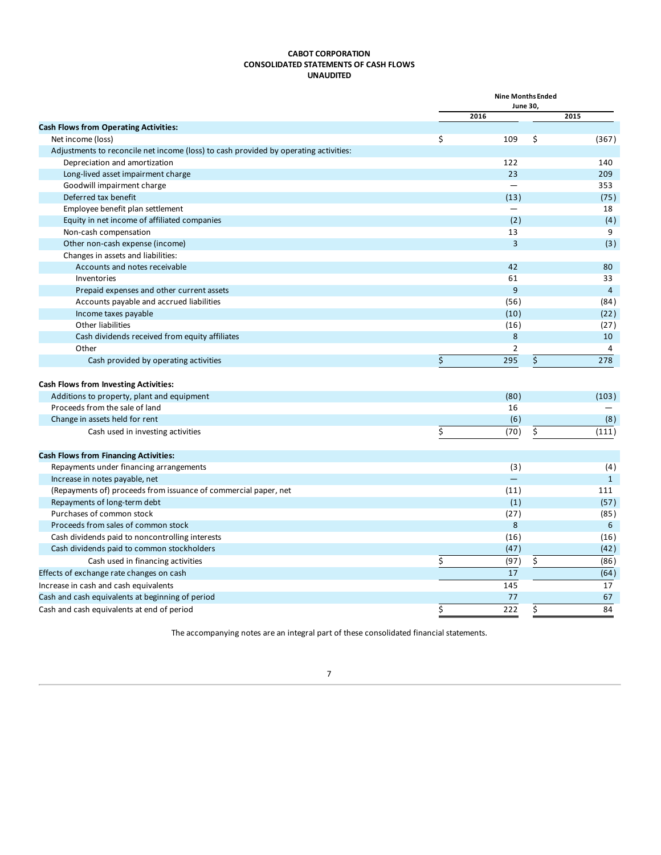# **CABOT CORPORATION CONSOLIDATED STATEMENTS OF CASH FLOWS UNAUDITED**

<span id="page-6-0"></span>

| 2016<br>2015<br><b>Cash Flows from Operating Activities:</b><br>\$<br>\$<br>Net income (loss)<br>109<br>(367)<br>Adjustments to reconcile net income (loss) to cash provided by operating activities:<br>122<br>Depreciation and amortization<br>140<br>23<br>209<br>Long-lived asset impairment charge<br>353<br>Goodwill impairment charge<br>Deferred tax benefit<br>(13)<br>Employee benefit plan settlement<br>18<br>(2)<br>(4)<br>Equity in net income of affiliated companies<br>13<br>9<br>Non-cash compensation<br>$\overline{3}$<br>Other non-cash expense (income)<br>Changes in assets and liabilities:<br>Accounts and notes receivable<br>42<br>80<br>61<br>33<br>Inventories<br>9<br>$\overline{4}$<br>Prepaid expenses and other current assets<br>Accounts payable and accrued liabilities<br>(56)<br>Income taxes payable<br>(10)<br>Other liabilities<br>(16)<br>(27)<br>8<br>Cash dividends received from equity affiliates<br>10<br>Other<br>$\overline{2}$<br>$\overline{4}$<br>\$<br>295<br>\$<br>278<br>Cash provided by operating activities<br><b>Cash Flows from Investing Activities:</b><br>Additions to property, plant and equipment<br>(80)<br>(103)<br>Proceeds from the sale of land<br>16<br>Change in assets held for rent<br>(6)<br>(8)<br>\$<br>(70)<br>\$<br>(111)<br>Cash used in investing activities<br><b>Cash Flows from Financing Activities:</b><br>Repayments under financing arrangements<br>(3)<br>(4)<br>Increase in notes payable, net<br>1<br>$\equiv$<br>(Repayments of) proceeds from issuance of commercial paper, net<br>111<br>(11)<br>Repayments of long-term debt<br>(57)<br>(1)<br>Purchases of common stock<br>(27)<br>(85)<br>Proceeds from sales of common stock<br>8<br>6<br>(16)<br>Cash dividends paid to noncontrolling interests<br>Cash dividends paid to common stockholders<br>(47)<br>(42)<br>\$<br>$\overline{(86)}$<br>(97)<br>\$<br>Cash used in financing activities<br>17<br>(64)<br>Effects of exchange rate changes on cash<br>145<br>Increase in cash and cash equivalents<br>17<br>67<br>Cash and cash equivalents at beginning of period<br>77<br>\$<br>222<br>\$<br>84<br>Cash and cash equivalents at end of period |  | <b>Nine Months Ended</b><br><b>June 30,</b> |  |
|---------------------------------------------------------------------------------------------------------------------------------------------------------------------------------------------------------------------------------------------------------------------------------------------------------------------------------------------------------------------------------------------------------------------------------------------------------------------------------------------------------------------------------------------------------------------------------------------------------------------------------------------------------------------------------------------------------------------------------------------------------------------------------------------------------------------------------------------------------------------------------------------------------------------------------------------------------------------------------------------------------------------------------------------------------------------------------------------------------------------------------------------------------------------------------------------------------------------------------------------------------------------------------------------------------------------------------------------------------------------------------------------------------------------------------------------------------------------------------------------------------------------------------------------------------------------------------------------------------------------------------------------------------------------------------------------------------------------------------------------------------------------------------------------------------------------------------------------------------------------------------------------------------------------------------------------------------------------------------------------------------------------------------------------------------------------------------------------------------------------------------------------------------------------------------------------------------|--|---------------------------------------------|--|
|                                                                                                                                                                                                                                                                                                                                                                                                                                                                                                                                                                                                                                                                                                                                                                                                                                                                                                                                                                                                                                                                                                                                                                                                                                                                                                                                                                                                                                                                                                                                                                                                                                                                                                                                                                                                                                                                                                                                                                                                                                                                                                                                                                                                         |  |                                             |  |
| (75)<br>(3)<br>(84)<br>(22)<br>(16)                                                                                                                                                                                                                                                                                                                                                                                                                                                                                                                                                                                                                                                                                                                                                                                                                                                                                                                                                                                                                                                                                                                                                                                                                                                                                                                                                                                                                                                                                                                                                                                                                                                                                                                                                                                                                                                                                                                                                                                                                                                                                                                                                                     |  |                                             |  |
|                                                                                                                                                                                                                                                                                                                                                                                                                                                                                                                                                                                                                                                                                                                                                                                                                                                                                                                                                                                                                                                                                                                                                                                                                                                                                                                                                                                                                                                                                                                                                                                                                                                                                                                                                                                                                                                                                                                                                                                                                                                                                                                                                                                                         |  |                                             |  |
|                                                                                                                                                                                                                                                                                                                                                                                                                                                                                                                                                                                                                                                                                                                                                                                                                                                                                                                                                                                                                                                                                                                                                                                                                                                                                                                                                                                                                                                                                                                                                                                                                                                                                                                                                                                                                                                                                                                                                                                                                                                                                                                                                                                                         |  |                                             |  |
|                                                                                                                                                                                                                                                                                                                                                                                                                                                                                                                                                                                                                                                                                                                                                                                                                                                                                                                                                                                                                                                                                                                                                                                                                                                                                                                                                                                                                                                                                                                                                                                                                                                                                                                                                                                                                                                                                                                                                                                                                                                                                                                                                                                                         |  |                                             |  |
|                                                                                                                                                                                                                                                                                                                                                                                                                                                                                                                                                                                                                                                                                                                                                                                                                                                                                                                                                                                                                                                                                                                                                                                                                                                                                                                                                                                                                                                                                                                                                                                                                                                                                                                                                                                                                                                                                                                                                                                                                                                                                                                                                                                                         |  |                                             |  |
|                                                                                                                                                                                                                                                                                                                                                                                                                                                                                                                                                                                                                                                                                                                                                                                                                                                                                                                                                                                                                                                                                                                                                                                                                                                                                                                                                                                                                                                                                                                                                                                                                                                                                                                                                                                                                                                                                                                                                                                                                                                                                                                                                                                                         |  |                                             |  |
|                                                                                                                                                                                                                                                                                                                                                                                                                                                                                                                                                                                                                                                                                                                                                                                                                                                                                                                                                                                                                                                                                                                                                                                                                                                                                                                                                                                                                                                                                                                                                                                                                                                                                                                                                                                                                                                                                                                                                                                                                                                                                                                                                                                                         |  |                                             |  |
|                                                                                                                                                                                                                                                                                                                                                                                                                                                                                                                                                                                                                                                                                                                                                                                                                                                                                                                                                                                                                                                                                                                                                                                                                                                                                                                                                                                                                                                                                                                                                                                                                                                                                                                                                                                                                                                                                                                                                                                                                                                                                                                                                                                                         |  |                                             |  |
|                                                                                                                                                                                                                                                                                                                                                                                                                                                                                                                                                                                                                                                                                                                                                                                                                                                                                                                                                                                                                                                                                                                                                                                                                                                                                                                                                                                                                                                                                                                                                                                                                                                                                                                                                                                                                                                                                                                                                                                                                                                                                                                                                                                                         |  |                                             |  |
|                                                                                                                                                                                                                                                                                                                                                                                                                                                                                                                                                                                                                                                                                                                                                                                                                                                                                                                                                                                                                                                                                                                                                                                                                                                                                                                                                                                                                                                                                                                                                                                                                                                                                                                                                                                                                                                                                                                                                                                                                                                                                                                                                                                                         |  |                                             |  |
|                                                                                                                                                                                                                                                                                                                                                                                                                                                                                                                                                                                                                                                                                                                                                                                                                                                                                                                                                                                                                                                                                                                                                                                                                                                                                                                                                                                                                                                                                                                                                                                                                                                                                                                                                                                                                                                                                                                                                                                                                                                                                                                                                                                                         |  |                                             |  |
|                                                                                                                                                                                                                                                                                                                                                                                                                                                                                                                                                                                                                                                                                                                                                                                                                                                                                                                                                                                                                                                                                                                                                                                                                                                                                                                                                                                                                                                                                                                                                                                                                                                                                                                                                                                                                                                                                                                                                                                                                                                                                                                                                                                                         |  |                                             |  |
|                                                                                                                                                                                                                                                                                                                                                                                                                                                                                                                                                                                                                                                                                                                                                                                                                                                                                                                                                                                                                                                                                                                                                                                                                                                                                                                                                                                                                                                                                                                                                                                                                                                                                                                                                                                                                                                                                                                                                                                                                                                                                                                                                                                                         |  |                                             |  |
|                                                                                                                                                                                                                                                                                                                                                                                                                                                                                                                                                                                                                                                                                                                                                                                                                                                                                                                                                                                                                                                                                                                                                                                                                                                                                                                                                                                                                                                                                                                                                                                                                                                                                                                                                                                                                                                                                                                                                                                                                                                                                                                                                                                                         |  |                                             |  |
|                                                                                                                                                                                                                                                                                                                                                                                                                                                                                                                                                                                                                                                                                                                                                                                                                                                                                                                                                                                                                                                                                                                                                                                                                                                                                                                                                                                                                                                                                                                                                                                                                                                                                                                                                                                                                                                                                                                                                                                                                                                                                                                                                                                                         |  |                                             |  |
|                                                                                                                                                                                                                                                                                                                                                                                                                                                                                                                                                                                                                                                                                                                                                                                                                                                                                                                                                                                                                                                                                                                                                                                                                                                                                                                                                                                                                                                                                                                                                                                                                                                                                                                                                                                                                                                                                                                                                                                                                                                                                                                                                                                                         |  |                                             |  |
|                                                                                                                                                                                                                                                                                                                                                                                                                                                                                                                                                                                                                                                                                                                                                                                                                                                                                                                                                                                                                                                                                                                                                                                                                                                                                                                                                                                                                                                                                                                                                                                                                                                                                                                                                                                                                                                                                                                                                                                                                                                                                                                                                                                                         |  |                                             |  |
|                                                                                                                                                                                                                                                                                                                                                                                                                                                                                                                                                                                                                                                                                                                                                                                                                                                                                                                                                                                                                                                                                                                                                                                                                                                                                                                                                                                                                                                                                                                                                                                                                                                                                                                                                                                                                                                                                                                                                                                                                                                                                                                                                                                                         |  |                                             |  |
|                                                                                                                                                                                                                                                                                                                                                                                                                                                                                                                                                                                                                                                                                                                                                                                                                                                                                                                                                                                                                                                                                                                                                                                                                                                                                                                                                                                                                                                                                                                                                                                                                                                                                                                                                                                                                                                                                                                                                                                                                                                                                                                                                                                                         |  |                                             |  |
|                                                                                                                                                                                                                                                                                                                                                                                                                                                                                                                                                                                                                                                                                                                                                                                                                                                                                                                                                                                                                                                                                                                                                                                                                                                                                                                                                                                                                                                                                                                                                                                                                                                                                                                                                                                                                                                                                                                                                                                                                                                                                                                                                                                                         |  |                                             |  |
|                                                                                                                                                                                                                                                                                                                                                                                                                                                                                                                                                                                                                                                                                                                                                                                                                                                                                                                                                                                                                                                                                                                                                                                                                                                                                                                                                                                                                                                                                                                                                                                                                                                                                                                                                                                                                                                                                                                                                                                                                                                                                                                                                                                                         |  |                                             |  |
|                                                                                                                                                                                                                                                                                                                                                                                                                                                                                                                                                                                                                                                                                                                                                                                                                                                                                                                                                                                                                                                                                                                                                                                                                                                                                                                                                                                                                                                                                                                                                                                                                                                                                                                                                                                                                                                                                                                                                                                                                                                                                                                                                                                                         |  |                                             |  |
|                                                                                                                                                                                                                                                                                                                                                                                                                                                                                                                                                                                                                                                                                                                                                                                                                                                                                                                                                                                                                                                                                                                                                                                                                                                                                                                                                                                                                                                                                                                                                                                                                                                                                                                                                                                                                                                                                                                                                                                                                                                                                                                                                                                                         |  |                                             |  |
|                                                                                                                                                                                                                                                                                                                                                                                                                                                                                                                                                                                                                                                                                                                                                                                                                                                                                                                                                                                                                                                                                                                                                                                                                                                                                                                                                                                                                                                                                                                                                                                                                                                                                                                                                                                                                                                                                                                                                                                                                                                                                                                                                                                                         |  |                                             |  |
|                                                                                                                                                                                                                                                                                                                                                                                                                                                                                                                                                                                                                                                                                                                                                                                                                                                                                                                                                                                                                                                                                                                                                                                                                                                                                                                                                                                                                                                                                                                                                                                                                                                                                                                                                                                                                                                                                                                                                                                                                                                                                                                                                                                                         |  |                                             |  |
|                                                                                                                                                                                                                                                                                                                                                                                                                                                                                                                                                                                                                                                                                                                                                                                                                                                                                                                                                                                                                                                                                                                                                                                                                                                                                                                                                                                                                                                                                                                                                                                                                                                                                                                                                                                                                                                                                                                                                                                                                                                                                                                                                                                                         |  |                                             |  |
|                                                                                                                                                                                                                                                                                                                                                                                                                                                                                                                                                                                                                                                                                                                                                                                                                                                                                                                                                                                                                                                                                                                                                                                                                                                                                                                                                                                                                                                                                                                                                                                                                                                                                                                                                                                                                                                                                                                                                                                                                                                                                                                                                                                                         |  |                                             |  |
|                                                                                                                                                                                                                                                                                                                                                                                                                                                                                                                                                                                                                                                                                                                                                                                                                                                                                                                                                                                                                                                                                                                                                                                                                                                                                                                                                                                                                                                                                                                                                                                                                                                                                                                                                                                                                                                                                                                                                                                                                                                                                                                                                                                                         |  |                                             |  |
|                                                                                                                                                                                                                                                                                                                                                                                                                                                                                                                                                                                                                                                                                                                                                                                                                                                                                                                                                                                                                                                                                                                                                                                                                                                                                                                                                                                                                                                                                                                                                                                                                                                                                                                                                                                                                                                                                                                                                                                                                                                                                                                                                                                                         |  |                                             |  |
|                                                                                                                                                                                                                                                                                                                                                                                                                                                                                                                                                                                                                                                                                                                                                                                                                                                                                                                                                                                                                                                                                                                                                                                                                                                                                                                                                                                                                                                                                                                                                                                                                                                                                                                                                                                                                                                                                                                                                                                                                                                                                                                                                                                                         |  |                                             |  |
|                                                                                                                                                                                                                                                                                                                                                                                                                                                                                                                                                                                                                                                                                                                                                                                                                                                                                                                                                                                                                                                                                                                                                                                                                                                                                                                                                                                                                                                                                                                                                                                                                                                                                                                                                                                                                                                                                                                                                                                                                                                                                                                                                                                                         |  |                                             |  |
|                                                                                                                                                                                                                                                                                                                                                                                                                                                                                                                                                                                                                                                                                                                                                                                                                                                                                                                                                                                                                                                                                                                                                                                                                                                                                                                                                                                                                                                                                                                                                                                                                                                                                                                                                                                                                                                                                                                                                                                                                                                                                                                                                                                                         |  |                                             |  |
|                                                                                                                                                                                                                                                                                                                                                                                                                                                                                                                                                                                                                                                                                                                                                                                                                                                                                                                                                                                                                                                                                                                                                                                                                                                                                                                                                                                                                                                                                                                                                                                                                                                                                                                                                                                                                                                                                                                                                                                                                                                                                                                                                                                                         |  |                                             |  |
|                                                                                                                                                                                                                                                                                                                                                                                                                                                                                                                                                                                                                                                                                                                                                                                                                                                                                                                                                                                                                                                                                                                                                                                                                                                                                                                                                                                                                                                                                                                                                                                                                                                                                                                                                                                                                                                                                                                                                                                                                                                                                                                                                                                                         |  |                                             |  |
|                                                                                                                                                                                                                                                                                                                                                                                                                                                                                                                                                                                                                                                                                                                                                                                                                                                                                                                                                                                                                                                                                                                                                                                                                                                                                                                                                                                                                                                                                                                                                                                                                                                                                                                                                                                                                                                                                                                                                                                                                                                                                                                                                                                                         |  |                                             |  |
|                                                                                                                                                                                                                                                                                                                                                                                                                                                                                                                                                                                                                                                                                                                                                                                                                                                                                                                                                                                                                                                                                                                                                                                                                                                                                                                                                                                                                                                                                                                                                                                                                                                                                                                                                                                                                                                                                                                                                                                                                                                                                                                                                                                                         |  |                                             |  |
|                                                                                                                                                                                                                                                                                                                                                                                                                                                                                                                                                                                                                                                                                                                                                                                                                                                                                                                                                                                                                                                                                                                                                                                                                                                                                                                                                                                                                                                                                                                                                                                                                                                                                                                                                                                                                                                                                                                                                                                                                                                                                                                                                                                                         |  |                                             |  |
|                                                                                                                                                                                                                                                                                                                                                                                                                                                                                                                                                                                                                                                                                                                                                                                                                                                                                                                                                                                                                                                                                                                                                                                                                                                                                                                                                                                                                                                                                                                                                                                                                                                                                                                                                                                                                                                                                                                                                                                                                                                                                                                                                                                                         |  |                                             |  |
|                                                                                                                                                                                                                                                                                                                                                                                                                                                                                                                                                                                                                                                                                                                                                                                                                                                                                                                                                                                                                                                                                                                                                                                                                                                                                                                                                                                                                                                                                                                                                                                                                                                                                                                                                                                                                                                                                                                                                                                                                                                                                                                                                                                                         |  |                                             |  |
|                                                                                                                                                                                                                                                                                                                                                                                                                                                                                                                                                                                                                                                                                                                                                                                                                                                                                                                                                                                                                                                                                                                                                                                                                                                                                                                                                                                                                                                                                                                                                                                                                                                                                                                                                                                                                                                                                                                                                                                                                                                                                                                                                                                                         |  |                                             |  |
|                                                                                                                                                                                                                                                                                                                                                                                                                                                                                                                                                                                                                                                                                                                                                                                                                                                                                                                                                                                                                                                                                                                                                                                                                                                                                                                                                                                                                                                                                                                                                                                                                                                                                                                                                                                                                                                                                                                                                                                                                                                                                                                                                                                                         |  |                                             |  |

The accompanying notes are an integral part of these consolidated financial statements.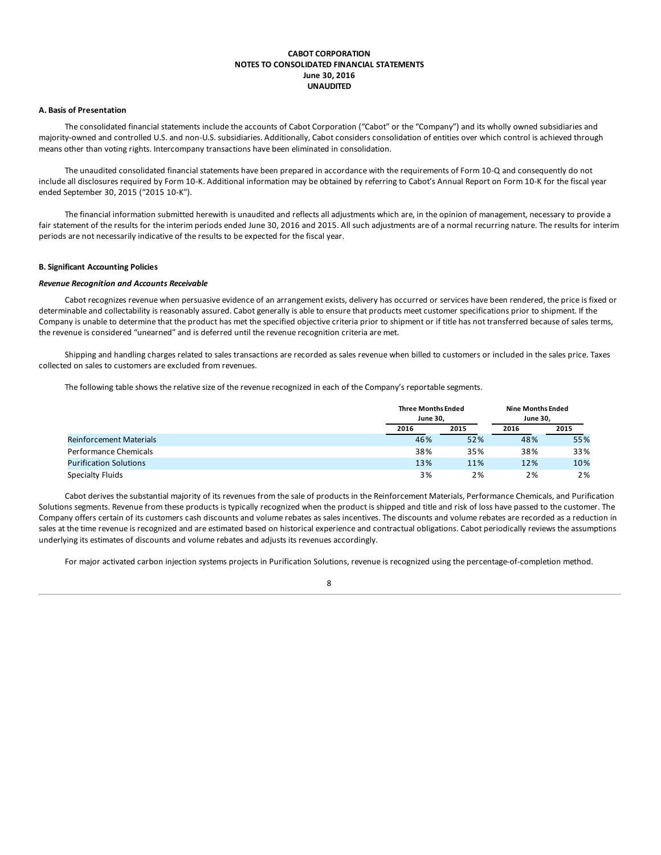## **CABOT CORPORATION NOTES TO CONSOLIDATED FINANCIAL STATEMENTS June 30, 2016 UNAUDITED**

### <span id="page-7-0"></span>**A. Basis of Presentation**

The consolidated financial statements include the accounts of Cabot Corporation ("Cabot" or the "Company") and its wholly owned subsidiaries and majority-owned and controlled U.S. and non-U.S. subsidiaries. Additionally, Cabot considers consolidation of entities over which control is achieved through means other than voting rights. Intercompany transactions have been eliminated in consolidation.

The unaudited consolidated financial statements have been prepared in accordance with the requirements of Form 10-Q and consequently do not include all disclosures required by Form 10-K. Additional information may be obtained by referring to Cabot's Annual Report on Form 10-K for the fiscal year ended September 30, 2015 ("2015 10-K").

The financial information submitted herewith is unaudited and reflects all adjustments which are, in the opinion of management, necessary to provide a fair statement of the results for the interim periods ended June 30, 2016 and 2015. All such adjustments are of a normal recurring nature. The results for interim periods are not necessarily indicative of the results to be expected for the fiscal year.

#### **B. Significant Accounting Policies**

#### *Revenue Recognition and Accounts Receivable*

Cabot recognizes revenue when persuasive evidence of an arrangement exists, delivery has occurred or services have been rendered, the price is fixed or determinable and collectability is reasonably assured. Cabot generally is able to ensure that products meet customer specifications prior to shipment. If the Company is unable to determine that the product has met the specified objective criteria prior to shipment or if title has not transferred because of sales terms, the revenue is considered "unearned" and is deferred until the revenue recognition criteria are met.

Shipping and handling charges related to sales transactions are recorded as sales revenue when billed to customers or included in the sales price. Taxes collected on sales to customers are excluded from revenues.

The following table shows the relative size of the revenue recognized in each of the Company's reportable segments.

|                                | <b>Three Months Ended</b><br><b>June 30.</b> |      | <b>Nine Months Ended</b><br><b>June 30.</b> |      |
|--------------------------------|----------------------------------------------|------|---------------------------------------------|------|
|                                | 2016                                         | 2015 | 2016                                        | 2015 |
| <b>Reinforcement Materials</b> | 46%                                          | 52%  | 48%                                         | 55%  |
| Performance Chemicals          | 38%                                          | 35%  | 38%                                         | 33%  |
| <b>Purification Solutions</b>  | 13%                                          | 11%  | 12%                                         | 10%  |
| <b>Specialty Fluids</b>        | 3%                                           | 2%   | 2%                                          | 2%   |

Cabot derives the substantial majority of its revenues from the sale of products in the Reinforcement Materials, Performance Chemicals, and Purification Solutions segments. Revenue from these products is typically recognized when the product is shipped and title and risk of loss have passed to the customer. The Company offers certain of its customers cash discounts and volume rebates as sales incentives. The discounts and volume rebates are recorded as a reduction in sales at the time revenue is recognized and are estimated based on historical experience and contractual obligations. Cabot periodically reviews the assumptions underlying its estimates of discounts and volume rebates and adjusts its revenues accordingly.

For major activated carbon injection systems projects in Purification Solutions, revenue is recognized using the percentage-of-completion method.

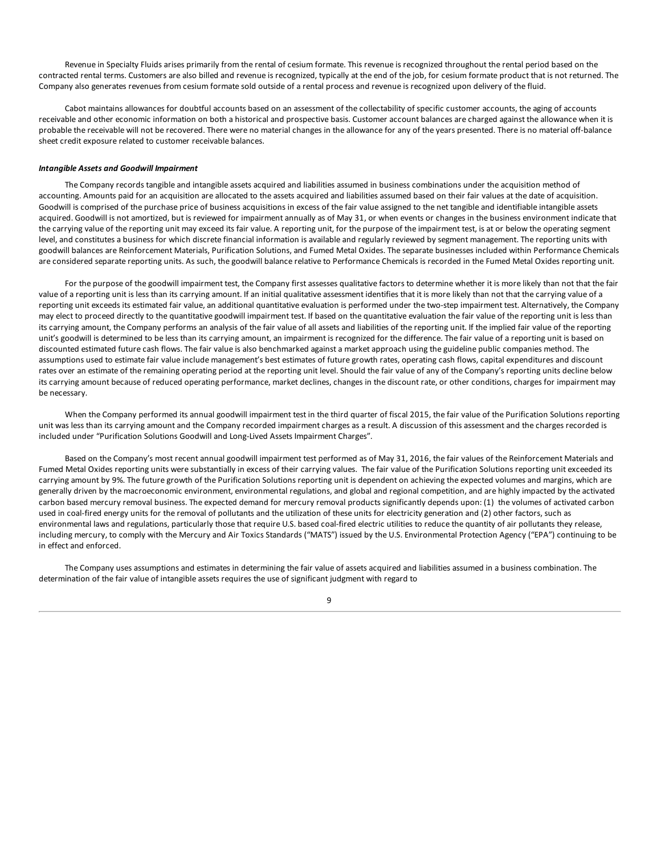Revenue in Specialty Fluids arises primarily from the rental of cesium formate. This revenue is recognized throughout the rental period based on the contracted rental terms. Customers are also billed and revenue is recognized, typically at the end of the job, for cesium formate product that is not returned. The Company also generates revenues from cesium formate sold outside of a rental process and revenue is recognized upon delivery of the fluid.

Cabot maintains allowances for doubtful accounts based on an assessment of the collectability of specific customer accounts, the aging of accounts receivable and other economic information on both a historical and prospective basis. Customer account balances are charged against the allowance when it is probable the receivable will not be recovered. There were no material changes in the allowance for any of the years presented. There is no material off-balance sheet credit exposure related to customer receivable balances.

# *Intangible Assets and Goodwill Impairment*

The Company records tangible and intangible assets acquired and liabilities assumed in business combinations under the acquisition method of accounting. Amounts paid for an acquisition are allocated to the assets acquired and liabilities assumed based on their fair values at the date of acquisition. Goodwill is comprised of the purchase price of business acquisitions in excess of the fair value assigned to the net tangible and identifiable intangible assets acquired. Goodwill is not amortized, but is reviewed for impairment annually as of May 31, or when events or changes in the business environment indicate that the carrying value of the reporting unit may exceed its fair value. A reporting unit, for the purpose of the impairment test, is at or below the operating segment level, and constitutes a business for which discrete financial information is available and regularly reviewed by segment management. The reporting units with goodwill balances are Reinforcement Materials, Purification Solutions, and Fumed Metal Oxides. The separate businesses included within Performance Chemicals are considered separate reporting units. As such, the goodwill balance relative to Performance Chemicals is recorded in the Fumed Metal Oxides reporting unit.

For the purpose of the goodwill impairment test, the Company first assesses qualitative factors to determine whether it is more likely than not that the fair value of a reporting unit is less than its carrying amount. If an initial qualitative assessment identifies that it is more likely than not that the carrying value of a reporting unit exceeds its estimated fair value, an additional quantitative evaluation is performed under the two-step impairment test. Alternatively, the Company may elect to proceed directly to the quantitative goodwill impairment test. If based on the quantitative evaluation the fair value of the reporting unit is less than its carrying amount, the Company performs an analysis of the fair value of all assets and liabilities of the reporting unit. If the implied fair value of the reporting unit's goodwill is determined to be less than its carrying amount, an impairment is recognized for the difference. The fair value of a reporting unit is based on discounted estimated future cash flows. The fair value is also benchmarked against a market approach using the guideline public companies method. The assumptions used to estimate fair value include management's best estimates of future growth rates, operating cash flows, capital expenditures and discount rates over an estimate of the remaining operating period at the reporting unit level. Should the fair value of any of the Company's reporting units decline below its carrying amount because of reduced operating performance, market declines, changes in the discount rate, or other conditions, charges for impairment may be necessary.

When the Company performed its annual goodwill impairment test in the third quarter of fiscal 2015, the fair value of the Purification Solutions reporting unit was less than its carrying amount and the Company recorded impairment charges as a result. A discussion of this assessment and the charges recorded is included under "Purification Solutions Goodwill and Long-Lived Assets Impairment Charges".

Based on the Company's most recent annual goodwill impairment test performed as of May 31, 2016, the fair values of the Reinforcement Materials and Fumed Metal Oxides reporting units were substantially in excess of their carrying values. The fair value of the Purification Solutions reporting unit exceeded its carrying amount by 9%. The future growth of the Purification Solutions reporting unit is dependent on achieving the expected volumes and margins, which are generally driven by the macroeconomic environment, environmental regulations, and global and regional competition, and are highly impacted by the activated carbon based mercury removal business. The expected demand for mercury removal products significantly depends upon: (1) the volumes of activated carbon used in coal-fired energy units for the removal of pollutants and the utilization of these units for electricity generation and (2) other factors, such as environmental laws and regulations, particularly those that require U.S. based coal-fired electric utilities to reduce the quantity of air pollutants they release, including mercury, to comply with the Mercury and Air Toxics Standards ("MATS") issued by the U.S. Environmental Protection Agency ("EPA") continuing to be in effect and enforced.

The Company uses assumptions and estimates in determining the fair value of assets acquired and liabilities assumed in a business combination. The determination of the fair value of intangible assets requires the use of significant judgment with regard to

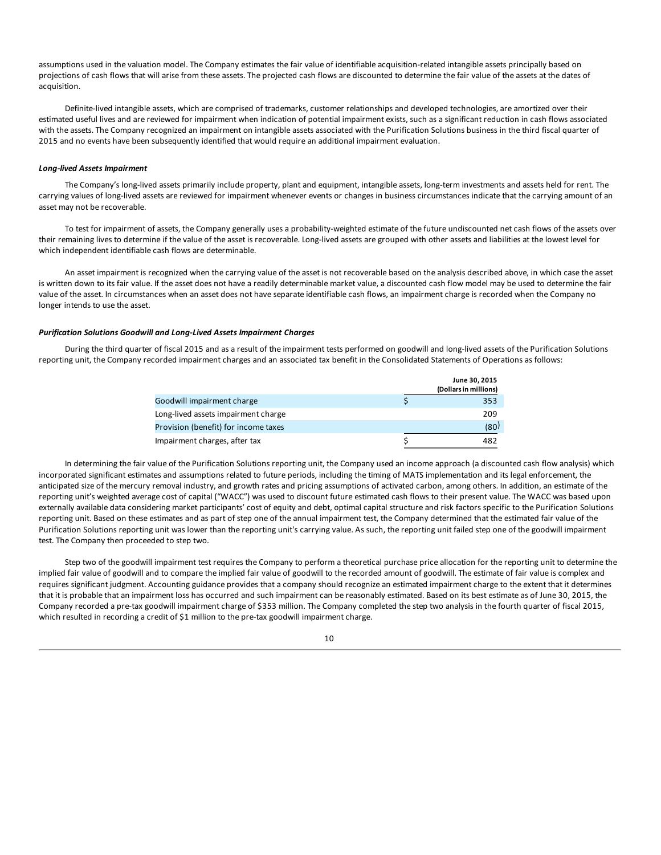assumptions used in the valuation model. The Company estimates the fair value of identifiable acquisition-related intangible assets principally based on projections of cash flows that will arise from these assets. The projected cash flows are discounted to determine the fair value of the assets at the dates of acquisition.

Definite-lived intangible assets, which are comprised of trademarks, customer relationships and developed technologies, are amortized over their estimated useful lives and are reviewed for impairment when indication of potential impairment exists, such as a significant reduction in cash flows associated with the assets. The Company recognized an impairment on intangible assets associated with the Purification Solutions business in the third fiscal quarter of 2015 and no events have been subsequently identified that would require an additional impairment evaluation.

#### *Long-lived Assets Impairment*

The Company's long-lived assets primarily include property, plant and equipment, intangible assets, long-term investments and assets held for rent. The carrying values of long-lived assets are reviewed for impairment whenever events or changes in business circumstances indicate that the carrying amount of an asset may not be recoverable.

To test for impairment of assets, the Company generally uses a probability-weighted estimate of the future undiscounted net cash flows of the assets over their remaining lives to determine if the value of the asset is recoverable. Long-lived assets are grouped with other assets and liabilities at the lowest level for which independent identifiable cash flows are determinable.

An asset impairment is recognized when the carrying value of the asset is not recoverable based on the analysis described above, in which case the asset is written down to its fair value. If the asset does not have a readily determinable market value, a discounted cash flow model may be used to determine the fair value of the asset. In circumstances when an asset does not have separate identifiable cash flows, an impairment charge is recorded when the Company no longer intends to use the asset.

#### *Purification Solutions Goodwill and Long-Lived Assets Impairment Charges*

During the third quarter of fiscal 2015 and as a result of the impairment tests performed on goodwill and long-lived assets of the Purification Solutions reporting unit, the Company recorded impairment charges and an associated tax benefit in the Consolidated Statements of Operations as follows:

|                                      | June 30, 2015<br>(Dollars in millions) |  |  |
|--------------------------------------|----------------------------------------|--|--|
| Goodwill impairment charge           | 353                                    |  |  |
| Long-lived assets impairment charge  | 209                                    |  |  |
| Provision (benefit) for income taxes | (80)                                   |  |  |
| Impairment charges, after tax        | 482                                    |  |  |

In determining the fair value of the Purification Solutions reporting unit, the Company used an income approach (a discounted cash flow analysis) which incorporated significant estimates and assumptions related to future periods, including the timing of MATS implementation and its legal enforcement, the anticipated size of the mercury removal industry, and growth rates and pricing assumptions of activated carbon, among others. In addition, an estimate of the reporting unit's weighted average cost of capital ("WACC") was used to discount future estimated cash flows to their present value. The WACC was based upon externally available data considering market participants' cost of equity and debt, optimal capital structure and risk factors specific to the Purification Solutions reporting unit. Based on these estimates and as part of step one of the annual impairment test, the Company determined that the estimated fair value of the Purification Solutions reporting unit was lower than the reporting unit's carrying value. As such, the reporting unit failed step one of the goodwill impairment test. The Company then proceeded to step two.

Step two of the goodwill impairment test requires the Company to perform a theoretical purchase price allocation for the reporting unit to determine the implied fair value of goodwill and to compare the implied fair value of goodwill to the recorded amount of goodwill. The estimate of fair value is complex and requires significant judgment. Accounting guidance provides that a company should recognize an estimated impairment charge to the extent that it determines that it is probable that an impairment loss has occurred and such impairment can be reasonably estimated. Based on its best estimate as of June 30, 2015, the Company recorded a pre-tax goodwill impairment charge of \$353 million. The Company completed the step two analysis in the fourth quarter of fiscal 2015, which resulted in recording a credit of \$1 million to the pre-tax goodwill impairment charge.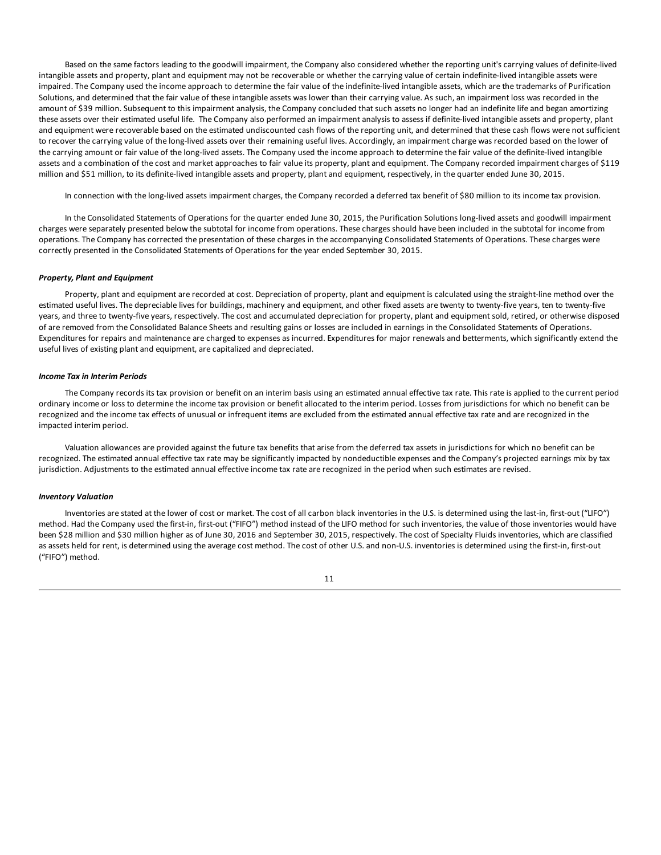Based on the same factors leading to the goodwill impairment, the Company also considered whether the reporting unit's carrying values of definite-lived intangible assets and property, plant and equipment may not be recoverable or whether the carrying value of certain indefinite-lived intangible assets were impaired. The Company used the income approach to determine the fair value of the indefinite-lived intangible assets, which are the trademarks of Purification Solutions, and determined that the fair value of these intangible assets was lower than their carrying value. As such, an impairment loss was recorded in the amount of \$39 million. Subsequent to this impairment analysis, the Company concluded that such assets no longer had an indefinite life and began amortizing these assets over their estimated useful life. The Company also performed an impairment analysis to assess if definite-lived intangible assets and property, plant and equipment were recoverable based on the estimated undiscounted cash flows of the reporting unit, and determined that these cash flows were not sufficient to recover the carrying value of the long-lived assets over their remaining useful lives. Accordingly, an impairment charge was recorded based on the lower of the carrying amount or fair value of the long-lived assets. The Company used the income approach to determine the fair value of the definite-lived intangible assets and a combination of the cost and market approaches to fair value its property, plant and equipment. The Company recorded impairment charges of \$119 million and \$51 million, to its definite-lived intangible assets and property, plant and equipment, respectively, in the quarter ended June 30, 2015.

In connection with the long-lived assets impairment charges, the Company recorded a deferred tax benefit of \$80 million to its income tax provision.

In the Consolidated Statements of Operations for the quarter ended June 30, 2015, the Purification Solutions long-lived assets and goodwill impairment charges were separately presented below the subtotal for income from operations. These charges should have been included in the subtotal for income from operations. The Company has corrected the presentation of these charges in the accompanying Consolidated Statements of Operations. These charges were correctly presented in the Consolidated Statements of Operations for the year ended September 30, 2015.

#### *Property, Plant and Equipment*

Property, plant and equipment are recorded at cost. Depreciation of property, plant and equipment is calculated using the straight-line method over the estimated useful lives. The depreciable lives for buildings, machinery and equipment, and other fixed assets are twenty to twenty-five years, ten to twenty-five years, and three to twenty-five years, respectively. The cost and accumulated depreciation for property, plant and equipment sold, retired, or otherwise disposed of are removed from the Consolidated Balance Sheets and resulting gains or losses are included in earnings in the Consolidated Statements of Operations. Expenditures for repairs and maintenance are charged to expenses as incurred. Expenditures for major renewals and betterments, which significantly extend the useful lives of existing plant and equipment, are capitalized and depreciated.

#### *Income Tax in Interim Periods*

The Company records its tax provision or benefit on an interim basis using an estimated annual effective tax rate. This rate is applied to the current period ordinary income or loss to determine the income tax provision or benefit allocated to the interim period. Losses from jurisdictions for which no benefit can be recognized and the income tax effects of unusual or infrequent items are excluded from the estimated annual effective tax rate and are recognized in the impacted interim period.

Valuation allowances are provided against the future tax benefits that arise from the deferred tax assets in jurisdictions for which no benefit can be recognized. The estimated annual effective tax rate may be significantly impacted by nondeductible expenses and the Company's projected earnings mix by tax jurisdiction. Adjustments to the estimated annual effective income tax rate are recognized in the period when such estimates are revised.

#### *Inventory Valuation*

Inventories are stated at the lower of cost or market. The cost of all carbon black inventories in the U.S. is determined using the last-in, first-out ("LIFO") method. Had the Company used the first-in, first-out ("FIFO") method instead of the LIFO method for such inventories, the value of those inventories would have been \$28 million and \$30 million higher as of June 30, 2016 and September 30, 2015, respectively. The cost of Specialty Fluids inventories, which are classified as assets held for rent, is determined using the average cost method. The cost of other U.S. and non-U.S. inventories is determined using the first-in, first-out ("FIFO") method.

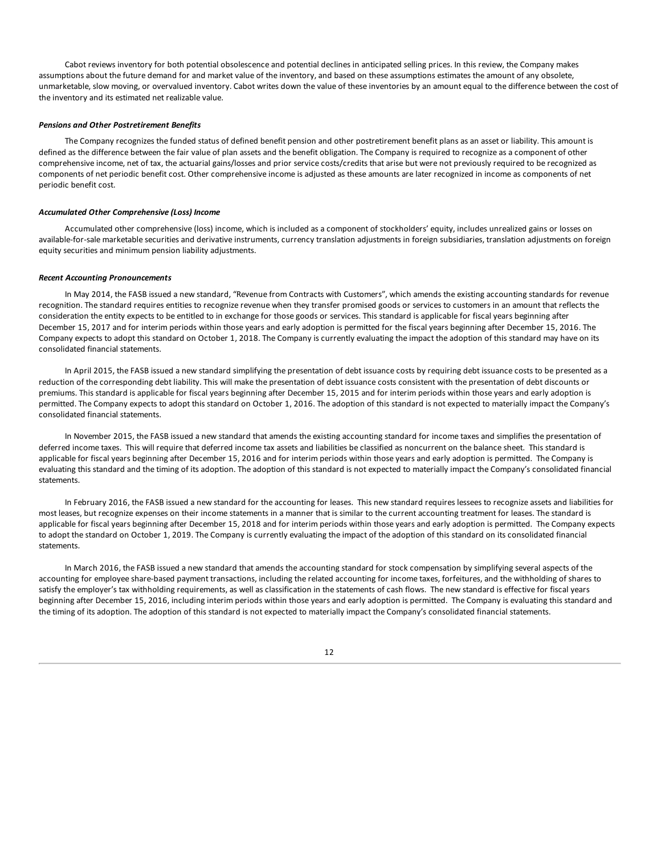Cabot reviews inventory for both potential obsolescence and potential declines in anticipated selling prices. In this review, the Company makes assumptions about the future demand for and market value of the inventory, and based on these assumptions estimates the amount of any obsolete, unmarketable, slow moving, or overvalued inventory. Cabot writes down the value of these inventories by an amount equal to the difference between the cost of the inventory and its estimated net realizable value.

#### *Pensions and Other Postretirement Benefits*

The Company recognizes the funded status of defined benefit pension and other postretirement benefit plans as an asset or liability. This amount is defined as the difference between the fair value of plan assets and the benefit obligation. The Company is required to recognize as a component of other comprehensive income, net of tax, the actuarial gains/losses and prior service costs/credits that arise but were not previously required to be recognized as components of net periodic benefit cost. Other comprehensive income is adjusted as these amounts are later recognized in income as components of net periodic benefit cost.

### *Accumulated Other Comprehensive (Loss) Income*

Accumulated other comprehensive (loss) income, which is included as a component of stockholders' equity, includes unrealized gains or losses on available-for-sale marketable securities and derivative instruments, currency translation adjustments in foreign subsidiaries, translation adjustments on foreign equity securities and minimum pension liability adjustments.

#### *Recent Accounting Pronouncements*

In May 2014, the FASB issued a new standard, "Revenue from Contracts with Customers", which amends the existing accounting standards for revenue recognition. The standard requires entities to recognize revenue when they transfer promised goods or services to customers in an amount that reflects the consideration the entity expects to be entitled to in exchange for those goods or services. This standard is applicable for fiscal years beginning after December 15, 2017 and for interim periods within those years and early adoption is permitted for the fiscal years beginning after December 15, 2016. The Company expects to adopt this standard on October 1, 2018. The Company is currently evaluating the impact the adoption of this standard may have on its consolidated financial statements.

In April 2015, the FASB issued a new standard simplifying the presentation of debt issuance costs by requiring debt issuance costs to be presented as a reduction of the corresponding debt liability. This will make the presentation of debt issuance costs consistent with the presentation of debt discounts or premiums. This standard is applicable for fiscal years beginning after December 15, 2015 and for interim periods within those years and early adoption is permitted. The Company expects to adopt this standard on October 1, 2016. The adoption of this standard is not expected to materially impact the Company's consolidated financial statements.

In November 2015, the FASB issued a new standard that amends the existing accounting standard for income taxes and simplifies the presentation of deferred income taxes. This will require that deferred income tax assets and liabilities be classified as noncurrent on the balance sheet. This standard is applicable for fiscal years beginning after December 15, 2016 and for interim periods within those years and early adoption is permitted. The Company is evaluating this standard and the timing of its adoption. The adoption of this standard is not expected to materially impact the Company's consolidated financial statements.

In February 2016, the FASB issued a new standard for the accounting for leases. This new standard requires lessees to recognize assets and liabilities for most leases, but recognize expenses on their income statements in a manner that is similar to the current accounting treatment for leases. The standard is applicable for fiscal years beginning after December 15, 2018 and for interim periods within those years and early adoption is permitted. The Company expects to adopt the standard on October 1, 2019. The Company is currently evaluating the impact of the adoption of this standard on its consolidated financial statements.

In March 2016, the FASB issued a new standard that amends the accounting standard for stock compensation by simplifying several aspects of the accounting for employee share-based payment transactions, including the related accounting for income taxes, forfeitures, and the withholding of shares to satisfy the employer's tax withholding requirements, as well as classification in the statements of cash flows. The new standard is effective for fiscal years beginning after December 15, 2016, including interim periods within those years and early adoption is permitted. The Company is evaluating this standard and the timing of its adoption. The adoption of this standard is not expected to materially impact the Company's consolidated financial statements.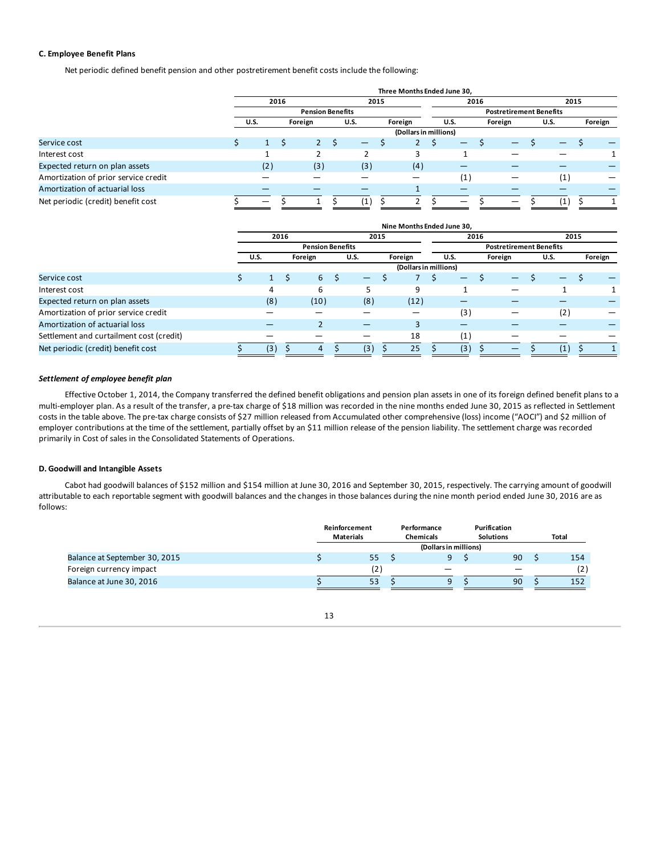# **C. Employee Benefit Plans**

Net periodic defined benefit pension and other postretirement benefit costs include the following:

|                                      |              |                          |         |                         |             |                   |  | Three Months Ended June 30, |                                |                          |  |                          |  |         |  |  |
|--------------------------------------|--------------|--------------------------|---------|-------------------------|-------------|-------------------|--|-----------------------------|--------------------------------|--------------------------|--|--------------------------|--|---------|--|--|
|                                      | 2016<br>2015 |                          |         |                         |             |                   |  |                             | 2016                           |                          |  | 2015                     |  |         |  |  |
|                                      |              |                          |         | <b>Pension Benefits</b> |             |                   |  |                             | <b>Postretirement Benefits</b> |                          |  |                          |  |         |  |  |
|                                      |              | <b>U.S.</b>              | Foreign |                         | <b>U.S.</b> | Foreign           |  | U.S.                        |                                | Foreign                  |  | <b>U.S.</b>              |  | Foreign |  |  |
|                                      |              |                          |         |                         |             |                   |  | (Dollars in millions)       |                                |                          |  |                          |  |         |  |  |
| Service cost                         |              |                          |         |                         |             |                   |  |                             |                                |                          |  |                          |  |         |  |  |
| Interest cost                        |              |                          |         |                         |             |                   |  | 3                           |                                |                          |  |                          |  |         |  |  |
| Expected return on plan assets       |              | (2)                      |         | (3)                     |             | (3)               |  | (4)                         |                                |                          |  |                          |  |         |  |  |
| Amortization of prior service credit |              |                          |         |                         |             |                   |  |                             |                                | (1)                      |  |                          |  | (1)     |  |  |
| Amortization of actuarial loss       |              |                          |         |                         |             |                   |  |                             |                                |                          |  |                          |  |         |  |  |
| Net periodic (credit) benefit cost   |              | $\overline{\phantom{0}}$ |         |                         |             | $\left( 1\right)$ |  |                             |                                | $\overline{\phantom{m}}$ |  | $\overline{\phantom{0}}$ |  | (1)     |  |  |

|                                          |             |      |                         |   |             |      | Nine Months Ended June 30. |      |                                |         |      |             |  |         |  |  |
|------------------------------------------|-------------|------|-------------------------|---|-------------|------|----------------------------|------|--------------------------------|---------|------|-------------|--|---------|--|--|
|                                          |             | 2016 |                         |   |             | 2015 |                            | 2016 |                                |         | 2015 |             |  |         |  |  |
|                                          |             |      | <b>Pension Benefits</b> |   |             |      |                            |      | <b>Postretirement Benefits</b> |         |      |             |  |         |  |  |
|                                          | <b>U.S.</b> |      | Foreign                 |   | <b>U.S.</b> |      | Foreign                    | U.S. |                                | Foreign |      | <b>U.S.</b> |  | Foreign |  |  |
|                                          |             |      |                         |   |             |      | (Dollars in millions)      |      |                                |         |      |             |  |         |  |  |
| Service cost                             |             |      | 6                       | S | —           |      |                            |      |                                |         |      |             |  |         |  |  |
| Interest cost                            | 4           |      | 6                       |   |             |      | 9                          |      |                                |         |      |             |  |         |  |  |
| Expected return on plan assets           | (8)         |      | (10)                    |   | (8)         |      | (12)                       |      |                                |         |      |             |  |         |  |  |
| Amortization of prior service credit     |             |      |                         |   |             |      | _                          | (3)  |                                |         |      | (2)         |  |         |  |  |
| Amortization of actuarial loss           |             |      |                         |   |             |      | З                          |      |                                |         |      |             |  |         |  |  |
| Settlement and curtailment cost (credit) |             |      |                         |   |             |      | 18                         | (1)  |                                |         |      |             |  |         |  |  |
| Net periodic (credit) benefit cost       | (3)         |      | 4                       |   | (3)         |      | 25                         | (3)  |                                | —       |      | (1)         |  |         |  |  |

#### *Settlement of employee benefit plan*

Effective October 1, 2014, the Company transferred the defined benefit obligations and pension plan assets in one of its foreign defined benefit plans to a multi-employer plan. As a result of the transfer, a pre-tax charge of \$18 million was recorded in the nine months ended June 30, 2015 as reflected in Settlement costs in the table above. The pre-tax charge consists of \$27 million released from Accumulated other comprehensive (loss) income ("AOCI") and \$2 million of employer contributions at the time of the settlement, partially offset by an \$11 million release of the pension liability. The settlement charge was recorded primarily in Cost of sales in the Consolidated Statements of Operations.

## **D. Goodwill and Intangible Assets**

Cabot had goodwill balances of \$152 million and \$154 million at June 30, 2016 and September 30, 2015, respectively. The carrying amount of goodwill attributable to each reportable segment with goodwill balances and the changes in those balances during the nine month period ended June 30, 2016 are as follows:

|                               | Reinforcement<br><b>Materials</b> |     |  | Performance<br><b>Chemicals</b> | Purification<br><b>Solutions</b> |  | <b>Total</b> |
|-------------------------------|-----------------------------------|-----|--|---------------------------------|----------------------------------|--|--------------|
|                               |                                   |     |  | (Dollars in millions)           |                                  |  |              |
| Balance at September 30, 2015 |                                   | 55  |  |                                 | 90                               |  | 154          |
| Foreign currency impact       |                                   | (2) |  |                                 |                                  |  | (2)          |
| Balance at June 30, 2016      |                                   | 53  |  |                                 | 90                               |  | 152          |

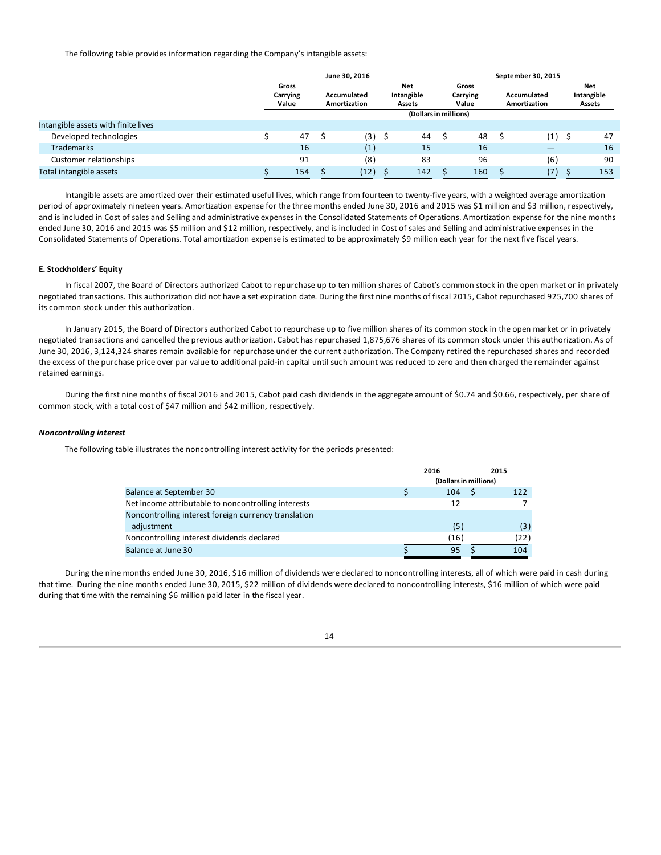The following table provides information regarding the Company's intangible assets:

|                                     | June 30, 2016 |                            |  |                             |                                    |                       |  | September 30, 2015         |                             |     |    |                             |  |
|-------------------------------------|---------------|----------------------------|--|-----------------------------|------------------------------------|-----------------------|--|----------------------------|-----------------------------|-----|----|-----------------------------|--|
|                                     |               | Gross<br>Carrying<br>Value |  | Accumulated<br>Amortization | <b>Net</b><br>Intangible<br>Assets |                       |  | Gross<br>Carrying<br>Value | Accumulated<br>Amortization |     |    | Net<br>Intangible<br>Assets |  |
|                                     |               |                            |  |                             |                                    | (Dollars in millions) |  |                            |                             |     |    |                             |  |
| Intangible assets with finite lives |               |                            |  |                             |                                    |                       |  |                            |                             |     |    |                             |  |
| Developed technologies              |               | 47                         |  | $(3)$ \$                    |                                    | 44                    |  | 48                         |                             | (1) | -S | 47                          |  |
| <b>Trademarks</b>                   |               | 16                         |  | (1)                         |                                    | 15                    |  | 16                         |                             |     |    | 16                          |  |
| Customer relationships              |               | 91                         |  | (8)                         |                                    | 83                    |  | 96                         |                             | (6) |    | 90                          |  |
| Total intangible assets             |               | 154                        |  | (12)                        |                                    | 142                   |  | 160                        |                             | (7) |    | 153                         |  |

Intangible assets are amortized over their estimated useful lives, which range from fourteen to twenty-five years, with a weighted average amortization period of approximately nineteen years. Amortization expense for the three months ended June 30, 2016 and 2015 was \$1 million and \$3 million, respectively, and is included in Cost of sales and Selling and administrative expenses in the Consolidated Statements of Operations. Amortization expense for the nine months ended June 30, 2016 and 2015 was \$5 million and \$12 million, respectively, and is included in Cost of sales and Selling and administrative expenses in the Consolidated Statements of Operations. Total amortization expense is estimated to be approximately \$9 million each year for the next five fiscal years.

#### **E. Stockholders' Equity**

In fiscal 2007, the Board of Directors authorized Cabot to repurchase up to ten million shares of Cabot's common stock in the open market or in privately negotiated transactions. This authorization did not have a set expiration date. During the first nine months of fiscal 2015, Cabot repurchased 925,700 shares of its common stock under this authorization.

In January 2015, the Board of Directors authorized Cabot to repurchase up to five million shares of its common stock in the open market or in privately negotiated transactions and cancelled the previous authorization. Cabot has repurchased 1,875,676 shares of its common stock under this authorization. As of June 30, 2016, 3,124,324 shares remain available for repurchase under the current authorization. The Company retired the repurchased shares and recorded the excess of the purchase price over par value to additional paid-in capital until such amount was reduced to zero and then charged the remainder against retained earnings.

During the first nine months of fiscal 2016 and 2015, Cabot paid cash dividends in the aggregate amount of \$0.74 and \$0.66, respectively, per share of common stock, with a total cost of \$47 million and \$42 million, respectively.

#### *Noncontrolling interest*

The following table illustrates the noncontrolling interest activity for the periods presented:

|                                                      |  | 2016                  |  | 2015 |
|------------------------------------------------------|--|-----------------------|--|------|
|                                                      |  | (Dollars in millions) |  |      |
| <b>Balance at September 30</b>                       |  | 104                   |  | 122  |
| Net income attributable to noncontrolling interests  |  | 12                    |  |      |
| Noncontrolling interest foreign currency translation |  |                       |  |      |
| adjustment                                           |  | (5)                   |  | (3)  |
| Noncontrolling interest dividends declared           |  | (16)                  |  | (22) |
| Balance at June 30                                   |  | 95                    |  | 104  |

During the nine months ended June 30, 2016, \$16 million of dividends were declared to noncontrolling interests, all of which were paid in cash during that time. During the nine months ended June 30, 2015, \$22 million of dividends were declared to noncontrolling interests, \$16 million of which were paid during that time with the remaining \$6 million paid later in the fiscal year.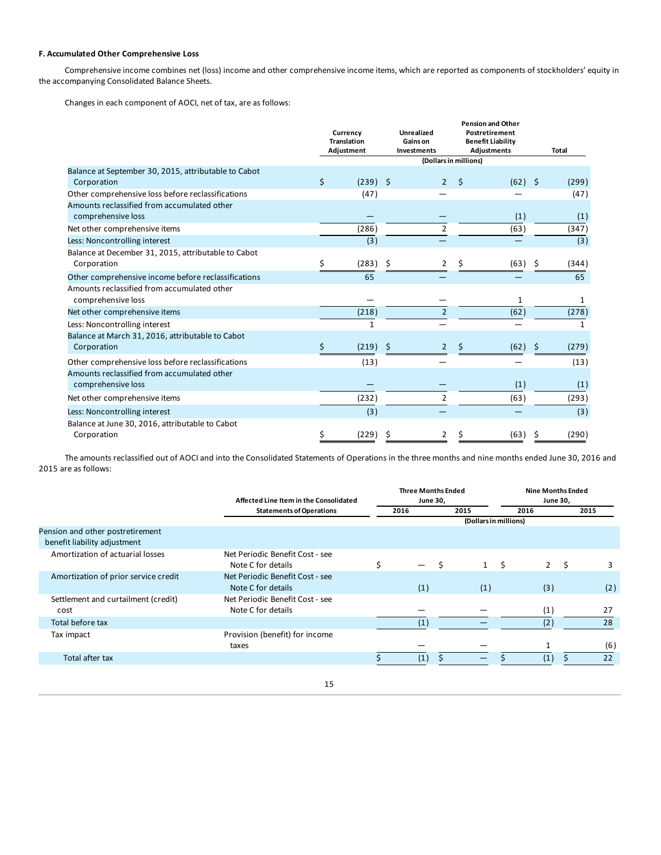# **F. Accumulated Other Comprehensive Loss**

Comprehensive income combines net (loss) income and other comprehensive income items, which are reported as components of stockholders' equity in the accompanying Consolidated Balance Sheets.

Changes in each component of AOCI, net of tax, are as follows:

|                                                                     | Currency<br>Translation<br>Adjustment | Unrealized<br>Gains on<br><b>Investments</b> | <b>Pension and Other</b><br>Postretirement<br><b>Benefit Liability</b><br>Adjustments | <b>Total</b> |             |
|---------------------------------------------------------------------|---------------------------------------|----------------------------------------------|---------------------------------------------------------------------------------------|--------------|-------------|
|                                                                     |                                       | (Dollars in millions)                        |                                                                                       |              |             |
| Balance at September 30, 2015, attributable to Cabot<br>Corporation | \$<br>$(239)$ \$                      | $\overline{2}$                               | \$                                                                                    | (62)         | \$<br>(299) |
| Other comprehensive loss before reclassifications                   | (47)                                  |                                              |                                                                                       |              | (47)        |
| Amounts reclassified from accumulated other<br>comprehensive loss   |                                       |                                              |                                                                                       | (1)          | (1)         |
| Net other comprehensive items                                       | (286)                                 | 2                                            |                                                                                       | (63)         | (347)       |
| Less: Noncontrolling interest                                       | (3)                                   |                                              |                                                                                       |              | (3)         |
| Balance at December 31, 2015, attributable to Cabot<br>Corporation  | \$<br>(283)                           | \$<br>2                                      | Ś                                                                                     | (63)         | \$<br>(344) |
| Other comprehensive income before reclassifications                 | 65                                    |                                              |                                                                                       |              | 65          |
| Amounts reclassified from accumulated other<br>comprehensive loss   |                                       |                                              |                                                                                       | 1            | 1           |
| Net other comprehensive items                                       | (218)                                 | 2                                            |                                                                                       | (62)         | (278)       |
| Less: Noncontrolling interest                                       | 1                                     |                                              |                                                                                       |              | 1           |
| Balance at March 31, 2016, attributable to Cabot<br>Corporation     | \$<br>$(219)$ \$                      | 2                                            |                                                                                       | (62)         | \$<br>(279) |
| Other comprehensive loss before reclassifications                   | (13)                                  |                                              |                                                                                       |              | (13)        |
| Amounts reclassified from accumulated other<br>comprehensive loss   |                                       |                                              |                                                                                       | (1)          | (1)         |
| Net other comprehensive items                                       | (232)                                 | 2                                            |                                                                                       | (63)         | (293)       |
| Less: Noncontrolling interest                                       | (3)                                   |                                              |                                                                                       |              | (3)         |
| Balance at June 30, 2016, attributable to Cabot<br>Corporation      | \$<br>(229)                           | \$<br>2                                      | \$                                                                                    | (63)         | \$<br>(290) |

The amounts reclassified out of AOCI and into the Consolidated Statements of Operations in the three months and nine months ended June 30, 2016 and 2015 are as follows:

|                                             | Affected Line Item in the Consolidated                | <b>Three Months Ended</b><br>June 30, |                       | <b>Nine Months Ended</b><br><b>June 30,</b> |                |      |      |  |
|---------------------------------------------|-------------------------------------------------------|---------------------------------------|-----------------------|---------------------------------------------|----------------|------|------|--|
|                                             | <b>Statements of Operations</b>                       | 2016                                  | 2015                  |                                             | 2016           |      | 2015 |  |
|                                             |                                                       |                                       | (Dollars in millions) |                                             |                |      |      |  |
| Pension and other postretirement            |                                                       |                                       |                       |                                             |                |      |      |  |
| benefit liability adjustment                |                                                       |                                       |                       |                                             |                |      |      |  |
| Amortization of actuarial losses            | Net Periodic Benefit Cost - see<br>Note C for details |                                       | $1 \quad$             |                                             | $\overline{2}$ | - \$ | 3    |  |
| Amortization of prior service credit        | Net Periodic Benefit Cost - see<br>Note C for details | (1)                                   | (1)                   |                                             | (3)            |      | (2)  |  |
| Settlement and curtailment (credit)<br>cost | Net Periodic Benefit Cost - see<br>Note C for details |                                       |                       |                                             | (1)            |      | 27   |  |
| Total before tax                            |                                                       | (1)                                   |                       |                                             | (2)            |      | 28   |  |
| Tax impact                                  | Provision (benefit) for income<br>taxes               |                                       |                       |                                             |                |      | (6)  |  |
| Total after tax                             |                                                       | (1)                                   |                       |                                             | (1)            |      | 22   |  |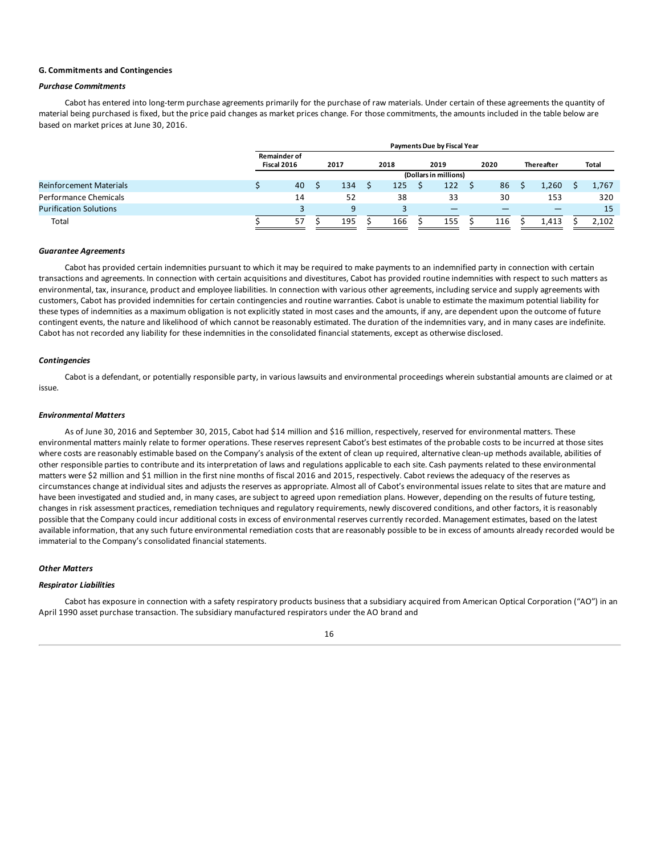#### **G. Commitments and Contingencies**

#### *Purchase Commitments*

Cabot has entered into long-term purchase agreements primarily for the purchase of raw materials. Under certain of these agreements the quantity of material being purchased is fixed, but the price paid changes as market prices change. For those commitments, the amounts included in the table below are based on market prices at June 30, 2016.

|                                |                             |  |      |      |      | Payments Due by Fiscal Year |      |            |       |       |
|--------------------------------|-----------------------------|--|------|------|------|-----------------------------|------|------------|-------|-------|
|                                | Remainder of<br>Fiscal 2016 |  | 2017 | 2018 | 2019 |                             | 2020 | Thereafter |       | Total |
|                                |                             |  |      |      |      | (Dollars in millions)       |      |            |       |       |
| <b>Reinforcement Materials</b> | 40                          |  | 134  | 125  |      | 122                         | 86   |            | 1.260 | 1,767 |
| Performance Chemicals          | 14                          |  | 52   | 38   |      | 33                          | 30   |            | 153   | 320   |
| <b>Purification Solutions</b>  |                             |  | 9    |      |      | –                           |      |            |       | 15    |
| Total                          | 57                          |  | 195  | 166  |      | 155                         | 116  |            | 1.413 | 2.102 |

#### *Guarantee Agreements*

Cabot has provided certain indemnities pursuant to which it may be required to make payments to an indemnified party in connection with certain transactions and agreements. In connection with certain acquisitions and divestitures, Cabot has provided routine indemnities with respect to such matters as environmental, tax, insurance, product and employee liabilities. In connection with various other agreements, including service and supply agreements with customers, Cabot has provided indemnities for certain contingencies and routine warranties. Cabot is unable to estimate the maximum potential liability for these types of indemnities as a maximum obligation is not explicitly stated in most cases and the amounts, if any, are dependent upon the outcome of future contingent events, the nature and likelihood of which cannot be reasonably estimated. The duration of the indemnities vary, and in many cases are indefinite. Cabot has not recorded any liability for these indemnities in the consolidated financial statements, except as otherwise disclosed.

#### *Contingencies*

Cabot is a defendant, or potentially responsible party, in various lawsuits and environmental proceedings wherein substantial amounts are claimed or at issue.

#### *Environmental Matters*

As of June 30, 2016 and September 30, 2015, Cabot had \$14 million and \$16 million, respectively, reserved for environmental matters. These environmental matters mainly relate to former operations. These reserves represent Cabot's best estimates of the probable costs to be incurred at those sites where costs are reasonably estimable based on the Company's analysis of the extent of clean up required, alternative clean-up methods available, abilities of other responsible parties to contribute and its interpretation of laws and regulations applicable to each site. Cash payments related to these environmental matters were \$2 million and \$1 million in the first nine months of fiscal 2016 and 2015, respectively. Cabot reviews the adequacy of the reserves as circumstances change at individual sites and adjusts the reserves as appropriate. Almost all of Cabot's environmental issues relate to sites that are mature and have been investigated and studied and, in many cases, are subject to agreed upon remediation plans. However, depending on the results of future testing, changes in risk assessment practices, remediation techniques and regulatory requirements, newly discovered conditions, and other factors, it is reasonably possible that the Company could incur additional costs in excess of environmental reserves currently recorded. Management estimates, based on the latest available information, that any such future environmental remediation costs that are reasonably possible to be in excess of amounts already recorded would be immaterial to the Company's consolidated financial statements.

#### *Other Matters*

#### *Respirator Liabilities*

Cabot has exposure in connection with a safety respiratory products business that a subsidiary acquired from American Optical Corporation ("AO") in an April 1990 asset purchase transaction. The subsidiary manufactured respirators under the AO brand and

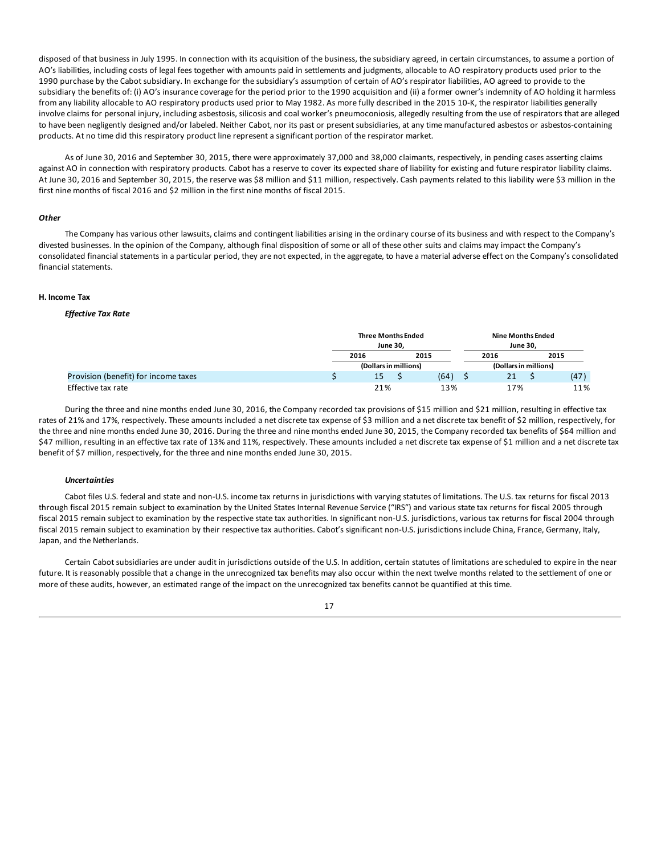disposed of that business in July 1995. In connection with its acquisition of the business, the subsidiary agreed, in certain circumstances, to assume a portion of AO's liabilities, including costs of legal fees together with amounts paid in settlements and judgments, allocable to AO respiratory products used prior to the 1990 purchase by the Cabot subsidiary. In exchange for the subsidiary's assumption of certain of AO's respirator liabilities, AO agreed to provide to the subsidiary the benefits of: (i) AO's insurance coverage for the period prior to the 1990 acquisition and (ii) a former owner's indemnity of AO holding it harmless from any liability allocable to AO respiratory products used prior to May 1982. As more fully described in the 2015 10-K, the respirator liabilities generally involve claims for personal injury, including asbestosis, silicosis and coal worker's pneumoconiosis, allegedly resulting from the use of respirators that are alleged to have been negligently designed and/or labeled. Neither Cabot, nor its past or present subsidiaries, at any time manufactured asbestos or asbestos-containing products. At no time did this respiratory product line represent a significant portion of the respirator market.

As of June 30, 2016 and September 30, 2015, there were approximately 37,000 and 38,000 claimants, respectively, in pending cases asserting claims against AO in connection with respiratory products. Cabot has a reserve to cover its expected share of liability for existing and future respirator liability claims. At June 30, 2016 and September 30, 2015, the reserve was \$8 million and \$11 million, respectively. Cash payments related to this liability were \$3 million in the first nine months of fiscal 2016 and \$2 million in the first nine months of fiscal 2015.

#### *Other*

The Company has various other lawsuits, claims and contingent liabilities arising in the ordinary course of its business and with respect to the Company's divested businesses. In the opinion of the Company, although final disposition of some or all of these other suits and claims may impact the Company's consolidated financial statements in a particular period, they are not expected, in the aggregate, to have a material adverse effect on the Company's consolidated financial statements.

#### **H. Income Tax**

#### *Effective Tax Rate*

|                                      | <b>Three Months Ended</b> | <b>June 30.</b>       |      |  | <b>Nine Months Ended</b><br><b>June 30.</b> |  |      |
|--------------------------------------|---------------------------|-----------------------|------|--|---------------------------------------------|--|------|
|                                      | 2016                      |                       | 2015 |  | 2016                                        |  | 2015 |
|                                      |                           | (Dollars in millions) |      |  | (Dollars in millions)                       |  |      |
| Provision (benefit) for income taxes | 15                        |                       | (64) |  | 21                                          |  | (47) |
| Effective tax rate                   | 21%                       |                       | 13%  |  | 17%                                         |  | 11%  |

During the three and nine months ended June 30, 2016, the Company recorded tax provisions of \$15 million and \$21 million, resulting in effective tax rates of 21% and 17%, respectively. These amounts included a net discrete tax expense of \$3 million and a net discrete tax benefit of \$2 million, respectively, for the three and nine months ended June 30, 2016. During the three and nine months ended June 30, 2015, the Company recorded tax benefits of \$64 million and \$47 million, resulting in an effective tax rate of 13% and 11%, respectively. These amounts included a net discrete tax expense of \$1 million and a net discrete tax benefit of \$7 million, respectively, for the three and nine months ended June 30, 2015.

#### *Uncertainties*

Cabot files U.S. federal and state and non-U.S. income tax returns in jurisdictions with varying statutes of limitations. The U.S. tax returns for fiscal 2013 through fiscal 2015 remain subject to examination by the United States Internal Revenue Service ("IRS") and various state tax returns for fiscal 2005 through fiscal 2015 remain subject to examination by the respective state tax authorities. In significant non-U.S. jurisdictions, various tax returns for fiscal 2004 through fiscal 2015 remain subject to examination by their respective tax authorities. Cabot's significant non-U.S. jurisdictions include China, France, Germany, Italy, Japan, and the Netherlands.

Certain Cabot subsidiaries are under audit in jurisdictions outside of the U.S. In addition, certain statutes of limitations are scheduled to expire in the near future. It is reasonably possible that a change in the unrecognized tax benefits may also occur within the next twelve months related to the settlement of one or more of these audits, however, an estimated range of the impact on the unrecognized tax benefits cannot be quantified at this time.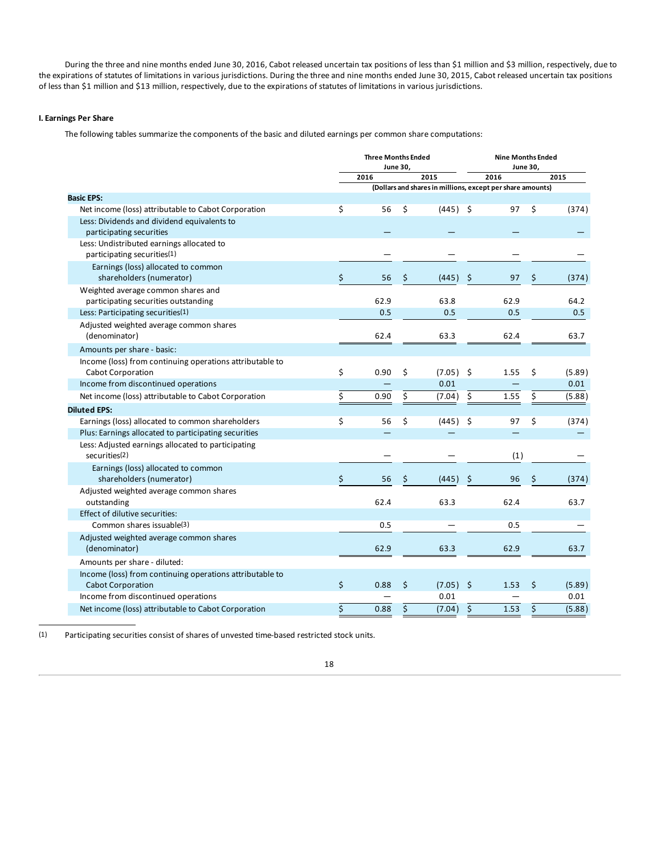During the three and nine months ended June 30, 2016, Cabot released uncertain tax positions of less than \$1 million and \$3 million, respectively, due to the expirations of statutes of limitations in various jurisdictions. During the three and nine months ended June 30, 2015, Cabot released uncertain tax positions of less than \$1 million and \$13 million, respectively, due to the expirations of statutes of limitations in various jurisdictions.

# **I. Earnings Per Share**

The following tables summarize the components of the basic and diluted earnings per common share computations:

|                                                          | <b>Three Months Ended</b><br><b>June 30,</b> |                  |            | <b>Nine Months Ended</b><br><b>June 30,</b> |                                                            |                  |        |  |  |
|----------------------------------------------------------|----------------------------------------------|------------------|------------|---------------------------------------------|------------------------------------------------------------|------------------|--------|--|--|
|                                                          | 2016                                         |                  | 2015       |                                             | 2016                                                       |                  | 2015   |  |  |
|                                                          |                                              |                  |            |                                             | (Dollars and shares in millions, except per share amounts) |                  |        |  |  |
| <b>Basic EPS:</b>                                        |                                              |                  |            |                                             |                                                            |                  |        |  |  |
| Net income (loss) attributable to Cabot Corporation      | \$<br>56                                     | \$               | $(445)$ \$ |                                             | 97                                                         | \$               | (374)  |  |  |
| Less: Dividends and dividend equivalents to              |                                              |                  |            |                                             |                                                            |                  |        |  |  |
| participating securities                                 |                                              |                  |            |                                             |                                                            |                  |        |  |  |
| Less: Undistributed earnings allocated to                |                                              |                  |            |                                             |                                                            |                  |        |  |  |
| participating securities(1)                              |                                              |                  |            |                                             |                                                            |                  |        |  |  |
| Earnings (loss) allocated to common                      |                                              |                  |            |                                             |                                                            |                  |        |  |  |
| shareholders (numerator)                                 | \$<br>56                                     | \$               | (445)      | \$                                          | 97                                                         | \$               | (374)  |  |  |
| Weighted average common shares and                       |                                              |                  |            |                                             |                                                            |                  |        |  |  |
| participating securities outstanding                     | 62.9                                         |                  | 63.8       |                                             | 62.9                                                       |                  | 64.2   |  |  |
| Less: Participating securities(1)                        | 0.5                                          |                  | 0.5        |                                             | 0.5                                                        |                  | 0.5    |  |  |
| Adjusted weighted average common shares                  |                                              |                  |            |                                             |                                                            |                  |        |  |  |
| (denominator)                                            | 62.4                                         |                  | 63.3       |                                             | 62.4                                                       |                  | 63.7   |  |  |
| Amounts per share - basic:                               |                                              |                  |            |                                             |                                                            |                  |        |  |  |
| Income (loss) from continuing operations attributable to |                                              |                  |            |                                             |                                                            |                  |        |  |  |
| <b>Cabot Corporation</b>                                 | \$<br>0.90                                   | \$               | (7.05)     | -\$                                         | 1.55                                                       | \$               | (5.89) |  |  |
| Income from discontinued operations                      |                                              |                  | 0.01       |                                             |                                                            |                  | 0.01   |  |  |
| Net income (loss) attributable to Cabot Corporation      | \$<br>0.90                                   | \$               | (7.04)     | \$                                          | 1.55                                                       | \$               | (5.88) |  |  |
| <b>Diluted EPS:</b>                                      |                                              |                  |            |                                             |                                                            |                  |        |  |  |
| Earnings (loss) allocated to common shareholders         | \$<br>56                                     | \$               | (445)      | S.                                          | 97                                                         | \$               | (374)  |  |  |
| Plus: Earnings allocated to participating securities     |                                              |                  |            |                                             |                                                            |                  |        |  |  |
| Less: Adjusted earnings allocated to participating       |                                              |                  |            |                                             |                                                            |                  |        |  |  |
| securities <sup>(2)</sup>                                |                                              |                  |            |                                             | (1)                                                        |                  |        |  |  |
| Earnings (loss) allocated to common                      |                                              |                  |            |                                             |                                                            |                  |        |  |  |
| shareholders (numerator)                                 | \$<br>56                                     | \$               | (445)      | \$                                          | 96                                                         | \$               | (374)  |  |  |
| Adjusted weighted average common shares                  |                                              |                  |            |                                             |                                                            |                  |        |  |  |
| outstanding                                              | 62.4                                         |                  | 63.3       |                                             | 62.4                                                       |                  | 63.7   |  |  |
| <b>Effect of dilutive securities:</b>                    |                                              |                  |            |                                             |                                                            |                  |        |  |  |
| Common shares issuable(3)                                | 0.5                                          |                  |            |                                             | 0.5                                                        |                  |        |  |  |
| Adjusted weighted average common shares                  |                                              |                  |            |                                             |                                                            |                  |        |  |  |
| (denominator)                                            | 62.9                                         |                  | 63.3       |                                             | 62.9                                                       |                  | 63.7   |  |  |
| Amounts per share - diluted:                             |                                              |                  |            |                                             |                                                            |                  |        |  |  |
| Income (loss) from continuing operations attributable to |                                              |                  |            |                                             |                                                            |                  |        |  |  |
| <b>Cabot Corporation</b>                                 | \$<br>0.88                                   | \$               | (7.05)     | - \$                                        | 1.53                                                       | \$               | (5.89) |  |  |
| Income from discontinued operations                      |                                              |                  | 0.01       |                                             |                                                            |                  | 0.01   |  |  |
| Net income (loss) attributable to Cabot Corporation      | \$<br>0.88                                   | $\overline{\xi}$ | (7.04)     | \$                                          | 1.53                                                       | $\overline{\xi}$ | (5.88) |  |  |

(1) Participating securities consist of shares of unvested time-based restricted stock units.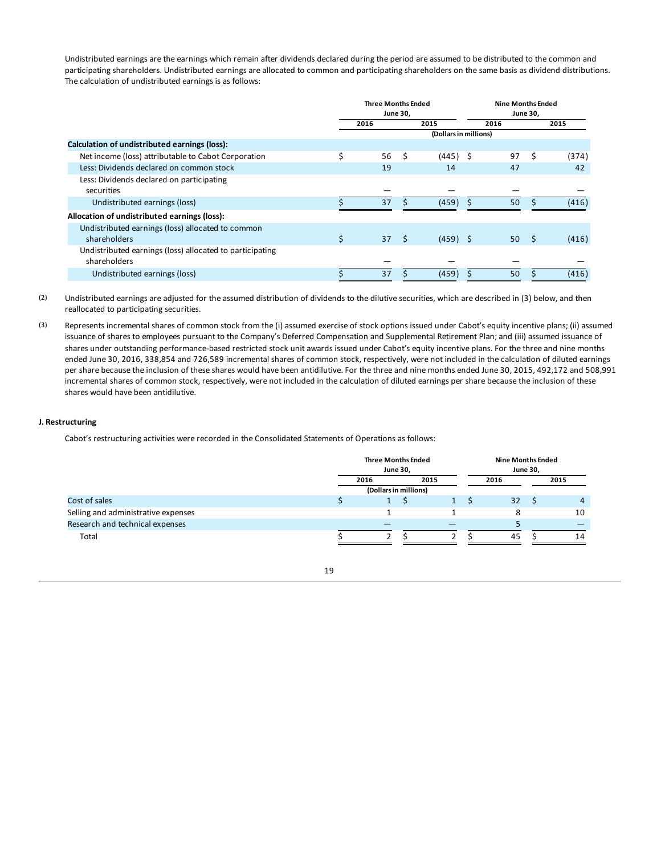Undistributed earnings are the earnings which remain after dividends declared during the period are assumed to be distributed to the common and participating shareholders. Undistributed earnings are allocated to common and participating shareholders on the same basis as dividend distributions. The calculation of undistributed earnings is as follows:

|                                                                          | <b>Three Months Ended</b><br>June 30, |      |    |                       |  | <b>Nine Months Ended</b><br><b>June 30,</b> |            |       |  |  |
|--------------------------------------------------------------------------|---------------------------------------|------|----|-----------------------|--|---------------------------------------------|------------|-------|--|--|
|                                                                          |                                       | 2016 |    | 2015                  |  | 2016                                        |            | 2015  |  |  |
|                                                                          |                                       |      |    | (Dollars in millions) |  |                                             |            |       |  |  |
| Calculation of undistributed earnings (loss):                            |                                       |      |    |                       |  |                                             |            |       |  |  |
| Net income (loss) attributable to Cabot Corporation                      |                                       | 56   | S  | $(445)$ \$            |  | 97                                          |            | (374) |  |  |
| Less: Dividends declared on common stock                                 |                                       | 19   |    | 14                    |  | 47                                          |            | 42    |  |  |
| Less: Dividends declared on participating<br>securities                  |                                       |      |    |                       |  |                                             |            |       |  |  |
| Undistributed earnings (loss)                                            |                                       | 37   |    | (459)                 |  | 50                                          |            | (416) |  |  |
| Allocation of undistributed earnings (loss):                             |                                       |      |    |                       |  |                                             |            |       |  |  |
| Undistributed earnings (loss) allocated to common                        |                                       |      |    |                       |  |                                             |            |       |  |  |
| shareholders                                                             | Ś.                                    | 37   | -S | $(459)$ \$            |  | 50                                          | $\sqrt{5}$ | (416) |  |  |
| Undistributed earnings (loss) allocated to participating<br>shareholders |                                       |      |    |                       |  |                                             |            |       |  |  |
| Undistributed earnings (loss)                                            |                                       | 37   |    | (459)                 |  | 50                                          |            | (416) |  |  |

(2) Undistributed earnings are adjusted for the assumed distribution of dividends to the dilutive securities, which are described in (3) below, and then reallocated to participating securities.

(3) Represents incremental shares of common stock from the (i) assumed exercise of stock options issued under Cabot's equity incentive plans; (ii) assumed issuance of shares to employees pursuant to the Company's Deferred Compensation and Supplemental Retirement Plan; and (iii) assumed issuance of shares under outstanding performance-based restricted stock unit awards issued under Cabot's equity incentive plans. For the three and nine months ended June 30, 2016, 338,854 and 726,589 incremental shares of common stock, respectively, were not included in the calculation of diluted earnings per share because the inclusion of these shares would have been antidilutive. For the three and nine months ended June 30, 2015, 492,172 and 508,991 incremental shares of common stock, respectively, were not included in the calculation of diluted earnings per share because the inclusion of these shares would have been antidilutive.

### **J. Restructuring**

Cabot's restructuring activities were recorded in the Consolidated Statements of Operations as follows:

|  |      |                 | <b>Nine Months Ended</b><br><b>June 30,</b>                |      |  |      |  |
|--|------|-----------------|------------------------------------------------------------|------|--|------|--|
|  |      |                 |                                                            | 2016 |  | 2015 |  |
|  |      |                 |                                                            |      |  |      |  |
|  |      |                 |                                                            | 32   |  | 4    |  |
|  |      |                 |                                                            |      |  | 10   |  |
|  |      |                 |                                                            |      |  |      |  |
|  |      |                 |                                                            | 45   |  | 14   |  |
|  | 2016 | <b>June 30,</b> | <b>Three Months Ended</b><br>2015<br>(Dollars in millions) |      |  |      |  |

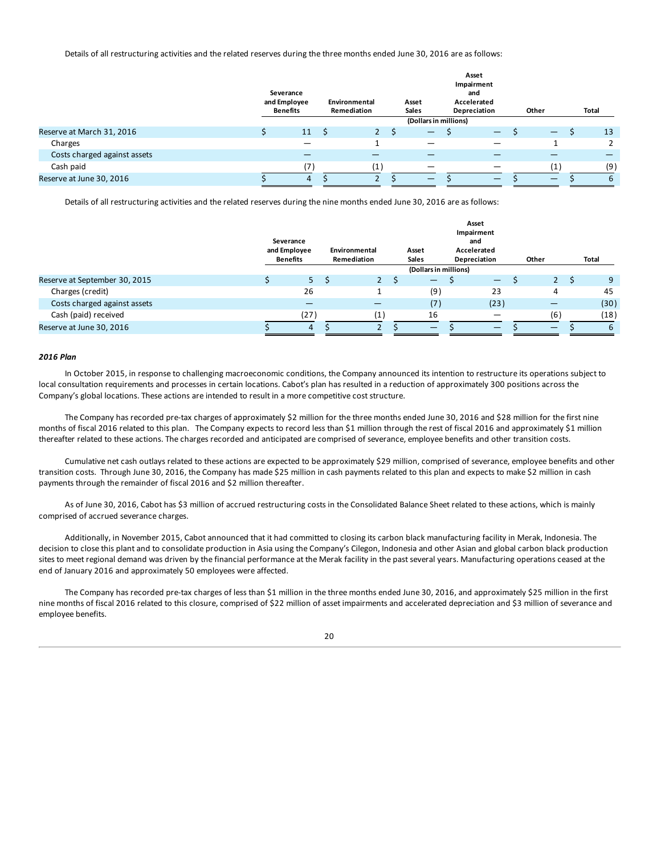#### Details of all restructuring activities and the related reserves during the three months ended June 30, 2016 are as follows:

|                              | Severance<br>and Employee<br><b>Benefits</b> | Environmental<br>Remediation | Asset<br>Sales           | Asset<br>Impairment<br>and<br>Accelerated<br>Depreciation | Other                          | Total |
|------------------------------|----------------------------------------------|------------------------------|--------------------------|-----------------------------------------------------------|--------------------------------|-------|
|                              |                                              |                              | (Dollars in millions)    |                                                           |                                |       |
| Reserve at March 31, 2016    | 11                                           |                              | $\overline{\phantom{0}}$ | $\qquad \qquad \longleftarrow$                            | $\qquad \qquad \longleftarrow$ | 13    |
| Charges                      |                                              |                              |                          |                                                           |                                |       |
| Costs charged against assets |                                              |                              |                          |                                                           |                                |       |
| Cash paid                    | (7)                                          | (1)                          |                          |                                                           | (1)                            | (9)   |
| Reserve at June 30, 2016     | 4                                            |                              | $\overline{\phantom{0}}$ | -                                                         | $\overline{\phantom{0}}$       | -6    |

Details of all restructuring activities and the related reserves during the nine months ended June 30, 2016 are as follows:

|                               | Severance<br>and Employee<br><b>Benefits</b> | Environmental<br>Remediation | Asset<br><b>Sales</b>           | Asset<br>Impairment<br>and<br>Accelerated<br>Depreciation | Other | Total |
|-------------------------------|----------------------------------------------|------------------------------|---------------------------------|-----------------------------------------------------------|-------|-------|
|                               |                                              |                              | (Dollars in millions)           |                                                           |       |       |
| Reserve at September 30, 2015 | 5                                            |                              | $\hspace{0.1mm}-\hspace{0.1mm}$ | $\qquad \qquad -$                                         |       | 9     |
| Charges (credit)              | 26                                           |                              | (9)                             | 23                                                        | 4     | 45    |
| Costs charged against assets  |                                              |                              | (7)                             | (23)                                                      |       | (30)  |
| Cash (paid) received          | (27)                                         | (1)                          | 16                              |                                                           | (6)   | (18)  |
| Reserve at June 30, 2016      | 4                                            |                              | $\overline{\phantom{0}}$        | $\overline{\phantom{0}}$                                  | —     | -6    |

#### *2016 Plan*

In October 2015, in response to challenging macroeconomic conditions, the Company announced its intention to restructure its operations subject to local consultation requirements and processes in certain locations. Cabot's plan has resulted in a reduction of approximately 300 positions across the Company's global locations. These actions are intended to result in a more competitive cost structure.

The Company has recorded pre-tax charges of approximately \$2 million for the three months ended June 30, 2016 and \$28 million for the first nine months of fiscal 2016 related to this plan. The Company expects to record less than \$1 million through the rest of fiscal 2016 and approximately \$1 million thereafter related to these actions. The charges recorded and anticipated are comprised of severance, employee benefits and other transition costs.

Cumulative net cash outlays related to these actions are expected to be approximately \$29 million, comprised of severance, employee benefits and other transition costs. Through June 30, 2016, the Company has made \$25 million in cash payments related to this plan and expects to make \$2 million in cash payments through the remainder of fiscal 2016 and \$2 million thereafter.

As of June 30, 2016, Cabot has \$3 million of accrued restructuring costs in the Consolidated Balance Sheet related to these actions, which is mainly comprised of accrued severance charges.

Additionally, in November 2015, Cabot announced that it had committed to closing its carbon black manufacturing facility in Merak, Indonesia. The decision to close this plant and to consolidate production in Asia using the Company's Cilegon, Indonesia and other Asian and global carbon black production sites to meet regional demand was driven by the financial performance at the Merak facility in the past several years. Manufacturing operations ceased at the end of January 2016 and approximately 50 employees were affected.

The Company has recorded pre-tax charges of less than \$1 million in the three months ended June 30, 2016, and approximately \$25 million in the first nine months of fiscal 2016 related to this closure, comprised of \$22 million of asset impairments and accelerated depreciation and \$3 million of severance and employee benefits.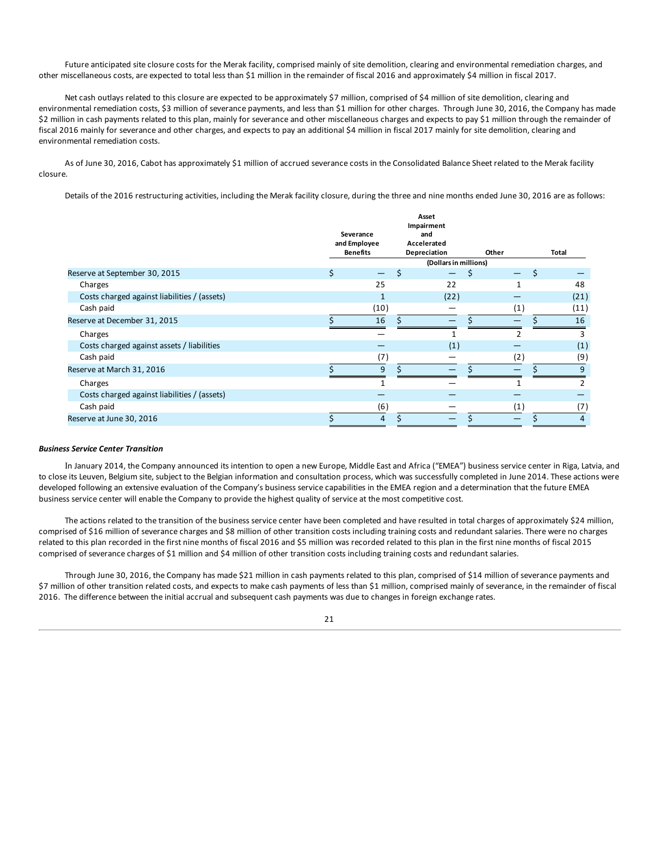Future anticipated site closure costs for the Merak facility, comprised mainly of site demolition, clearing and environmental remediation charges, and other miscellaneous costs, are expected to total less than \$1 million in the remainder of fiscal 2016 and approximately \$4 million in fiscal 2017.

Net cash outlays related to this closure are expected to be approximately \$7 million, comprised of \$4 million of site demolition, clearing and environmental remediation costs, \$3 million of severance payments, and less than \$1 million for other charges. Through June 30, 2016, the Company has made \$2 million in cash payments related to this plan, mainly for severance and other miscellaneous charges and expects to pay \$1 million through the remainder of fiscal 2016 mainly for severance and other charges, and expects to pay an additional \$4 million in fiscal 2017 mainly for site demolition, clearing and environmental remediation costs.

As of June 30, 2016, Cabot has approximately \$1 million of accrued severance costs in the Consolidated Balance Sheet related to the Merak facility closure.

Details of the 2016 restructuring activities, including the Merak facility closure, during the three and nine months ended June 30, 2016 are as follows:

|                                              | Severance<br>and Employee<br><b>Benefits</b> |                | Asset<br>Impairment<br>and<br>Accelerated<br>Depreciation | Other          | <b>Total</b>   |
|----------------------------------------------|----------------------------------------------|----------------|-----------------------------------------------------------|----------------|----------------|
| Reserve at September 30, 2015                | \$                                           |                | (Dollars in millions)                                     |                | \$             |
| Charges                                      |                                              | 25             | 22                                                        |                | 48             |
| Costs charged against liabilities / (assets) |                                              |                | (22)                                                      |                | (21)           |
| Cash paid                                    |                                              | (10)           |                                                           | (1)            | (11)           |
| Reserve at December 31, 2015                 |                                              | 16             |                                                           |                | 16             |
| Charges                                      |                                              |                |                                                           | $\overline{2}$ | 3              |
| Costs charged against assets / liabilities   |                                              |                | (1)                                                       |                | (1)            |
| Cash paid                                    |                                              | (7)            |                                                           | (2)            | (9)            |
| Reserve at March 31, 2016                    |                                              | $\mathbf{q}$   |                                                           |                | $\mathsf{q}$   |
| Charges                                      |                                              |                |                                                           |                | 2              |
| Costs charged against liabilities / (assets) |                                              |                |                                                           |                |                |
| Cash paid                                    |                                              | (6)            |                                                           | (1)            | (7)            |
| Reserve at June 30, 2016                     |                                              | $\overline{4}$ |                                                           |                | $\overline{4}$ |

#### *Business Service Center Transition*

In January 2014, the Company announced its intention to open a new Europe, Middle East and Africa ("EMEA") business service center in Riga, Latvia, and to close its Leuven, Belgium site, subject to the Belgian information and consultation process, which was successfully completed in June 2014. These actions were developed following an extensive evaluation of the Company's business service capabilities in the EMEA region and a determination that the future EMEA business service center will enable the Company to provide the highest quality of service at the most competitive cost.

The actions related to the transition of the business service center have been completed and have resulted in total charges of approximately \$24 million, comprised of \$16 million of severance charges and \$8 million of other transition costs including training costs and redundant salaries. There were no charges related to this plan recorded in the first nine months of fiscal 2016 and \$5 million was recorded related to this plan in the first nine months of fiscal 2015 comprised of severance charges of \$1 million and \$4 million of other transition costs including training costs and redundant salaries.

Through June 30, 2016, the Company has made \$21 million in cash payments related to this plan, comprised of \$14 million of severance payments and \$7 million of other transition related costs, and expects to make cash payments of less than \$1 million, comprised mainly of severance, in the remainder of fiscal 2016. The difference between the initial accrual and subsequent cash payments was due to changes in foreign exchange rates.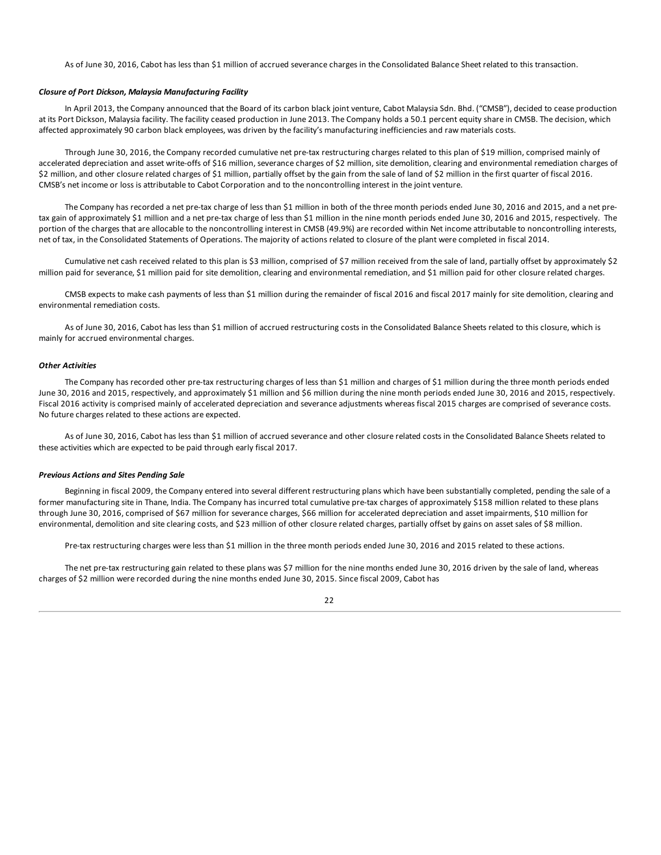As of June 30, 2016, Cabot has less than \$1 million of accrued severance charges in the Consolidated Balance Sheet related to this transaction.

#### *Closure of Port Dickson, Malaysia Manufacturing Facility*

In April 2013, the Company announced that the Board of its carbon black joint venture, Cabot Malaysia Sdn. Bhd. ("CMSB"), decided to cease production at its Port Dickson, Malaysia facility. The facility ceased production in June 2013. The Company holds a 50.1 percent equity share in CMSB. The decision, which affected approximately 90 carbon black employees, was driven by the facility's manufacturing inefficiencies and raw materials costs.

Through June 30, 2016, the Company recorded cumulative net pre-tax restructuring charges related to this plan of \$19 million, comprised mainly of accelerated depreciation and asset write-offs of \$16 million, severance charges of \$2 million, site demolition, clearing and environmental remediation charges of \$2 million, and other closure related charges of \$1 million, partially offset by the gain from the sale of land of \$2 million in the first quarter of fiscal 2016. CMSB's net income or loss is attributable to Cabot Corporation and to the noncontrolling interest in the joint venture.

The Company has recorded a net pre-tax charge of less than \$1 million in both of the three month periods ended June 30, 2016 and 2015, and a net pretax gain of approximately \$1 million and a net pre-tax charge of less than \$1 million in the nine month periods ended June 30, 2016 and 2015, respectively. The portion of the charges that are allocable to the noncontrolling interest in CMSB (49.9%) are recorded within Net income attributable to noncontrolling interests, net of tax, in the Consolidated Statements of Operations. The majority of actions related to closure of the plant were completed in fiscal 2014.

Cumulative net cash received related to this plan is \$3 million, comprised of \$7 million received from the sale of land, partially offset by approximately \$2 million paid for severance, \$1 million paid for site demolition, clearing and environmental remediation, and \$1 million paid for other closure related charges.

CMSB expects to make cash payments of less than \$1 million during the remainder of fiscal 2016 and fiscal 2017 mainly for site demolition, clearing and environmental remediation costs.

As of June 30, 2016, Cabot has less than \$1 million of accrued restructuring costs in the Consolidated Balance Sheets related to this closure, which is mainly for accrued environmental charges.

#### *Other Activities*

The Company has recorded other pre-tax restructuring charges of less than \$1 million and charges of \$1 million during the three month periods ended June 30, 2016 and 2015, respectively, and approximately \$1 million and \$6 million during the nine month periods ended June 30, 2016 and 2015, respectively. Fiscal 2016 activity is comprised mainly of accelerated depreciation and severance adjustments whereas fiscal 2015 charges are comprised of severance costs. No future charges related to these actions are expected.

As of June 30, 2016, Cabot has less than \$1 million of accrued severance and other closure related costs in the Consolidated Balance Sheets related to these activities which are expected to be paid through early fiscal 2017.

#### *Previous Actions and Sites Pending Sale*

Beginning in fiscal 2009, the Company entered into several different restructuring plans which have been substantially completed, pending the sale of a former manufacturing site in Thane, India. The Company has incurred total cumulative pre-tax charges of approximately \$158 million related to these plans through June 30, 2016, comprised of \$67 million for severance charges, \$66 million for accelerated depreciation and asset impairments, \$10 million for environmental, demolition and site clearing costs, and \$23 million of other closure related charges, partially offset by gains on asset sales of \$8 million.

Pre-tax restructuring charges were less than \$1 million in the three month periods ended June 30, 2016 and 2015 related to these actions.

The net pre-tax restructuring gain related to these plans was \$7 million for the nine months ended June 30, 2016 driven by the sale of land, whereas charges of \$2 million were recorded during the nine months ended June 30, 2015. Since fiscal 2009, Cabot has

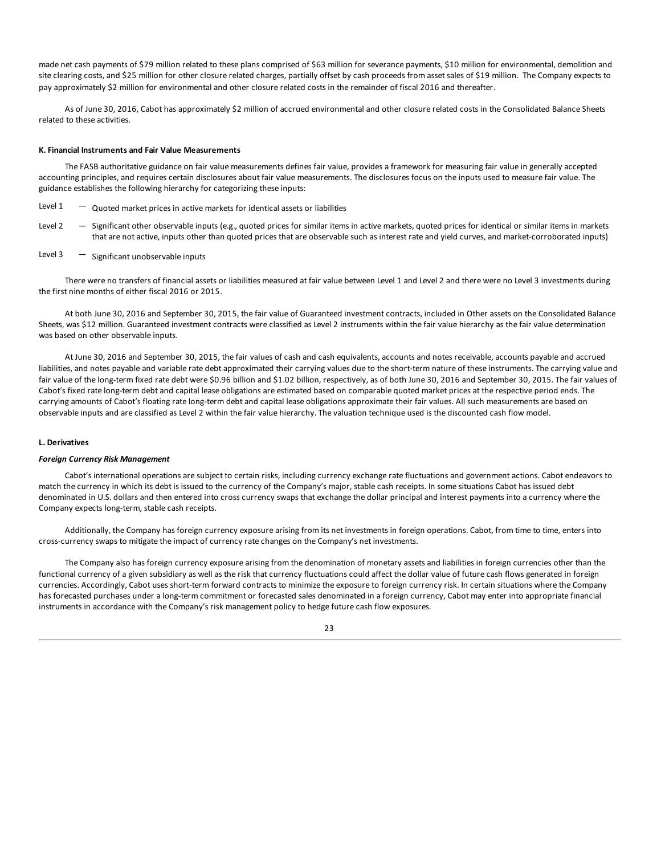made net cash payments of \$79 million related to these plans comprised of \$63 million for severance payments, \$10 million for environmental, demolition and site clearing costs, and \$25 million for other closure related charges, partially offset by cash proceeds from asset sales of \$19 million. The Company expects to pay approximately \$2 million for environmental and other closure related costs in the remainder of fiscal 2016 and thereafter.

As of June 30, 2016, Cabot has approximately \$2 million of accrued environmental and other closure related costs in the Consolidated Balance Sheets related to these activities.

#### **K. Financial Instruments and Fair Value Measurements**

The FASB authoritative guidance on fair value measurements defines fair value, provides a framework for measuring fair value in generally accepted accounting principles, and requires certain disclosures about fair value measurements. The disclosures focus on the inputs used to measure fair value. The guidance establishes the following hierarchy for categorizing these inputs:

- Level  $1 -$  Quoted market prices in active markets for identical assets or liabilities
- Level 2 Significant other observable inputs (e.g., quoted prices for similar items in active markets, quoted prices for identical or similar items in markets that are not active, inputs other than quoted prices that are observable such as interest rate and yield curves, and market-corroborated inputs)
- Level  $3 -$  Significant unobservable inputs

There were no transfers of financial assets or liabilities measured at fair value between Level 1 and Level 2 and there were no Level 3 investments during the first nine months of either fiscal 2016 or 2015.

At both June 30, 2016 and September 30, 2015, the fair value of Guaranteed investment contracts, included in Other assets on the Consolidated Balance Sheets, was \$12 million. Guaranteed investment contracts were classified as Level 2 instruments within the fair value hierarchy as the fair value determination was based on other observable inputs.

At June 30, 2016 and September 30, 2015, the fair values of cash and cash equivalents, accounts and notes receivable, accounts payable and accrued liabilities, and notes payable and variable rate debt approximated their carrying values due to the short-term nature of these instruments. The carrying value and fair value of the long-term fixed rate debt were \$0.96 billion and \$1.02 billion, respectively, as of both June 30, 2016 and September 30, 2015. The fair values of Cabot's fixed rate long-term debt and capital lease obligations are estimated based on comparable quoted market prices at the respective period ends. The carrying amounts of Cabot's floating rate long-term debt and capital lease obligations approximate their fair values. All such measurements are based on observable inputs and are classified as Level 2 within the fair value hierarchy. The valuation technique used is the discounted cash flow model.

#### **L. Derivatives**

#### *Foreign Currency Risk Management*

Cabot's international operations are subject to certain risks, including currency exchange rate fluctuations and government actions. Cabot endeavors to match the currency in which its debt is issued to the currency of the Company's major, stable cash receipts. In some situations Cabot has issued debt denominated in U.S. dollars and then entered into cross currency swaps that exchange the dollar principal and interest payments into a currency where the Company expects long-term, stable cash receipts.

Additionally, the Company has foreign currency exposure arising from its net investments in foreign operations. Cabot, from time to time, enters into cross-currency swaps to mitigate the impact of currency rate changes on the Company's net investments.

The Company also has foreign currency exposure arising from the denomination of monetary assets and liabilities in foreign currencies other than the functional currency of a given subsidiary as well as the risk that currency fluctuations could affect the dollar value of future cash flows generated in foreign currencies. Accordingly, Cabot uses short-term forward contracts to minimize the exposure to foreign currency risk. In certain situations where the Company has forecasted purchases under a long-term commitment or forecasted sales denominated in a foreign currency, Cabot may enter into appropriate financial instruments in accordance with the Company's risk management policy to hedge future cash flow exposures.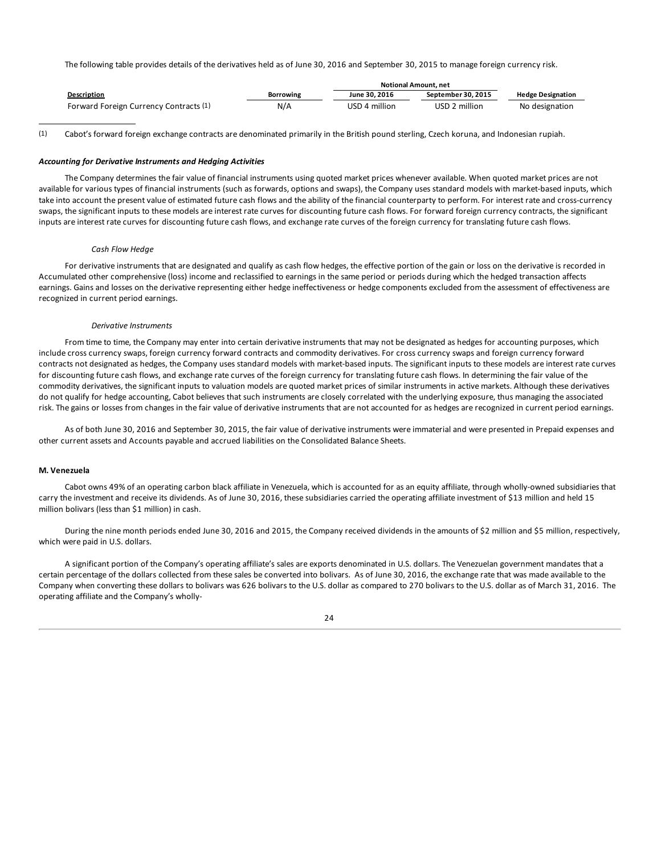The following table provides details of the derivatives held as of June 30, 2016 and September 30, 2015 to manage foreign currency risk.

|                                        |                  |               | <b>Notional Amount, net</b> |                          |
|----------------------------------------|------------------|---------------|-----------------------------|--------------------------|
| <b>Description</b>                     | <b>Borrowing</b> | June 30, 2016 | September 30, 2015          | <b>Hedge Designation</b> |
| Forward Foreign Currency Contracts (1) | N/A              | USD 4 million | USD 2 million               | No designation           |

(1) Cabot's forward foreign exchange contracts are denominated primarily in the British pound sterling, Czech koruna, and Indonesian rupiah.

#### *Accounting for Derivative Instruments and Hedging Activities*

The Company determines the fair value of financial instruments using quoted market prices whenever available. When quoted market prices are not available for various types of financial instruments (such as forwards, options and swaps), the Company uses standard models with market-based inputs, which take into account the present value of estimated future cash flows and the ability of the financial counterparty to perform. For interest rate and cross-currency swaps, the significant inputs to these models are interest rate curves for discounting future cash flows. For forward foreign currency contracts, the significant inputs are interest rate curves for discounting future cash flows, and exchange rate curves of the foreign currency for translating future cash flows.

#### *Cash Flow Hedge*

For derivative instruments that are designated and qualify as cash flow hedges, the effective portion of the gain or loss on the derivative is recorded in Accumulated other comprehensive (loss) income and reclassified to earnings in the same period or periods during which the hedged transaction affects earnings. Gains and losses on the derivative representing either hedge ineffectiveness or hedge components excluded from the assessment of effectiveness are recognized in current period earnings.

#### *Derivative Instruments*

From time to time, the Company may enter into certain derivative instruments that may not be designated as hedges for accounting purposes, which include cross currency swaps, foreign currency forward contracts and commodity derivatives. For cross currency swaps and foreign currency forward contracts not designated as hedges, the Company uses standard models with market-based inputs. The significant inputs to these models are interest rate curves for discounting future cash flows, and exchange rate curves of the foreign currency for translating future cash flows. In determining the fair value of the commodity derivatives, the significant inputs to valuation models are quoted market prices of similar instruments in active markets. Although these derivatives do not qualify for hedge accounting, Cabot believes that such instruments are closely correlated with the underlying exposure, thus managing the associated risk. The gains or losses from changes in the fair value of derivative instruments that are not accounted for as hedges are recognized in current period earnings.

As of both June 30, 2016 and September 30, 2015, the fair value of derivative instruments were immaterial and were presented in Prepaid expenses and other current assets and Accounts payable and accrued liabilities on the Consolidated Balance Sheets.

#### **M. Venezuela**

Cabot owns 49% of an operating carbon black affiliate in Venezuela, which is accounted for as an equity affiliate, through wholly-owned subsidiaries that carry the investment and receive its dividends. As of June 30, 2016, these subsidiaries carried the operating affiliate investment of \$13 million and held 15 million bolivars (less than \$1 million) in cash.

During the nine month periods ended June 30, 2016 and 2015, the Company received dividends in the amounts of \$2 million and \$5 million, respectively, which were paid in U.S. dollars.

A significant portion of the Company's operating affiliate's sales are exports denominated in U.S. dollars. The Venezuelan government mandates that a certain percentage of the dollars collected from these sales be converted into bolivars. As of June 30, 2016, the exchange rate that was made available to the Company when converting these dollars to bolivars was 626 bolivars to the U.S. dollar as compared to 270 bolivars to the U.S. dollar as of March 31, 2016. The operating affiliate and the Company's wholly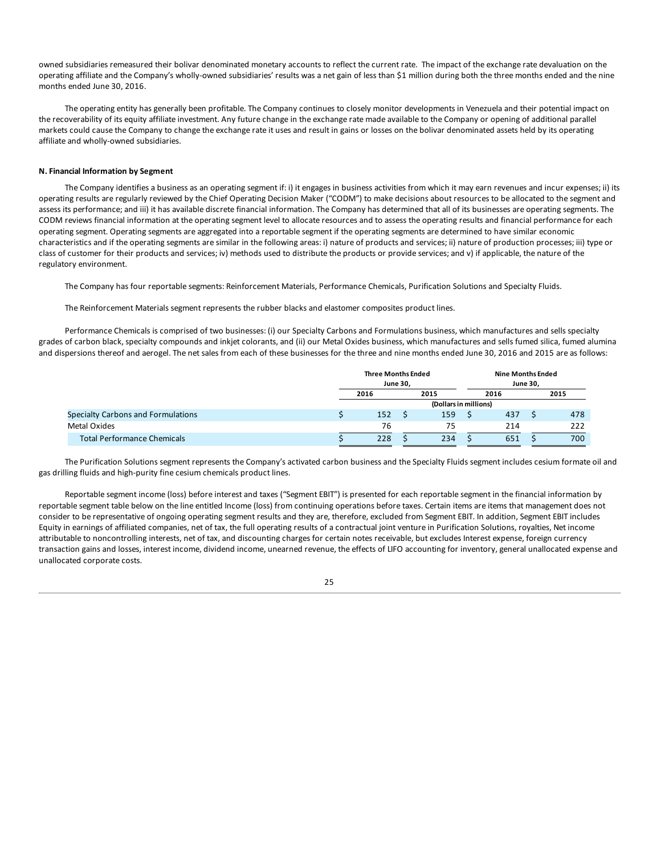owned subsidiaries remeasured their bolivar denominated monetary accounts to reflect the current rate. The impact of the exchange rate devaluation on the operating affiliate and the Company's wholly-owned subsidiaries' results was a net gain of less than \$1 million during both the three months ended and the nine months ended June 30, 2016.

The operating entity has generally been profitable. The Company continues to closely monitor developments in Venezuela and their potential impact on the recoverability of its equity affiliate investment. Any future change in the exchange rate made available to the Company or opening of additional parallel markets could cause the Company to change the exchange rate it uses and result in gains or losses on the bolivar denominated assets held by its operating affiliate and wholly-owned subsidiaries.

#### **N. Financial Information by Segment**

The Company identifies a business as an operating segment if: i) it engages in business activities from which it may earn revenues and incur expenses; ii) its operating results are regularly reviewed by the Chief Operating Decision Maker ("CODM") to make decisions about resources to be allocated to the segment and assess its performance; and iii) it has available discrete financial information. The Company has determined that all of its businesses are operating segments. The CODM reviews financial information at the operating segment level to allocate resources and to assess the operating results and financial performance for each operating segment. Operating segments are aggregated into a reportable segment if the operating segments are determined to have similar economic characteristics and if the operating segments are similar in the following areas: i) nature of products and services; ii) nature of production processes; iii) type or class of customer for their products and services; iv) methods used to distribute the products or provide services; and v) if applicable, the nature of the regulatory environment.

The Company has four reportable segments: Reinforcement Materials, Performance Chemicals, Purification Solutions and Specialty Fluids.

The Reinforcement Materials segment represents the rubber blacks and elastomer composites product lines.

Performance Chemicals is comprised of two businesses: (i) our Specialty Carbons and Formulations business, which manufactures and sells specialty grades of carbon black, specialty compounds and inkjet colorants, and (ii) our Metal Oxides business, which manufactures and sells fumed silica, fumed alumina and dispersions thereof and aerogel. The net sales from each of these businesses for the three and nine months ended June 30, 2016 and 2015 are as follows:

|                                    | <b>Three Months Ended</b> | <b>June 30.</b> |                       | <b>Nine Months Ended</b> | <b>June 30.</b> |      |
|------------------------------------|---------------------------|-----------------|-----------------------|--------------------------|-----------------|------|
|                                    | 2016                      |                 | 2015                  | 2016                     |                 | 2015 |
|                                    |                           |                 | (Dollars in millions) |                          |                 |      |
| Specialty Carbons and Formulations | 152                       |                 | 159                   | 437                      |                 | 478  |
| <b>Metal Oxides</b>                | 76                        |                 | 75                    | 214                      |                 | 222  |
| <b>Total Performance Chemicals</b> | 228                       |                 | 234                   | 651                      |                 | 700  |

The Purification Solutions segment represents the Company's activated carbon business and the Specialty Fluids segment includes cesium formate oil and gas drilling fluids and high-purity fine cesium chemicals product lines.

Reportable segment income (loss) before interest and taxes ("Segment EBIT") is presented for each reportable segment in the financial information by reportable segment table below on the line entitled Income (loss) from continuing operations before taxes. Certain items are items that management does not consider to be representative of ongoing operating segment results and they are, therefore, excluded from Segment EBIT. In addition, Segment EBIT includes Equity in earnings of affiliated companies, net of tax, the full operating results of a contractual joint venture in Purification Solutions, royalties, Net income attributable to noncontrolling interests, net of tax, and discounting charges for certain notes receivable, but excludes Interest expense, foreign currency transaction gains and losses, interest income, dividend income, unearned revenue, the effects of LIFO accounting for inventory, general unallocated expense and unallocated corporate costs.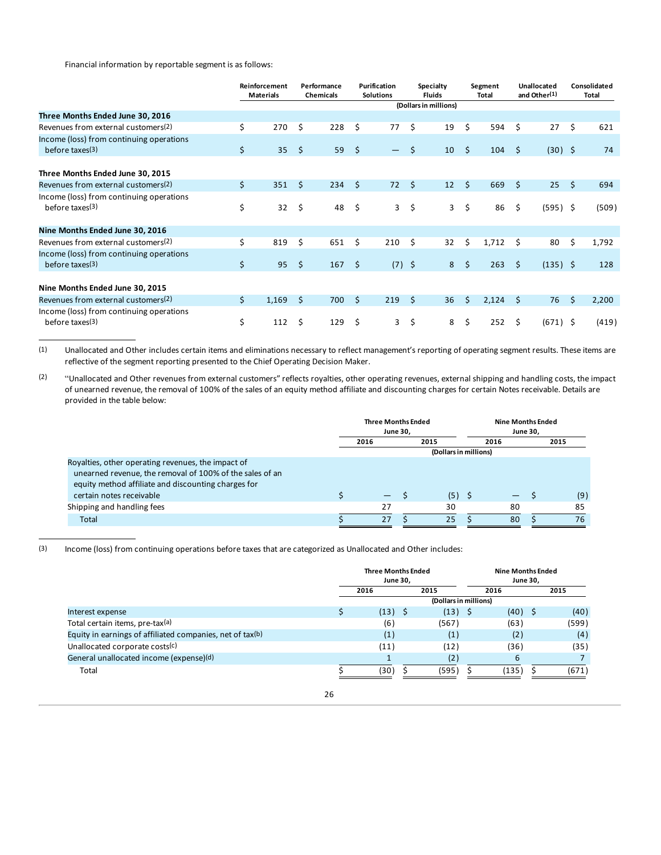Financial information by reportable segment is as follows:

|                                                                | Reinforcement<br><b>Materials</b> |     | Performance<br><b>Chemicals</b> |    | Purification<br><b>Solutions</b> |      | <b>Specialty</b><br><b>Fluids</b> |    | Segment<br>Total |      | <b>Unallocated</b><br>and Other(1) |    | Consolidated<br><b>Total</b> |
|----------------------------------------------------------------|-----------------------------------|-----|---------------------------------|----|----------------------------------|------|-----------------------------------|----|------------------|------|------------------------------------|----|------------------------------|
|                                                                |                                   |     |                                 |    |                                  |      | (Dollars in millions)             |    |                  |      |                                    |    |                              |
| Three Months Ended June 30, 2016                               |                                   |     |                                 |    |                                  |      |                                   |    |                  |      |                                    |    |                              |
| Revenues from external customers(2)                            | \$<br>270                         | Ŝ.  | 228                             | Ś. | 77                               | \$   | 19                                | \$ | 594              | Ŝ.   | 27                                 | \$ | 621                          |
| Income (loss) from continuing operations                       |                                   |     |                                 |    |                                  |      |                                   |    |                  |      |                                    |    |                              |
| before taxes(3)                                                | \$<br>35                          | Ŝ.  | 59                              | \$ |                                  | \$   | 10                                | Ŝ. | 104              | -S   | $(30)$ \$                          |    | 74                           |
| Three Months Ended June 30, 2015                               |                                   |     |                                 |    |                                  |      |                                   |    |                  |      |                                    |    |                              |
| Revenues from external customers(2)                            | \$<br>351                         | Ŝ.  | 234                             | Ŝ. | 72                               | - \$ | 12                                | Ŝ. | 669              | Ŝ.   | 25                                 | Ŝ. | 694                          |
| Income (loss) from continuing operations<br>before taxes $(3)$ | \$<br>32                          | -\$ | 48                              | \$ | 3                                | -\$  | 3                                 | \$ | 86               | -\$  | $(595)$ \$                         |    | (509)                        |
| Nine Months Ended June 30, 2016                                |                                   |     |                                 |    |                                  |      |                                   |    |                  |      |                                    |    |                              |
| Revenues from external customers(2)                            | \$<br>819                         | Ŝ.  | 651                             | Ś. | 210                              | Ŝ.   | 32                                | Ś. | 1,712            | Ŝ.   | 80                                 | Ŝ. | 1,792                        |
| Income (loss) from continuing operations<br>before taxes $(3)$ | \$<br>95                          | -\$ | 167                             | Ś. | $(7)$ \$                         |      | 8                                 | \$ | 263              | - \$ | $(135)$ \$                         |    | 128                          |
| Nine Months Ended June 30, 2015                                |                                   |     |                                 |    |                                  |      |                                   |    |                  |      |                                    |    |                              |
| Revenues from external customers <sup>(2)</sup>                | \$<br>1,169                       | - Ś | 700                             | Ŝ. | 219                              | Ŝ.   | 36                                | Ś. | 2,124            | - Ś  | 76                                 | Ŝ. | 2,200                        |
| Income (loss) from continuing operations<br>before taxes $(3)$ | \$<br>112                         | Ŝ.  | 129                             | \$ | 3                                | \$   | 8                                 | \$ | 252              | S    | $(671)$ \$                         |    | (419)                        |

(1) Unallocated and Other includes certain items and eliminations necessary to reflect management's reporting of operating segment results. These items are reflective of the segment reporting presented to the Chief Operating Decision Maker.

<sup>(2)</sup> "Unallocated and Other revenues from external customers" reflects royalties, other operating revenues, external shipping and handling costs, the impact of unearned revenue, the removal of 100% of the sales of an equity method affiliate and discounting charges for certain Notes receivable. Details are provided in the table below:

|                                                          |      | <b>Three Months Ended</b> | <b>June 30.</b> |                       |      | <b>Nine Months Ended</b><br><b>June 30.</b><br>2015<br>—<br>80 |     |
|----------------------------------------------------------|------|---------------------------|-----------------|-----------------------|------|----------------------------------------------------------------|-----|
|                                                          | 2016 |                           |                 | 2015                  | 2016 |                                                                |     |
|                                                          |      |                           |                 | (Dollars in millions) |      |                                                                |     |
| Royalties, other operating revenues, the impact of       |      |                           |                 |                       |      |                                                                |     |
| unearned revenue, the removal of 100% of the sales of an |      |                           |                 |                       |      |                                                                |     |
| equity method affiliate and discounting charges for      |      |                           |                 |                       |      |                                                                |     |
| certain notes receivable                                 |      | ਢ                         |                 | $(5)$ \$              |      |                                                                | (9) |
| Shipping and handling fees                               |      | 27                        |                 | 30                    |      |                                                                | 85  |
| Total                                                    |      | 27                        |                 | 25                    | 80   |                                                                | 76  |

(3) Income (loss) from continuing operations before taxes that are categorized as Unallocated and Other includes:

|                                                           |  | <b>Three Months Ended</b><br><b>June 30,</b> |       | <b>Nine Months Ended</b><br><b>June 30,</b> |       |
|-----------------------------------------------------------|--|----------------------------------------------|-------|---------------------------------------------|-------|
|                                                           |  | 2016                                         | 2015  | 2016                                        | 2015  |
|                                                           |  |                                              |       |                                             |       |
| Interest expense                                          |  | $(13)$ \$                                    | (13)  | $(40)$ \$                                   | (40)  |
| Total certain items, pre-tax(a)                           |  | (6)                                          | (567) | (63)                                        | (599) |
| Equity in earnings of affiliated companies, net of tax(b) |  | (1)                                          | (1)   | (2)                                         | (4)   |
| Unallocated corporate costs(c)                            |  | (11)                                         | (12)  | (36)                                        | (35)  |
| General unallocated income (expense)(d)                   |  |                                              | (2)   | 6                                           |       |
| Total                                                     |  | (30)                                         | (595) | (135)                                       | (671) |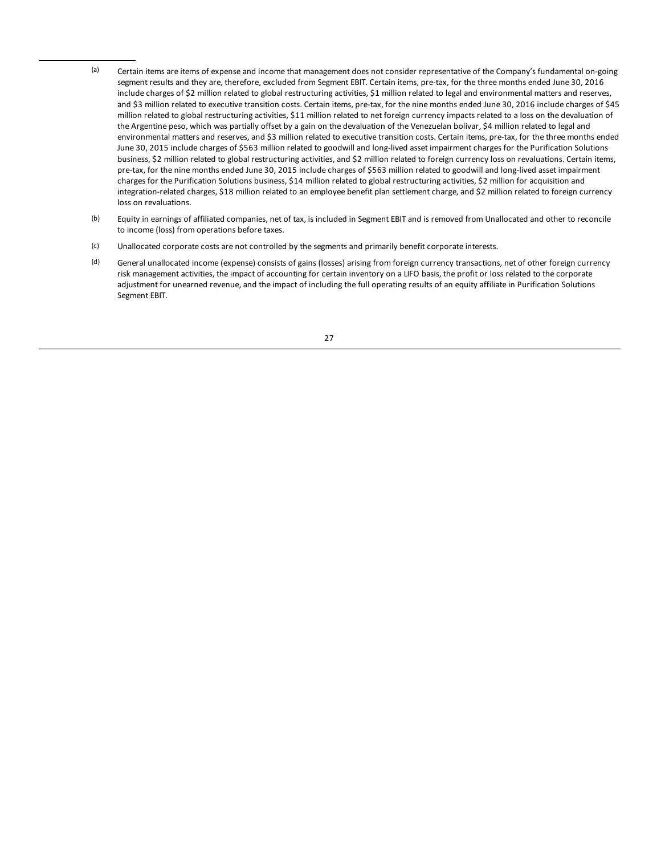- (a) Certain items are items of expense and income that management does not consider representative of the Company's fundamental on-going segment results and they are, therefore, excluded from Segment EBIT. Certain items, pre-tax, for the three months ended June 30, 2016 include charges of \$2 million related to global restructuring activities, \$1 million related to legal and environmental matters and reserves, and \$3 million related to executive transition costs. Certain items, pre-tax, for the nine months ended June 30, 2016 include charges of \$45 million related to global restructuring activities, \$11 million related to net foreign currency impacts related to a loss on the devaluation of the Argentine peso, which was partially offset by a gain on the devaluation of the Venezuelan bolivar, \$4 million related to legal and environmental matters and reserves, and \$3 million related to executive transition costs. Certain items, pre-tax, for the three months ended June 30, 2015 include charges of \$563 million related to goodwill and long-lived asset impairment charges for the Purification Solutions business, \$2 million related to global restructuring activities, and \$2 million related to foreign currency loss on revaluations. Certain items, pre-tax, for the nine months ended June 30, 2015 include charges of \$563 million related to goodwill and long-lived asset impairment charges for the Purification Solutions business, \$14 million related to global restructuring activities, \$2 million for acquisition and integration-related charges, \$18 million related to an employee benefit plan settlement charge, and \$2 million related to foreign currency loss on revaluations.
- (b) Equity in earnings of affiliated companies, net of tax, is included in Segment EBIT and is removed from Unallocated and other to reconcile to income (loss) from operations before taxes.
- (c) Unallocated corporate costs are not controlled by the segments and primarily benefit corporate interests.
- (d) General unallocated income (expense) consists of gains (losses) arising from foreign currency transactions, net of other foreign currency risk management activities, the impact of accounting for certain inventory on a LIFO basis, the profit or loss related to the corporate adjustment for unearned revenue, and the impact of including the full operating results of an equity affiliate in Purification Solutions Segment EBIT.

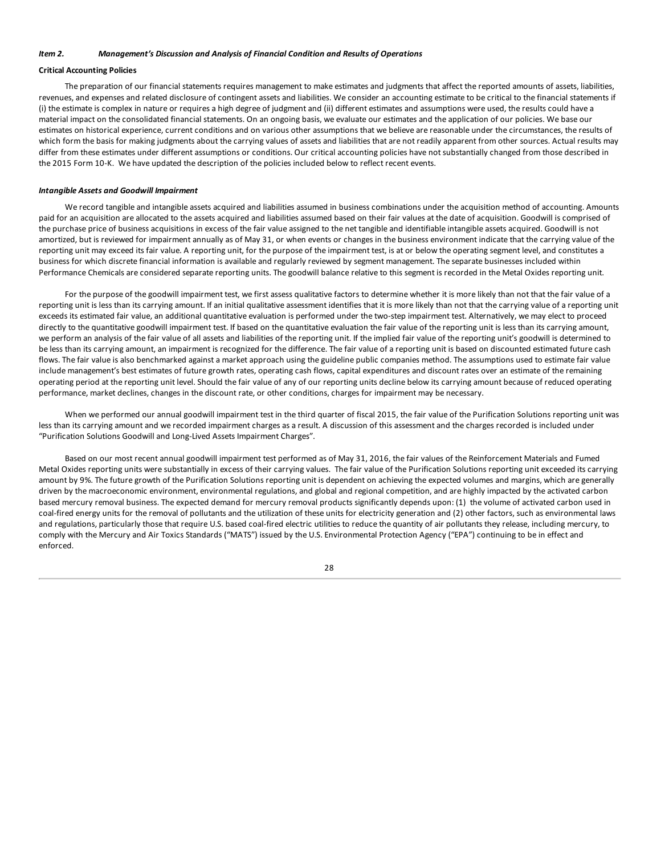### <span id="page-27-0"></span>*Item 2. Management's Discussion and Analysis of Financial Condition and Results of Operations*

#### **Critical Accounting Policies**

The preparation of our financial statements requires management to make estimates and judgments that affect the reported amounts of assets, liabilities, revenues, and expenses and related disclosure of contingent assets and liabilities. We consider an accounting estimate to be critical to the financial statements if (i) the estimate is complex in nature or requires a high degree of judgment and (ii) different estimates and assumptions were used, the results could have a material impact on the consolidated financial statements. On an ongoing basis, we evaluate our estimates and the application of our policies. We base our estimates on historical experience, current conditions and on various other assumptions that we believe are reasonable under the circumstances, the results of which form the basis for making judgments about the carrying values of assets and liabilities that are not readily apparent from other sources. Actual results may differ from these estimates under different assumptions or conditions. Our critical accounting policies have not substantially changed from those described in the 2015 Form 10-K. We have updated the description of the policies included below to reflect recent events.

#### *Intangible Assets and Goodwill Impairment*

We record tangible and intangible assets acquired and liabilities assumed in business combinations under the acquisition method of accounting. Amounts paid for an acquisition are allocated to the assets acquired and liabilities assumed based on their fair values at the date of acquisition. Goodwill is comprised of the purchase price of business acquisitions in excess of the fair value assigned to the net tangible and identifiable intangible assets acquired. Goodwill is not amortized, but is reviewed for impairment annually as of May 31, or when events or changes in the business environment indicate that the carrying value of the reporting unit may exceed its fair value. A reporting unit, for the purpose of the impairment test, is at or below the operating segment level, and constitutes a business for which discrete financial information is available and regularly reviewed by segment management. The separate businesses included within Performance Chemicals are considered separate reporting units. The goodwill balance relative to this segment is recorded in the Metal Oxides reporting unit.

For the purpose of the goodwill impairment test, we first assess qualitative factors to determine whether it is more likely than not that the fair value of a reporting unit is less than its carrying amount. If an initial qualitative assessment identifies that it is more likely than not that the carrying value of a reporting unit exceeds its estimated fair value, an additional quantitative evaluation is performed under the two-step impairment test. Alternatively, we may elect to proceed directly to the quantitative goodwill impairment test. If based on the quantitative evaluation the fair value of the reporting unit is less than its carrying amount, we perform an analysis of the fair value of all assets and liabilities of the reporting unit. If the implied fair value of the reporting unit's goodwill is determined to be less than its carrying amount, an impairment is recognized for the difference. The fair value of a reporting unit is based on discounted estimated future cash flows. The fair value is also benchmarked against a market approach using the guideline public companies method. The assumptions used to estimate fair value include management's best estimates of future growth rates, operating cash flows, capital expenditures and discount rates over an estimate of the remaining operating period at the reporting unit level. Should the fair value of any of our reporting units decline below its carrying amount because of reduced operating performance, market declines, changes in the discount rate, or other conditions, charges for impairment may be necessary.

When we performed our annual goodwill impairment test in the third quarter of fiscal 2015, the fair value of the Purification Solutions reporting unit was less than its carrying amount and we recorded impairment charges as a result. A discussion of this assessment and the charges recorded is included under "Purification Solutions Goodwill and Long-Lived Assets Impairment Charges".

Based on our most recent annual goodwill impairment test performed as of May 31, 2016, the fair values of the Reinforcement Materials and Fumed Metal Oxides reporting units were substantially in excess of their carrying values. The fair value of the Purification Solutions reporting unit exceeded its carrying amount by 9%. The future growth of the Purification Solutions reporting unit is dependent on achieving the expected volumes and margins, which are generally driven by the macroeconomic environment, environmental regulations, and global and regional competition, and are highly impacted by the activated carbon based mercury removal business. The expected demand for mercury removal products significantly depends upon: (1) the volume of activated carbon used in coal-fired energy units for the removal of pollutants and the utilization of these units for electricity generation and (2) other factors, such as environmental laws and regulations, particularly those that require U.S. based coal-fired electric utilities to reduce the quantity of air pollutants they release, including mercury, to comply with the Mercury and Air Toxics Standards ("MATS") issued by the U.S. Environmental Protection Agency ("EPA") continuing to be in effect and enforced.

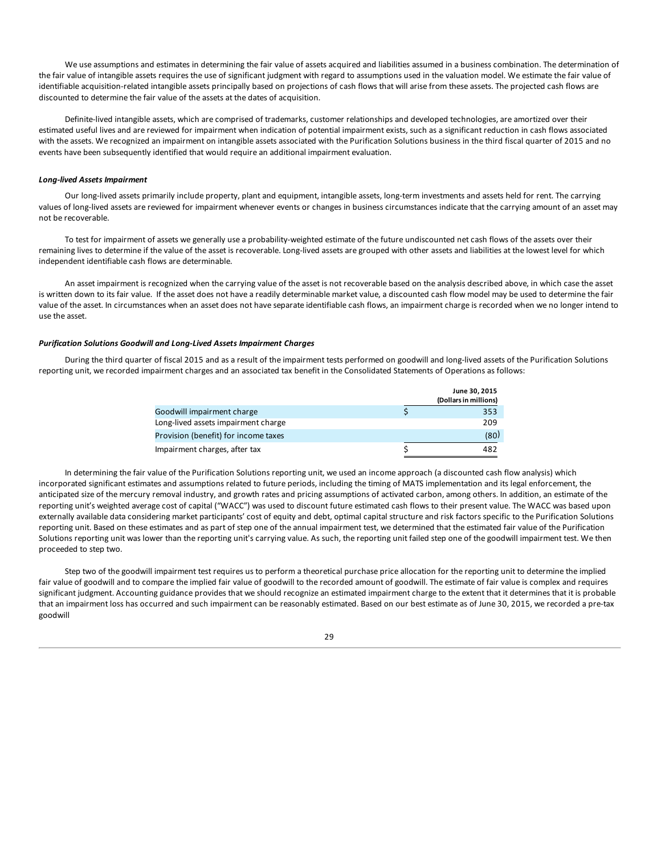We use assumptions and estimates in determining the fair value of assets acquired and liabilities assumed in a business combination. The determination of the fair value of intangible assets requires the use of significant judgment with regard to assumptions used in the valuation model. We estimate the fair value of identifiable acquisition-related intangible assets principally based on projections of cash flows that will arise from these assets. The projected cash flows are discounted to determine the fair value of the assets at the dates of acquisition.

Definite-lived intangible assets, which are comprised of trademarks, customer relationships and developed technologies, are amortized over their estimated useful lives and are reviewed for impairment when indication of potential impairment exists, such as a significant reduction in cash flows associated with the assets. We recognized an impairment on intangible assets associated with the Purification Solutions business in the third fiscal quarter of 2015 and no events have been subsequently identified that would require an additional impairment evaluation.

#### *Long-lived Assets Impairment*

Our long-lived assets primarily include property, plant and equipment, intangible assets, long-term investments and assets held for rent. The carrying values of long-lived assets are reviewed for impairment whenever events or changes in business circumstances indicate that the carrying amount of an asset may not be recoverable.

To test for impairment of assets we generally use a probability-weighted estimate of the future undiscounted net cash flows of the assets over their remaining lives to determine if the value of the asset is recoverable. Long-lived assets are grouped with other assets and liabilities at the lowest level for which independent identifiable cash flows are determinable.

An asset impairment is recognized when the carrying value of the asset is not recoverable based on the analysis described above, in which case the asset is written down to its fair value. If the asset does not have a readily determinable market value, a discounted cash flow model may be used to determine the fair value of the asset. In circumstances when an asset does not have separate identifiable cash flows, an impairment charge is recorded when we no longer intend to use the asset.

#### *Purification Solutions Goodwill and Long-Lived Assets Impairment Charges*

During the third quarter of fiscal 2015 and as a result of the impairment tests performed on goodwill and long-lived assets of the Purification Solutions reporting unit, we recorded impairment charges and an associated tax benefit in the Consolidated Statements of Operations as follows:

|                                      | June 30, 2015<br>(Dollars in millions) |
|--------------------------------------|----------------------------------------|
| Goodwill impairment charge           | 353                                    |
| Long-lived assets impairment charge  | 209                                    |
| Provision (benefit) for income taxes | (80)                                   |
| Impairment charges, after tax        | 482                                    |

In determining the fair value of the Purification Solutions reporting unit, we used an income approach (a discounted cash flow analysis) which incorporated significant estimates and assumptions related to future periods, including the timing of MATS implementation and its legal enforcement, the anticipated size of the mercury removal industry, and growth rates and pricing assumptions of activated carbon, among others. In addition, an estimate of the reporting unit's weighted average cost of capital ("WACC") was used to discount future estimated cash flows to their present value. The WACC was based upon externally available data considering market participants' cost of equity and debt, optimal capital structure and risk factors specific to the Purification Solutions reporting unit. Based on these estimates and as part of step one of the annual impairment test, we determined that the estimated fair value of the Purification Solutions reporting unit was lower than the reporting unit's carrying value. As such, the reporting unit failed step one of the goodwill impairment test. We then proceeded to step two.

Step two of the goodwill impairment test requires us to perform a theoretical purchase price allocation for the reporting unit to determine the implied fair value of goodwill and to compare the implied fair value of goodwill to the recorded amount of goodwill. The estimate of fair value is complex and requires significant judgment. Accounting guidance provides that we should recognize an estimated impairment charge to the extent that it determines that it is probable that an impairment loss has occurred and such impairment can be reasonably estimated. Based on our best estimate as of June 30, 2015, we recorded a pre-tax goodwill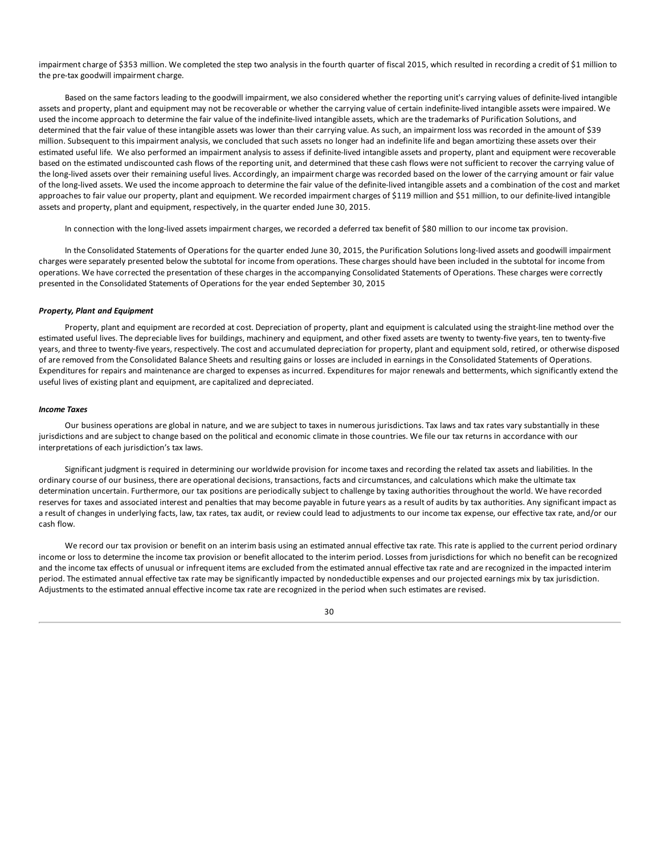impairment charge of \$353 million. We completed the step two analysis in the fourth quarter of fiscal 2015, which resulted in recording a credit of \$1 million to the pre-tax goodwill impairment charge.

Based on the same factors leading to the goodwill impairment, we also considered whether the reporting unit's carrying values of definite-lived intangible assets and property, plant and equipment may not be recoverable or whether the carrying value of certain indefinite-lived intangible assets were impaired. We used the income approach to determine the fair value of the indefinite-lived intangible assets, which are the trademarks of Purification Solutions, and determined that the fair value of these intangible assets was lower than their carrying value. As such, an impairment loss was recorded in the amount of \$39 million. Subsequent to this impairment analysis, we concluded that such assets no longer had an indefinite life and began amortizing these assets over their estimated useful life. We also performed an impairment analysis to assess if definite-lived intangible assets and property, plant and equipment were recoverable based on the estimated undiscounted cash flows of the reporting unit, and determined that these cash flows were not sufficient to recover the carrying value of the long-lived assets over their remaining useful lives. Accordingly, an impairment charge was recorded based on the lower of the carrying amount or fair value of the long-lived assets. We used the income approach to determine the fair value of the definite-lived intangible assets and a combination of the cost and market approaches to fair value our property, plant and equipment. We recorded impairment charges of \$119 million and \$51 million, to our definite-lived intangible assets and property, plant and equipment, respectively, in the quarter ended June 30, 2015.

In connection with the long-lived assets impairment charges, we recorded a deferred tax benefit of \$80 million to our income tax provision.

In the Consolidated Statements of Operations for the quarter ended June 30, 2015, the Purification Solutions long-lived assets and goodwill impairment charges were separately presented below the subtotal for income from operations. These charges should have been included in the subtotal for income from operations. We have corrected the presentation of these charges in the accompanying Consolidated Statements of Operations. These charges were correctly presented in the Consolidated Statements of Operations for the year ended September 30, 2015

#### *Property, Plant and Equipment*

Property, plant and equipment are recorded at cost. Depreciation of property, plant and equipment is calculated using the straight-line method over the estimated useful lives. The depreciable lives for buildings, machinery and equipment, and other fixed assets are twenty to twenty-five years, ten to twenty-five years, and three to twenty-five years, respectively. The cost and accumulated depreciation for property, plant and equipment sold, retired, or otherwise disposed of are removed from the Consolidated Balance Sheets and resulting gains or losses are included in earnings in the Consolidated Statements of Operations. Expenditures for repairs and maintenance are charged to expenses as incurred. Expenditures for major renewals and betterments, which significantly extend the useful lives of existing plant and equipment, are capitalized and depreciated.

#### *Income Taxes*

Our business operations are global in nature, and we are subject to taxes in numerous jurisdictions. Tax laws and tax rates vary substantially in these jurisdictions and are subject to change based on the political and economic climate in those countries. We file our tax returns in accordance with our interpretations of each jurisdiction's tax laws.

Significant judgment is required in determining our worldwide provision for income taxes and recording the related tax assets and liabilities. In the ordinary course of our business, there are operational decisions, transactions, facts and circumstances, and calculations which make the ultimate tax determination uncertain. Furthermore, our tax positions are periodically subject to challenge by taxing authorities throughout the world. We have recorded reserves for taxes and associated interest and penalties that may become payable in future years as a result of audits by tax authorities. Any significant impact as a result of changes in underlying facts, law, tax rates, tax audit, or review could lead to adjustments to our income tax expense, our effective tax rate, and/or our cash flow.

We record our tax provision or benefit on an interim basis using an estimated annual effective tax rate. This rate is applied to the current period ordinary income or loss to determine the income tax provision or benefit allocated to the interim period. Losses from jurisdictions for which no benefit can be recognized and the income tax effects of unusual or infrequent items are excluded from the estimated annual effective tax rate and are recognized in the impacted interim period. The estimated annual effective tax rate may be significantly impacted by nondeductible expenses and our projected earnings mix by tax jurisdiction. Adjustments to the estimated annual effective income tax rate are recognized in the period when such estimates are revised.

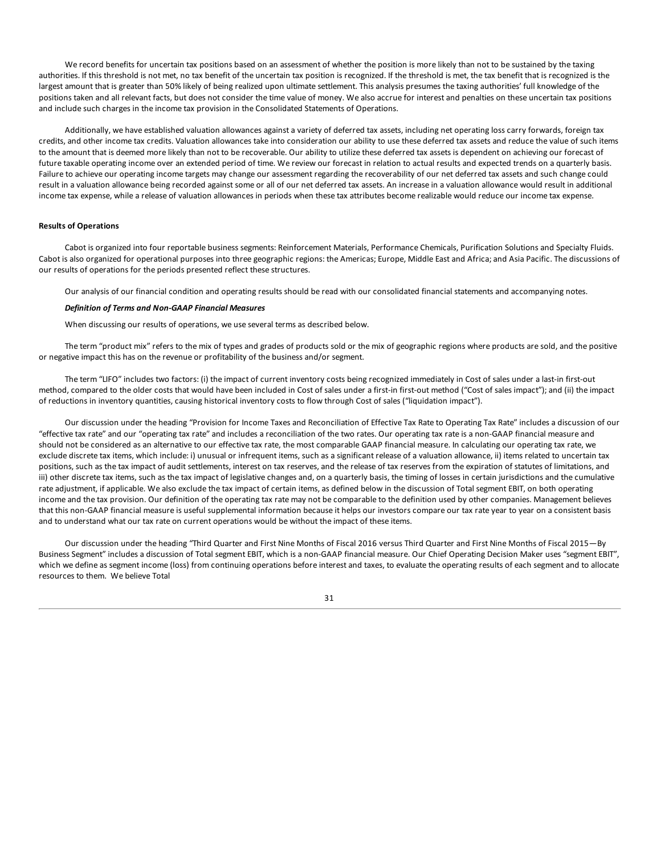We record benefits for uncertain tax positions based on an assessment of whether the position is more likely than not to be sustained by the taxing authorities. If this threshold is not met, no tax benefit of the uncertain tax position is recognized. If the threshold is met, the tax benefit that is recognized is the largest amount that is greater than 50% likely of being realized upon ultimate settlement. This analysis presumes the taxing authorities' full knowledge of the positions taken and all relevant facts, but does not consider the time value of money. We also accrue for interest and penalties on these uncertain tax positions and include such charges in the income tax provision in the Consolidated Statements of Operations.

Additionally, we have established valuation allowances against a variety of deferred tax assets, including net operating loss carry forwards, foreign tax credits, and other income tax credits. Valuation allowances take into consideration our ability to use these deferred tax assets and reduce the value of such items to the amount that is deemed more likely than not to be recoverable. Our ability to utilize these deferred tax assets is dependent on achieving our forecast of future taxable operating income over an extended period of time. We review our forecast in relation to actual results and expected trends on a quarterly basis. Failure to achieve our operating income targets may change our assessment regarding the recoverability of our net deferred tax assets and such change could result in a valuation allowance being recorded against some or all of our net deferred tax assets. An increase in a valuation allowance would result in additional income tax expense, while a release of valuation allowances in periods when these tax attributes become realizable would reduce our income tax expense.

#### **Results of Operations**

Cabot is organized into four reportable business segments: Reinforcement Materials, Performance Chemicals, Purification Solutions and Specialty Fluids. Cabot is also organized for operational purposes into three geographic regions: the Americas; Europe, Middle East and Africa; and Asia Pacific. The discussions of our results of operations for the periods presented reflect these structures.

Our analysis of our financial condition and operating results should be read with our consolidated financial statements and accompanying notes.

#### *Definition of Terms and Non-GAAP Financial Measures*

When discussing our results of operations, we use several terms as described below.

The term "product mix" refers to the mix of types and grades of products sold or the mix of geographic regions where products are sold, and the positive or negative impact this has on the revenue or profitability of the business and/or segment.

The term "LIFO" includes two factors: (i) the impact of current inventory costs being recognized immediately in Cost of sales under a last-in first-out method, compared to the older costs that would have been included in Cost of sales under a first-in first-out method ("Cost of sales impact"); and (ii) the impact of reductions in inventory quantities, causing historical inventory costs to flow through Cost of sales ("liquidation impact").

Our discussion under the heading "Provision for Income Taxes and Reconciliation of Effective Tax Rate to Operating Tax Rate" includes a discussion of our "effective tax rate" and our "operating tax rate" and includes a reconciliation of the two rates. Our operating tax rate is a non-GAAP financial measure and should not be considered as an alternative to our effective tax rate, the most comparable GAAP financial measure. In calculating our operating tax rate, we exclude discrete tax items, which include: i) unusual or infrequent items, such as a significant release of a valuation allowance, ii) items related to uncertain tax positions, such as the tax impact of audit settlements, interest on tax reserves, and the release of tax reserves from the expiration of statutes of limitations, and iii) other discrete tax items, such as the tax impact of legislative changes and, on a quarterly basis, the timing of losses in certain jurisdictions and the cumulative rate adjustment, if applicable. We also exclude the tax impact of certain items, as defined below in the discussion of Total segment EBIT, on both operating income and the tax provision. Our definition of the operating tax rate may not be comparable to the definition used by other companies. Management believes that this non-GAAP financial measure is useful supplemental information because it helps our investors compare our tax rate year to year on a consistent basis and to understand what our tax rate on current operations would be without the impact of these items.

Our discussion under the heading "Third Quarter and First Nine Months of Fiscal 2016 versus Third Quarter and First Nine Months of Fiscal 2015—By Business Segment" includes a discussion of Total segment EBIT, which is a non-GAAP financial measure. Our Chief Operating Decision Maker uses "segment EBIT", which we define as segment income (loss) from continuing operations before interest and taxes, to evaluate the operating results of each segment and to allocate resources to them. We believe Total

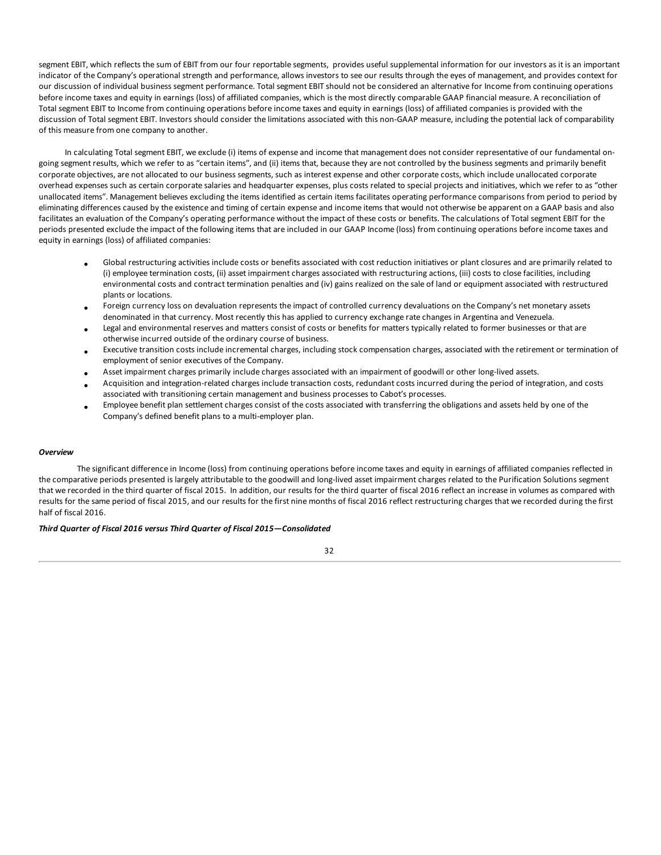segment EBIT, which reflects the sum of EBIT from our four reportable segments, provides useful supplemental information for our investors as it is an important indicator of the Company's operational strength and performance, allows investors to see our results through the eyes of management, and provides context for our discussion of individual business segment performance. Total segment EBIT should not be considered an alternative for Income from continuing operations before income taxes and equity in earnings (loss) of affiliated companies, which is the most directly comparable GAAP financial measure. A reconciliation of Total segment EBIT to Income from continuing operations before income taxes and equity in earnings (loss) of affiliated companies is provided with the discussion of Total segment EBIT. Investors should consider the limitations associated with this non-GAAP measure, including the potential lack of comparability of this measure from one company to another.

In calculating Total segment EBIT, we exclude (i) items of expense and income that management does not consider representative of our fundamental ongoing segment results, which we refer to as "certain items", and (ii) items that, because they are not controlled by the business segments and primarily benefit corporate objectives, are not allocated to our business segments, such as interest expense and other corporate costs, which include unallocated corporate overhead expenses such as certain corporate salaries and headquarter expenses, plus costs related to special projects and initiatives, which we refer to as "other unallocated items". Management believes excluding the items identified as certain items facilitates operating performance comparisons from period to period by eliminating differences caused by the existence and timing of certain expense and income items that would not otherwise be apparent on a GAAP basis and also facilitates an evaluation of the Company's operating performance without the impact of these costs or benefits. The calculations of Total segment EBIT for the periods presented exclude the impact of the following items that are included in our GAAP Income (loss) from continuing operations before income taxes and equity in earnings (loss) of affiliated companies:

- Global restructuring activities include costs or benefits associated with cost reduction initiatives or plant closures and are primarily related to (i) employee termination costs, (ii) asset impairment charges associated with restructuring actions, (iii) costs to close facilities, including environmental costs and contract termination penalties and (iv) gains realized on the sale of land or equipment associated with restructured plants or locations.
- · Foreign currency loss on devaluation represents the impact of controlled currency devaluations on the Company's net monetary assets denominated in that currency. Most recently this has applied to currency exchange rate changes in Argentina and Venezuela.
- · Legal and environmental reserves and matters consist of costs or benefits for matters typically related to former businesses or that are otherwise incurred outside of the ordinary course of business.
- Executive transition costs include incremental charges, including stock compensation charges, associated with the retirement or termination of employment of senior executives of the Company.
- · Asset impairment charges primarily include charges associated with an impairment of goodwill or other long-lived assets.
- · Acquisition and integration-related charges include transaction costs, redundant costs incurred during the period of integration, and costs associated with transitioning certain management and business processes to Cabot's processes.
- Employee benefit plan settlement charges consist of the costs associated with transferring the obligations and assets held by one of the Company's defined benefit plans to a multi-employer plan.

#### *Overview*

The significant difference in Income (loss) from continuing operations before income taxes and equity in earnings of affiliated companies reflected in the comparative periods presented is largely attributable to the goodwill and long-lived asset impairment charges related to the Purification Solutions segment that we recorded in the third quarter of fiscal 2015. In addition, our results for the third quarter of fiscal 2016 reflect an increase in volumes as compared with results for the same period of fiscal 2015, and our results for the first nine months of fiscal 2016 reflect restructuring charges that we recorded during the first half of fiscal 2016.

#### *Third Quarter of Fiscal 2016 versus Third Quarter of Fiscal 2015—Consolidated*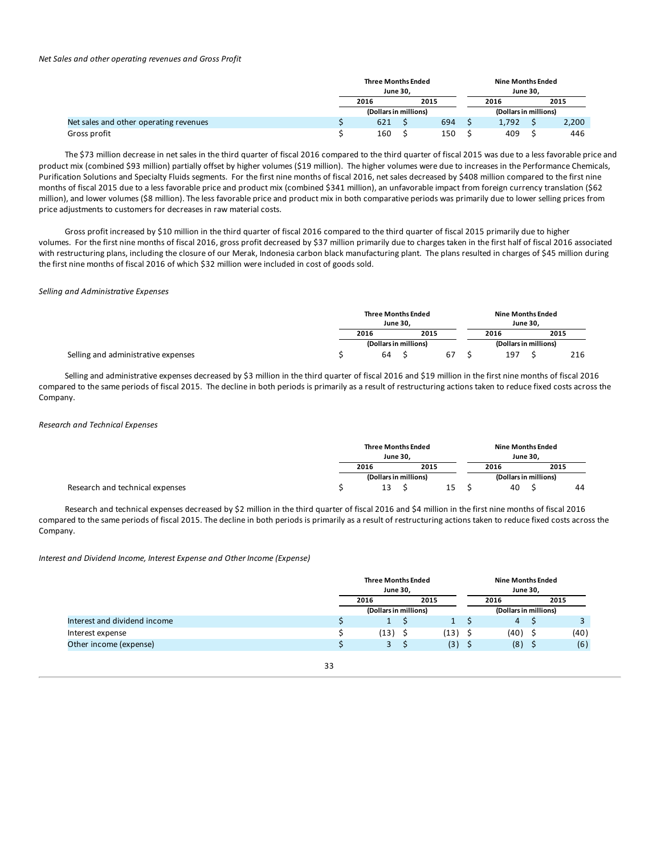#### *Net Sales and other operating revenues and Gross Profit*

|                                        | <b>Three Months Ended</b> | <b>June 30.</b> |      | <b>Nine Months Ended</b> | <b>June 30.</b> |       |
|----------------------------------------|---------------------------|-----------------|------|--------------------------|-----------------|-------|
|                                        | 2016                      |                 | 2015 | 2016                     |                 | 2015  |
|                                        | (Dollars in millions)     |                 |      | (Dollars in millions)    |                 |       |
| Net sales and other operating revenues | 621                       |                 | 694  | 1.792                    |                 | 2,200 |
| Gross profit                           | 160                       |                 | 150  | 409                      |                 | 446   |

The \$73 million decrease in net sales in the third quarter of fiscal 2016 compared to the third quarter of fiscal 2015 was due to a less favorable price and product mix (combined \$93 million) partially offset by higher volumes (\$19 million). The higher volumes were due to increases in the Performance Chemicals, Purification Solutions and Specialty Fluids segments. For the first nine months of fiscal 2016, net sales decreased by \$408 million compared to the first nine months of fiscal 2015 due to a less favorable price and product mix (combined \$341 million), an unfavorable impact from foreign currency translation (\$62 million), and lower volumes (\$8 million). The less favorable price and product mix in both comparative periods was primarily due to lower selling prices from price adjustments to customers for decreases in raw material costs.

Gross profit increased by \$10 million in the third quarter of fiscal 2016 compared to the third quarter of fiscal 2015 primarily due to higher volumes. For the first nine months of fiscal 2016, gross profit decreased by \$37 million primarily due to charges taken in the first half of fiscal 2016 associated with restructuring plans, including the closure of our Merak, Indonesia carbon black manufacturing plant. The plans resulted in charges of \$45 million during the first nine months of fiscal 2016 of which \$32 million were included in cost of goods sold.

#### *Selling and Administrative Expenses*

|                                     | <b>Three Months Ended</b> | <b>June 30.</b> |    | <b>Nine Months Ended</b> | <b>June 30.</b>       |     |  |  |
|-------------------------------------|---------------------------|-----------------|----|--------------------------|-----------------------|-----|--|--|
|                                     | 2015<br>2016              |                 |    | 2016                     | 2015                  |     |  |  |
|                                     | (Dollars in millions)     |                 |    |                          | (Dollars in millions) |     |  |  |
| Selling and administrative expenses | 64                        |                 | 67 | 197                      |                       | 216 |  |  |

Selling and administrative expenses decreased by \$3 million in the third quarter of fiscal 2016 and \$19 million in the first nine months of fiscal 2016 compared to the same periods of fiscal 2015. The decline in both periods is primarily as a result of restructuring actions taken to reduce fixed costs across the Company.

#### *Research and Technical Expenses*

|  | <b>Three Months Ended</b> |                 |      | <b>Nine Months Ended</b> |                 |      |
|--|---------------------------|-----------------|------|--------------------------|-----------------|------|
|  |                           | <b>June 30.</b> |      |                          | <b>June 30.</b> |      |
|  | 2016                      |                 | 2015 | 2016                     |                 | 2015 |
|  | (Dollars in millions)     |                 |      | (Dollars in millions)    |                 |      |
|  | 13                        |                 | 15   | 40                       |                 | 44   |

Research and technical expenses decreased by \$2 million in the third quarter of fiscal 2016 and \$4 million in the first nine months of fiscal 2016 compared to the same periods of fiscal 2015. The decline in both periods is primarily as a result of restructuring actions taken to reduce fixed costs across the Company.

#### *Interest and Dividend Income, Interest Expense and Other Income (Expense)*

|                              | <b>Three Months Ended</b><br><b>June 30,</b> |  |      |     |      | <b>Nine Months Ended</b><br><b>June 30,</b> |      |  |  |
|------------------------------|----------------------------------------------|--|------|-----|------|---------------------------------------------|------|--|--|
|                              | 2016<br>2015                                 |  |      |     | 2016 |                                             | 2015 |  |  |
|                              | (Dollars in millions)                        |  |      |     |      | (Dollars in millions)<br>(40)               |      |  |  |
| Interest and dividend income | 1.                                           |  |      |     | 4    |                                             |      |  |  |
| Interest expense             | (13)                                         |  | (13) |     | (40) |                                             |      |  |  |
| Other income (expense)       | 3                                            |  | (3)  | - 5 | (8)  |                                             | (6)  |  |  |
|                              |                                              |  |      |     |      |                                             |      |  |  |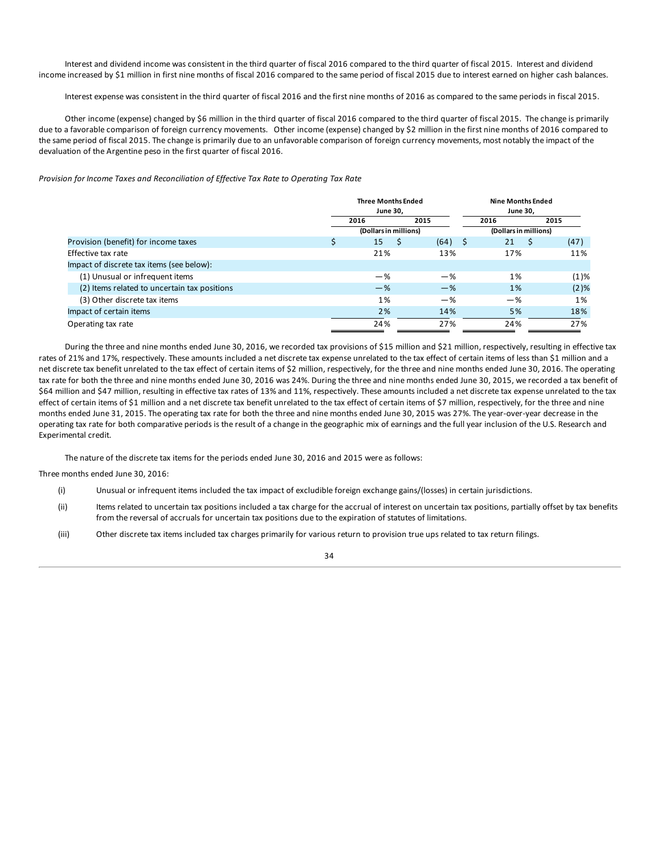Interest and dividend income was consistent in the third quarter of fiscal 2016 compared to the third quarter of fiscal 2015. Interest and dividend income increased by \$1 million in first nine months of fiscal 2016 compared to the same period of fiscal 2015 due to interest earned on higher cash balances.

Interest expense was consistent in the third quarter of fiscal 2016 and the first nine months of 2016 as compared to the same periods in fiscal 2015.

Other income (expense) changed by \$6 million in the third quarter of fiscal 2016 compared to the third quarter of fiscal 2015. The change is primarily due to a favorable comparison of foreign currency movements. Other income (expense) changed by \$2 million in the first nine months of 2016 compared to the same period of fiscal 2015. The change is primarily due to an unfavorable comparison of foreign currency movements, most notably the impact of the devaluation of the Argentine peso in the first quarter of fiscal 2016.

### *Provision for Income Taxes and Reconciliation of Effective Tax Rate to Operating Tax Rate*

|                                              |              | <b>Three Months Ended</b><br><b>June 30,</b> |   |       |    | <b>Nine Months Ended</b><br>June 30, |   |      |  |
|----------------------------------------------|--------------|----------------------------------------------|---|-------|----|--------------------------------------|---|------|--|
|                                              | 2016<br>2015 |                                              |   |       |    | 2016                                 |   | 2015 |  |
|                                              |              | (Dollars in millions)                        |   |       |    | (Dollars in millions)                |   |      |  |
| Provision (benefit) for income taxes         | \$           | 15                                           | S | (64)  | -S | 21                                   | Ś | (47) |  |
| Effective tax rate                           |              | 21%                                          |   | 13%   |    | 17%                                  |   | 11%  |  |
| Impact of discrete tax items (see below):    |              |                                              |   |       |    |                                      |   |      |  |
| (1) Unusual or infrequent items              |              | $-$ %                                        |   | $-$ % |    | 1%                                   |   | (1)% |  |
| (2) Items related to uncertain tax positions |              | $-$ %                                        |   | $-$ % |    | 1%                                   |   | (2)% |  |
| (3) Other discrete tax items                 |              | 1%                                           |   | $-$ % |    | $-\%$                                |   | 1%   |  |
| Impact of certain items                      |              | 2%                                           |   | 14%   |    | 5%                                   |   | 18%  |  |
| Operating tax rate                           |              | 24%                                          |   | 27%   |    | 24%                                  |   | 27%  |  |

During the three and nine months ended June 30, 2016, we recorded tax provisions of \$15 million and \$21 million, respectively, resulting in effective tax rates of 21% and 17%, respectively. These amounts included a net discrete tax expense unrelated to the tax effect of certain items of less than \$1 million and a net discrete tax benefit unrelated to the tax effect of certain items of \$2 million, respectively, for the three and nine months ended June 30, 2016. The operating tax rate for both the three and nine months ended June 30, 2016 was 24%. During the three and nine months ended June 30, 2015, we recorded a tax benefit of \$64 million and \$47 million, resulting in effective tax rates of 13% and 11%, respectively. These amounts included a net discrete tax expense unrelated to the tax effect of certain items of \$1 million and a net discrete tax benefit unrelated to the tax effect of certain items of \$7 million, respectively, for the three and nine months ended June 31, 2015. The operating tax rate for both the three and nine months ended June 30, 2015 was 27%. The year-over-year decrease in the operating tax rate for both comparative periods is the result of a change in the geographic mix of earnings and the full year inclusion of the U.S. Research and Experimental credit.

The nature of the discrete tax items for the periods ended June 30, 2016 and 2015 were as follows:

Three months ended June 30, 2016:

- (i) Unusual or infrequent items included the tax impact of excludible foreign exchange gains/(losses) in certain jurisdictions.
- (ii) Items related to uncertain tax positions included a tax charge for the accrual of interest on uncertain tax positions, partially offset by tax benefits from the reversal of accruals for uncertain tax positions due to the expiration of statutes of limitations.
- (iii) Other discrete tax items included tax charges primarily for various return to provision true ups related to tax return filings.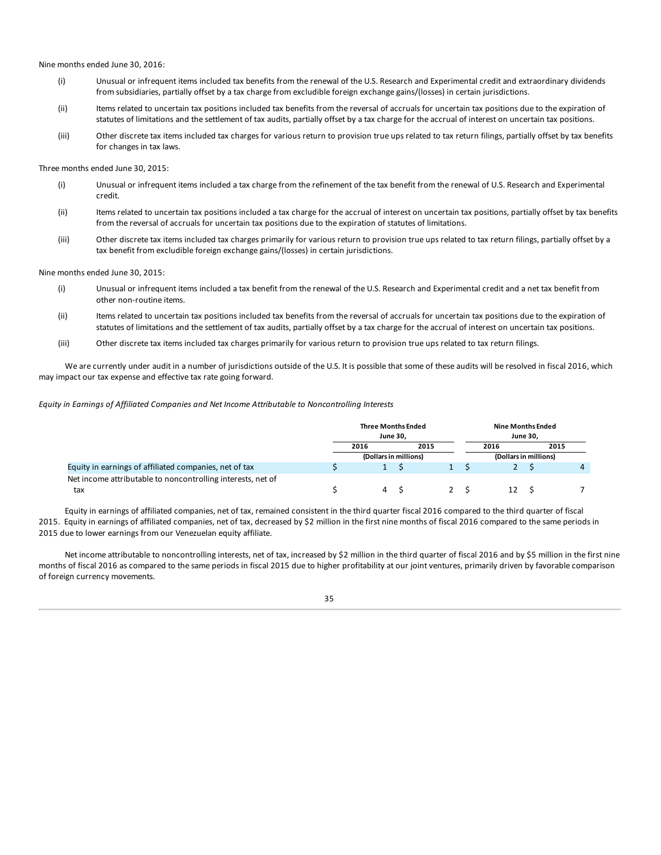Nine months ended June 30, 2016:

- (i) Unusual or infrequent items included tax benefits from the renewal of the U.S. Research and Experimental credit and extraordinary dividends from subsidiaries, partially offset by a tax charge from excludible foreign exchange gains/(losses) in certain jurisdictions.
- (ii) Items related to uncertain tax positions included tax benefits from the reversal of accruals for uncertain tax positions due to the expiration of statutes of limitations and the settlement of tax audits, partially offset by a tax charge for the accrual of interest on uncertain tax positions.
- (iii) Other discrete tax items included tax charges for various return to provision true ups related to tax return filings, partially offset by tax benefits for changes in tax laws.

Three months ended June 30, 2015:

- (i) Unusual or infrequent items included a tax charge from the refinement of the tax benefit from the renewal of U.S. Research and Experimental credit.
- (ii) Items related to uncertain tax positions included a tax charge for the accrual of interest on uncertain tax positions, partially offset by tax benefits from the reversal of accruals for uncertain tax positions due to the expiration of statutes of limitations.
- (iii) Other discrete tax items included tax charges primarily for various return to provision true ups related to tax return filings, partially offset by a tax benefit from excludible foreign exchange gains/(losses) in certain jurisdictions.

Nine months ended June 30, 2015:

- (i) Unusual or infrequent items included a tax benefit from the renewal of the U.S. Research and Experimental credit and a net tax benefit from other non-routine items.
- (ii) Items related to uncertain tax positions included tax benefits from the reversal of accruals for uncertain tax positions due to the expiration of statutes of limitations and the settlement of tax audits, partially offset by a tax charge for the accrual of interest on uncertain tax positions.
- (iii) Other discrete tax items included tax charges primarily for various return to provision true ups related to tax return filings.

We are currently under audit in a number of jurisdictions outside of the U.S. It is possible that some of these audits will be resolved in fiscal 2016, which may impact our tax expense and effective tax rate going forward.

*Equity in Earnings of Affiliated Companies and Net Income Attributable to Noncontrolling Interests*

|                                                             | <b>Three Months Ended</b> | June 30, |      | <b>Nine Months Ended</b> | <b>June 30.</b> |      |
|-------------------------------------------------------------|---------------------------|----------|------|--------------------------|-----------------|------|
|                                                             | 2016                      |          | 2015 | 2016                     |                 | 2015 |
|                                                             | (Dollars in millions)     |          |      | (Dollars in millions)    |                 |      |
| Equity in earnings of affiliated companies, net of tax      |                           |          |      |                          |                 | 4    |
| Net income attributable to noncontrolling interests, net of |                           |          |      |                          |                 |      |
| tax                                                         |                           |          |      |                          |                 |      |

Equity in earnings of affiliated companies, net of tax, remained consistent in the third quarter fiscal 2016 compared to the third quarter of fiscal 2015. Equity in earnings of affiliated companies, net of tax, decreased by \$2 million in the first nine months of fiscal 2016 compared to the same periods in 2015 due to lower earnings from our Venezuelan equity affiliate.

Net income attributable to noncontrolling interests, net of tax, increased by \$2 million in the third quarter of fiscal 2016 and by \$5 million in the first nine months of fiscal 2016 as compared to the same periods in fiscal 2015 due to higher profitability at our joint ventures, primarily driven by favorable comparison of foreign currency movements.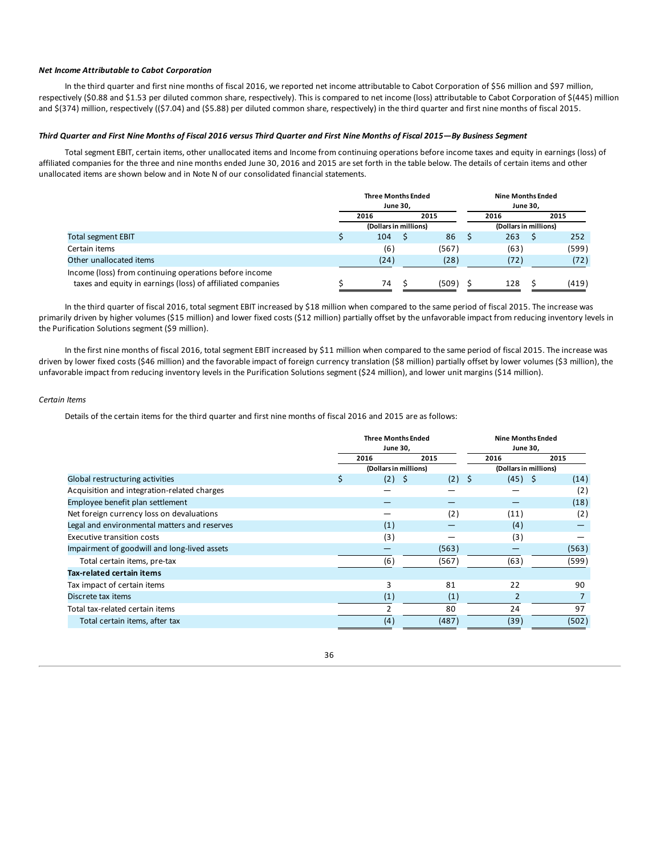#### *Net Income Attributable to Cabot Corporation*

In the third quarter and first nine months of fiscal 2016, we reported net income attributable to Cabot Corporation of \$56 million and \$97 million, respectively (\$0.88 and \$1.53 per diluted common share, respectively). This is compared to net income (loss) attributable to Cabot Corporation of \$(445) million and \$(374) million, respectively ((\$7.04) and (\$5.88) per diluted common share, respectively) in the third quarter and first nine months of fiscal 2015.

#### Third Quarter and First Nine Months of Fiscal 2016 versus Third Quarter and First Nine Months of Fiscal 2015–By Business Segment

Total segment EBIT, certain items, other unallocated items and Income from continuing operations before income taxes and equity in earnings (loss) of affiliated companies for the three and nine months ended June 30, 2016 and 2015 are set forth in the table below. The details of certain items and other unallocated items are shown below and in Note N of our consolidated financial statements.

|                                                                                                                       | <b>Three Months Ended</b><br><b>June 30.</b> |                       |  |       |      | <b>Nine Months Ended</b><br><b>June 30.</b> |  |       |  |
|-----------------------------------------------------------------------------------------------------------------------|----------------------------------------------|-----------------------|--|-------|------|---------------------------------------------|--|-------|--|
|                                                                                                                       | 2016                                         |                       |  | 2015  | 2016 |                                             |  | 2015  |  |
|                                                                                                                       |                                              | (Dollars in millions) |  |       |      | (Dollars in millions)                       |  |       |  |
| <b>Total segment EBIT</b>                                                                                             |                                              | 104                   |  | 86    |      | 263                                         |  | 252   |  |
| Certain items                                                                                                         |                                              | (6)                   |  | (567) |      | (63)                                        |  | (599) |  |
| Other unallocated items                                                                                               |                                              | (24)                  |  | (28)  |      | (72)                                        |  | (72)  |  |
| Income (loss) from continuing operations before income<br>taxes and equity in earnings (loss) of affiliated companies |                                              | 74                    |  | (509) |      | 128                                         |  | (419) |  |

In the third quarter of fiscal 2016, total segment EBIT increased by \$18 million when compared to the same period of fiscal 2015. The increase was primarily driven by higher volumes (\$15 million) and lower fixed costs (\$12 million) partially offset by the unfavorable impact from reducing inventory levels in the Purification Solutions segment (\$9 million).

In the first nine months of fiscal 2016, total segment EBIT increased by \$11 million when compared to the same period of fiscal 2015. The increase was driven by lower fixed costs (\$46 million) and the favorable impact of foreign currency translation (\$8 million) partially offset by lower volumes (\$3 million), the unfavorable impact from reducing inventory levels in the Purification Solutions segment (\$24 million), and lower unit margins (\$14 million).

#### *Certain Items*

Details of the certain items for the third quarter and first nine months of fiscal 2016 and 2015 are as follows:

|                                              |   | <b>Three Months Ended</b><br><b>June 30,</b> |       | <b>Nine Months Ended</b><br><b>June 30,</b> |                       |  |  |
|----------------------------------------------|---|----------------------------------------------|-------|---------------------------------------------|-----------------------|--|--|
|                                              |   | 2016                                         | 2015  | 2016                                        | 2015                  |  |  |
|                                              |   | (Dollars in millions)                        |       |                                             | (Dollars in millions) |  |  |
| Global restructuring activities              | ১ | (2)<br>.S                                    | (2)   | $(45)$ \$<br>- Ş                            | (14)                  |  |  |
| Acquisition and integration-related charges  |   |                                              |       |                                             | (2)                   |  |  |
| Employee benefit plan settlement             |   |                                              |       |                                             | (18)                  |  |  |
| Net foreign currency loss on devaluations    |   |                                              | (2)   | (11)                                        | (2)                   |  |  |
| Legal and environmental matters and reserves |   | (1)                                          |       | (4)                                         |                       |  |  |
| <b>Executive transition costs</b>            |   | (3)                                          |       | (3)                                         |                       |  |  |
| Impairment of goodwill and long-lived assets |   |                                              | (563) |                                             | (563)                 |  |  |
| Total certain items, pre-tax                 |   | (6)                                          | (567) | (63)                                        | (599)                 |  |  |
| Tax-related certain items                    |   |                                              |       |                                             |                       |  |  |
| Tax impact of certain items                  |   | 3                                            | 81    | 22                                          | 90                    |  |  |
| Discrete tax items                           |   | (1)                                          | (1)   | 2                                           |                       |  |  |
| Total tax-related certain items              |   |                                              | 80    | 24                                          | 97                    |  |  |
| Total certain items, after tax               |   | (4)                                          | (487) | (39)                                        | (502)                 |  |  |
|                                              |   |                                              |       |                                             |                       |  |  |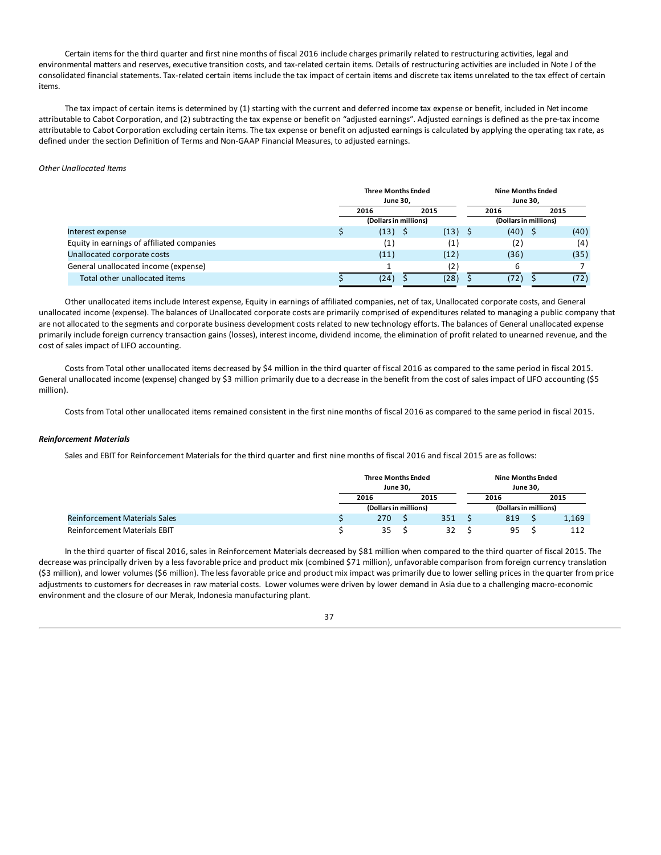Certain items for the third quarter and first nine months of fiscal 2016 include charges primarily related to restructuring activities, legal and environmental matters and reserves, executive transition costs, and tax-related certain items. Details of restructuring activities are included in Note J of the consolidated financial statements. Tax-related certain items include the tax impact of certain items and discrete tax items unrelated to the tax effect of certain items.

The tax impact of certain items is determined by (1) starting with the current and deferred income tax expense or benefit, included in Net income attributable to Cabot Corporation, and (2) subtracting the tax expense or benefit on "adjusted earnings". Adjusted earnings is defined as the pre-tax income attributable to Cabot Corporation excluding certain items. The tax expense or benefit on adjusted earnings is calculated by applying the operating tax rate, as defined under the section Definition of Terms and Non-GAAP Financial Measures, to adjusted earnings.

#### *Other Unallocated Items*

|                                            | <b>Three Months Ended</b><br><b>June 30.</b> |  |      |      | <b>Nine Months Ended</b><br><b>June 30.</b> |  |      |  |
|--------------------------------------------|----------------------------------------------|--|------|------|---------------------------------------------|--|------|--|
|                                            | 2015<br>2016                                 |  |      | 2016 |                                             |  | 2015 |  |
|                                            | (Dollars in millions)                        |  |      |      | (Dollars in millions)                       |  |      |  |
| Interest expense                           | (13)                                         |  | (13) |      | $(40)$ \$                                   |  | (40) |  |
| Equity in earnings of affiliated companies | (1)                                          |  | (1)  |      | (2)                                         |  | (4)  |  |
| Unallocated corporate costs                | (11)                                         |  | (12) |      | (36)                                        |  | (35) |  |
| General unallocated income (expense)       |                                              |  | (2)  |      | 6                                           |  |      |  |
| Total other unallocated items              | (24)                                         |  | (28) |      | (72)                                        |  | (72) |  |

Other unallocated items include Interest expense, Equity in earnings of affiliated companies, net of tax, Unallocated corporate costs, and General unallocated income (expense). The balances of Unallocated corporate costs are primarily comprised of expenditures related to managing a public company that are not allocated to the segments and corporate business development costs related to new technology efforts. The balances of General unallocated expense primarily include foreign currency transaction gains (losses), interest income, dividend income, the elimination of profit related to unearned revenue, and the cost of sales impact of LIFO accounting.

Costs from Total other unallocated items decreased by \$4 million in the third quarter of fiscal 2016 as compared to the same period in fiscal 2015. General unallocated income (expense) changed by \$3 million primarily due to a decrease in the benefit from the cost of sales impact of LIFO accounting (\$5 million).

Costs from Total other unallocated items remained consistent in the first nine months of fiscal 2016 as compared to the same period in fiscal 2015.

#### *Reinforcement Materials*

Sales and EBIT for Reinforcement Materials for the third quarter and first nine months of fiscal 2016 and fiscal 2015 are as follows:

|                                      | <b>Three Months Ended</b><br><b>June 30.</b> |                       |      |  | <b>Nine Months Ended</b><br><b>June 30.</b> |                       |       |  |
|--------------------------------------|----------------------------------------------|-----------------------|------|--|---------------------------------------------|-----------------------|-------|--|
|                                      | 2016                                         |                       | 2015 |  | 2016                                        | 2015                  |       |  |
|                                      |                                              | (Dollars in millions) |      |  |                                             | (Dollars in millions) |       |  |
| <b>Reinforcement Materials Sales</b> | 270                                          |                       | 351  |  | 819                                         |                       | 1,169 |  |
| <b>Reinforcement Materials EBIT</b>  | 35                                           |                       | 32   |  | 95                                          |                       |       |  |

In the third quarter of fiscal 2016, sales in Reinforcement Materials decreased by \$81 million when compared to the third quarter of fiscal 2015. The decrease was principally driven by a less favorable price and product mix (combined \$71 million), unfavorable comparison from foreign currency translation (\$3 million), and lower volumes (\$6 million). The less favorable price and product mix impact was primarily due to lower selling prices in the quarter from price adjustments to customers for decreases in raw material costs. Lower volumes were driven by lower demand in Asia due to a challenging macro-economic environment and the closure of our Merak, Indonesia manufacturing plant.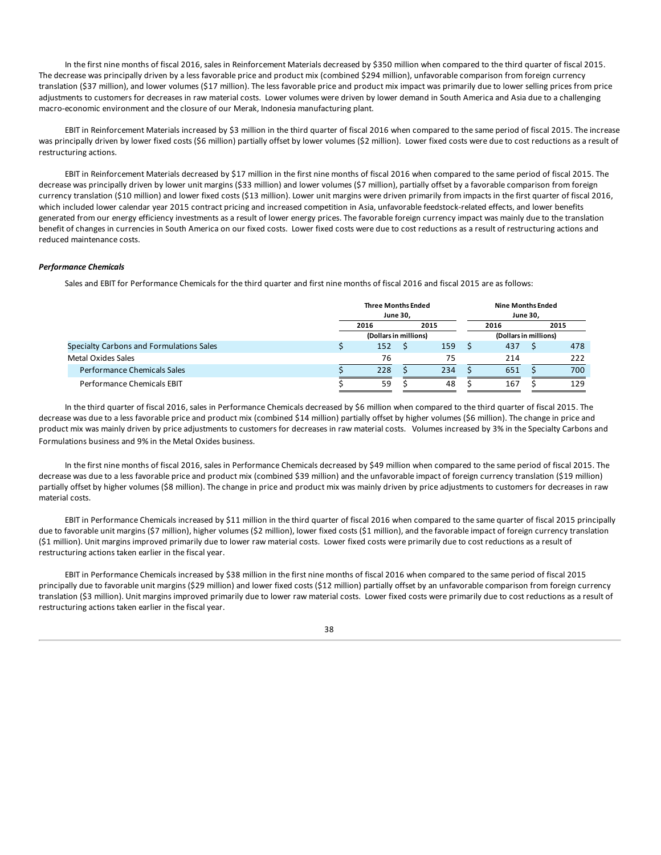In the first nine months of fiscal 2016, sales in Reinforcement Materials decreased by \$350 million when compared to the third quarter of fiscal 2015. The decrease was principally driven by a less favorable price and product mix (combined \$294 million), unfavorable comparison from foreign currency translation (\$37 million), and lower volumes (\$17 million). The less favorable price and product mix impact was primarily due to lower selling prices from price adjustments to customers for decreases in raw material costs. Lower volumes were driven by lower demand in South America and Asia due to a challenging macro-economic environment and the closure of our Merak, Indonesia manufacturing plant.

EBIT in Reinforcement Materials increased by \$3 million in the third quarter of fiscal 2016 when compared to the same period of fiscal 2015. The increase was principally driven by lower fixed costs (\$6 million) partially offset by lower volumes (\$2 million). Lower fixed costs were due to cost reductions as a result of restructuring actions.

EBIT in Reinforcement Materials decreased by \$17 million in the first nine months of fiscal 2016 when compared to the same period of fiscal 2015. The decrease was principally driven by lower unit margins (\$33 million) and lower volumes (\$7 million), partially offset by a favorable comparison from foreign currency translation (\$10 million) and lower fixed costs (\$13 million). Lower unit margins were driven primarily from impacts in the first quarter of fiscal 2016, which included lower calendar year 2015 contract pricing and increased competition in Asia, unfavorable feedstock-related effects, and lower benefits generated from our energy efficiency investments as a result of lower energy prices. The favorable foreign currency impact was mainly due to the translation benefit of changes in currencies in South America on our fixed costs. Lower fixed costs were due to cost reductions as a result of restructuring actions and reduced maintenance costs.

#### *Performance Chemicals*

Sales and EBIT for Performance Chemicals for the third quarter and first nine months of fiscal 2016 and fiscal 2015 are as follows:

|                                          | <b>Three Months Ended</b><br><b>June 30.</b> |                       |  |      |      | <b>Nine Months Ended</b><br><b>June 30.</b> |      |     |
|------------------------------------------|----------------------------------------------|-----------------------|--|------|------|---------------------------------------------|------|-----|
|                                          | 2016                                         |                       |  | 2015 | 2016 |                                             | 2015 |     |
|                                          |                                              | (Dollars in millions) |  |      |      | (Dollars in millions)                       |      |     |
| Specialty Carbons and Formulations Sales |                                              | 152                   |  | 159  |      | 437                                         |      | 478 |
| Metal Oxides Sales                       |                                              | 76                    |  | 75   |      | 214                                         |      | 222 |
| Performance Chemicals Sales              |                                              | 228                   |  | 234  |      | 651                                         |      | 700 |
| Performance Chemicals EBIT               |                                              | 59                    |  | 48   |      | 167                                         |      | 129 |

In the third quarter of fiscal 2016, sales in Performance Chemicals decreased by \$6 million when compared to the third quarter of fiscal 2015. The decrease was due to a less favorable price and product mix (combined \$14 million) partially offset by higher volumes (\$6 million). The change in price and product mix was mainly driven by price adjustments to customers for decreases in raw material costs. Volumes increased by 3% in the Specialty Carbons and Formulations business and 9% in the Metal Oxides business.

In the first nine months of fiscal 2016, sales in Performance Chemicals decreased by \$49 million when compared to the same period of fiscal 2015. The decrease was due to a less favorable price and product mix (combined \$39 million) and the unfavorable impact of foreign currency translation (\$19 million) partially offset by higher volumes (\$8 million). The change in price and product mix was mainly driven by price adjustments to customers for decreases in raw material costs.

EBIT in Performance Chemicals increased by \$11 million in the third quarter of fiscal 2016 when compared to the same quarter of fiscal 2015 principally due to favorable unit margins (\$7 million), higher volumes (\$2 million), lower fixed costs (\$1 million), and the favorable impact of foreign currency translation (\$1 million). Unit margins improved primarily due to lower raw material costs. Lower fixed costs were primarily due to cost reductions as a result of restructuring actions taken earlier in the fiscal year.

EBIT in Performance Chemicals increased by \$38 million in the first nine months of fiscal 2016 when compared to the same period of fiscal 2015 principally due to favorable unit margins (\$29 million) and lower fixed costs (\$12 million) partially offset by an unfavorable comparison from foreign currency translation (\$3 million). Unit margins improved primarily due to lower raw material costs. Lower fixed costs were primarily due to cost reductions as a result of restructuring actions taken earlier in the fiscal year.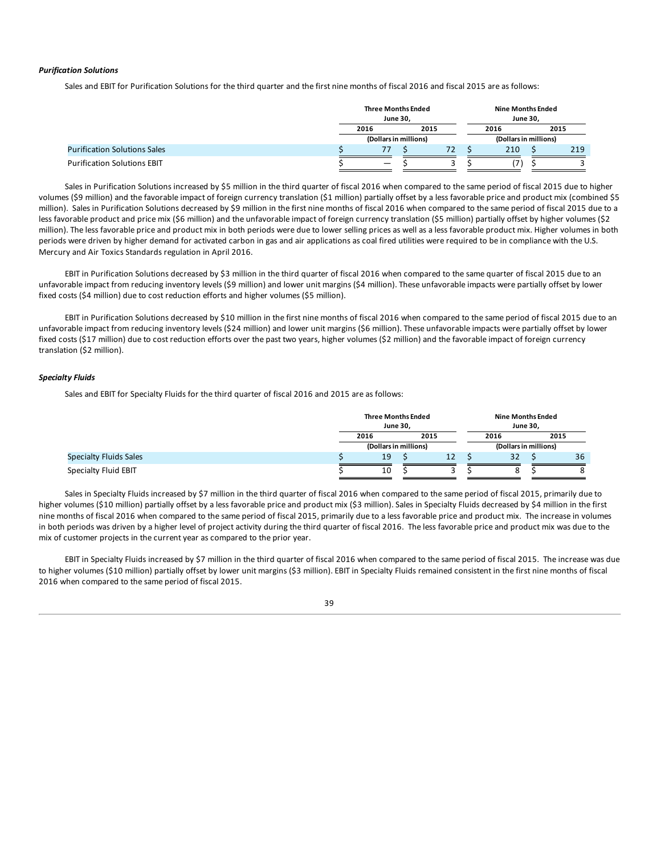#### *Purification Solutions*

Sales and EBIT for Purification Solutions for the third quarter and the first nine months of fiscal 2016 and fiscal 2015 are as follows:

|                                     | <b>Three Months Ended</b> | <b>June 30.</b> |      | <b>Nine Months Ended</b><br>June 30. |      |     |
|-------------------------------------|---------------------------|-----------------|------|--------------------------------------|------|-----|
|                                     | 2016                      |                 | 2015 | 2016                                 | 2015 |     |
|                                     | (Dollars in millions)     |                 |      | (Dollars in millions)                |      |     |
| <b>Purification Solutions Sales</b> | 77                        |                 | 72   | 210                                  |      | 219 |
| <b>Purification Solutions EBIT</b>  | $\overline{\phantom{0}}$  |                 |      |                                      |      |     |

Sales in Purification Solutions increased by \$5 million in the third quarter of fiscal 2016 when compared to the same period of fiscal 2015 due to higher volumes (\$9 million) and the favorable impact of foreign currency translation (\$1 million) partially offset by a less favorable price and product mix (combined \$5 million). Sales in Purification Solutions decreased by \$9 million in the first nine months of fiscal 2016 when compared to the same period of fiscal 2015 due to a less favorable product and price mix (\$6 million) and the unfavorable impact of foreign currency translation (\$5 million) partially offset by higher volumes (\$2 million). The less favorable price and product mix in both periods were due to lower selling prices as well as a less favorable product mix. Higher volumes in both periods were driven by higher demand for activated carbon in gas and air applications as coal fired utilities were required to be in compliance with the U.S. Mercury and Air Toxics Standards regulation in April 2016.

EBIT in Purification Solutions decreased by \$3 million in the third quarter of fiscal 2016 when compared to the same quarter of fiscal 2015 due to an unfavorable impact from reducing inventory levels (\$9 million) and lower unit margins (\$4 million). These unfavorable impacts were partially offset by lower fixed costs (\$4 million) due to cost reduction efforts and higher volumes (\$5 million).

EBIT in Purification Solutions decreased by \$10 million in the first nine months of fiscal 2016 when compared to the same period of fiscal 2015 due to an unfavorable impact from reducing inventory levels (\$24 million) and lower unit margins (\$6 million). These unfavorable impacts were partially offset by lower fixed costs (\$17 million) due to cost reduction efforts over the past two years, higher volumes (\$2 million) and the favorable impact of foreign currency translation (\$2 million).

### *Specialty Fluids*

Sales and EBIT for Specialty Fluids for the third quarter of fiscal 2016 and 2015 are as follows:

|                               | <b>Three Months Ended</b> | <b>June 30.</b> |    | <b>Nine Months Ended</b><br><b>June 30.</b> |    |                       |    |
|-------------------------------|---------------------------|-----------------|----|---------------------------------------------|----|-----------------------|----|
|                               | 2016                      | 2015            |    | 2016                                        |    | 2015                  |    |
|                               | (Dollars in millions)     |                 |    |                                             |    | (Dollars in millions) |    |
| <b>Specialty Fluids Sales</b> | 19                        |                 | 12 |                                             | 32 |                       | 36 |
| Specialty Fluid EBIT          | 10                        |                 | -  |                                             |    |                       |    |

Sales in Specialty Fluids increased by \$7 million in the third quarter of fiscal 2016 when compared to the same period of fiscal 2015, primarily due to higher volumes (\$10 million) partially offset by a less favorable price and product mix (\$3 million). Sales in Specialty Fluids decreased by \$4 million in the first nine months of fiscal 2016 when compared to the same period of fiscal 2015, primarily due to a less favorable price and product mix. The increase in volumes in both periods was driven by a higher level of project activity during the third quarter of fiscal 2016. The less favorable price and product mix was due to the mix of customer projects in the current year as compared to the prior year.

EBIT in Specialty Fluids increased by \$7 million in the third quarter of fiscal 2016 when compared to the same period of fiscal 2015. The increase was due to higher volumes (\$10 million) partially offset by lower unit margins (\$3 million). EBIT in Specialty Fluids remained consistent in the first nine months of fiscal 2016 when compared to the same period of fiscal 2015.

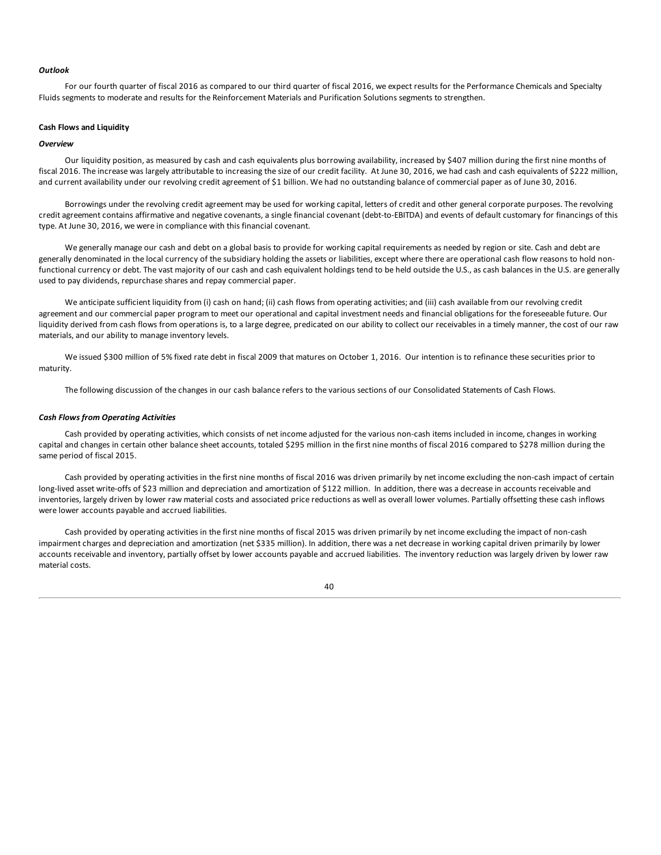#### *Outlook*

For our fourth quarter of fiscal 2016 as compared to our third quarter of fiscal 2016, we expect results for the Performance Chemicals and Specialty Fluids segments to moderate and results for the Reinforcement Materials and Purification Solutions segments to strengthen.

#### **Cash Flows and Liquidity**

### *Overview*

Our liquidity position, as measured by cash and cash equivalents plus borrowing availability, increased by \$407 million during the first nine months of fiscal 2016. The increase was largely attributable to increasing the size of our credit facility. At June 30, 2016, we had cash and cash equivalents of \$222 million, and current availability under our revolving credit agreement of \$1 billion. We had no outstanding balance of commercial paper as of June 30, 2016.

Borrowings under the revolving credit agreement may be used for working capital, letters of credit and other general corporate purposes. The revolving credit agreement contains affirmative and negative covenants, a single financial covenant (debt-to-EBITDA) and events of default customary for financings of this type. At June 30, 2016, we were in compliance with this financial covenant.

We generally manage our cash and debt on a global basis to provide for working capital requirements as needed by region or site. Cash and debt are generally denominated in the local currency of the subsidiary holding the assets or liabilities, except where there are operational cash flow reasons to hold nonfunctional currency or debt. The vast majority of our cash and cash equivalent holdings tend to be held outside the U.S., as cash balances in the U.S. are generally used to pay dividends, repurchase shares and repay commercial paper.

We anticipate sufficient liquidity from (i) cash on hand; (ii) cash flows from operating activities; and (iii) cash available from our revolving credit agreement and our commercial paper program to meet our operational and capital investment needs and financial obligations for the foreseeable future. Our liquidity derived from cash flows from operations is, to a large degree, predicated on our ability to collect our receivables in a timely manner, the cost of our raw materials, and our ability to manage inventory levels.

We issued \$300 million of 5% fixed rate debt in fiscal 2009 that matures on October 1, 2016. Our intention is to refinance these securities prior to maturity.

The following discussion of the changes in our cash balance refers to the various sections of our Consolidated Statements of Cash Flows.

#### *Cash Flows from Operating Activities*

Cash provided by operating activities, which consists of net income adjusted for the various non-cash items included in income, changes in working capital and changes in certain other balance sheet accounts, totaled \$295 million in the first nine months of fiscal 2016 compared to \$278 million during the same period of fiscal 2015.

Cash provided by operating activities in the first nine months of fiscal 2016 was driven primarily by net income excluding the non-cash impact of certain long-lived asset write-offs of \$23 million and depreciation and amortization of \$122 million. In addition, there was a decrease in accounts receivable and inventories, largely driven by lower raw material costs and associated price reductions as well as overall lower volumes. Partially offsetting these cash inflows were lower accounts payable and accrued liabilities.

Cash provided by operating activities in the first nine months of fiscal 2015 was driven primarily by net income excluding the impact of non-cash impairment charges and depreciation and amortization (net \$335 million). In addition, there was a net decrease in working capital driven primarily by lower accounts receivable and inventory, partially offset by lower accounts payable and accrued liabilities. The inventory reduction was largely driven by lower raw material costs.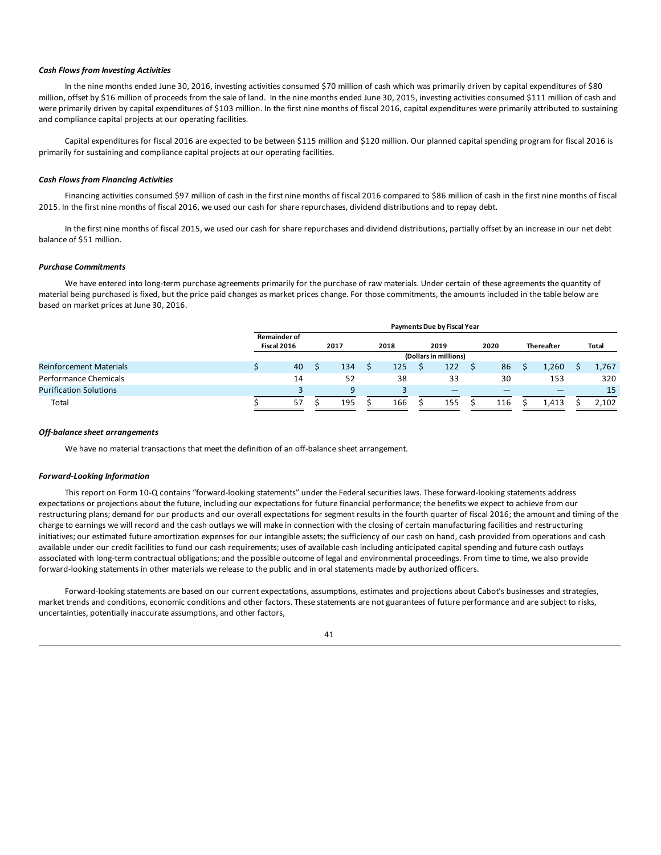#### *Cash Flows from Investing Activities*

In the nine months ended June 30, 2016, investing activities consumed \$70 million of cash which was primarily driven by capital expenditures of \$80 million, offset by \$16 million of proceeds from the sale of land. In the nine months ended June 30, 2015, investing activities consumed \$111 million of cash and were primarily driven by capital expenditures of \$103 million. In the first nine months of fiscal 2016, capital expenditures were primarily attributed to sustaining and compliance capital projects at our operating facilities.

Capital expenditures for fiscal 2016 are expected to be between \$115 million and \$120 million. Our planned capital spending program for fiscal 2016 is primarily for sustaining and compliance capital projects at our operating facilities.

#### *Cash Flows from Financing Activities*

Financing activities consumed \$97 million of cash in the first nine months of fiscal 2016 compared to \$86 million of cash in the first nine months of fiscal 2015. In the first nine months of fiscal 2016, we used our cash for share repurchases, dividend distributions and to repay debt.

In the first nine months of fiscal 2015, we used our cash for share repurchases and dividend distributions, partially offset by an increase in our net debt balance of \$51 million.

#### *Purchase Commitments*

We have entered into long-term purchase agreements primarily for the purchase of raw materials. Under certain of these agreements the quantity of material being purchased is fixed, but the price paid changes as market prices change. For those commitments, the amounts included in the table below are based on market prices at June 30, 2016.

|                                |                                     |  |     |      |      | Payments Due by Fiscal Year |  |      |            |       |       |
|--------------------------------|-------------------------------------|--|-----|------|------|-----------------------------|--|------|------------|-------|-------|
|                                | Remainder of<br>Fiscal 2016<br>2017 |  |     | 2018 | 2019 |                             |  | 2020 | Thereafter |       | Total |
|                                |                                     |  |     |      |      | (Dollars in millions)       |  |      |            |       |       |
| <b>Reinforcement Materials</b> | 40                                  |  | 134 | 125  |      | 122                         |  | 86   |            | 1.260 | 1,767 |
| Performance Chemicals          | 14                                  |  | 52  | 38   |      | 33                          |  | 30   |            | 153   | 320   |
| <b>Purification Solutions</b>  |                                     |  | 9   |      |      |                             |  |      |            |       | 15    |
| Total                          | 57                                  |  | 195 | 166  |      | 155                         |  | 116  |            | 1.413 | 2,102 |

#### *Off-balance sheet arrangements*

We have no material transactions that meet the definition of an off-balance sheet arrangement.

#### *Forward-Looking Information*

This report on Form 10-Q contains "forward-looking statements" under the Federal securities laws. These forward-looking statements address expectations or projections about the future, including our expectations for future financial performance; the benefits we expect to achieve from our restructuring plans; demand for our products and our overall expectations for segment results in the fourth quarter of fiscal 2016; the amount and timing of the charge to earnings we will record and the cash outlays we will make in connection with the closing of certain manufacturing facilities and restructuring initiatives; our estimated future amortization expenses for our intangible assets; the sufficiency of our cash on hand, cash provided from operations and cash available under our credit facilities to fund our cash requirements; uses of available cash including anticipated capital spending and future cash outlays associated with long-term contractual obligations; and the possible outcome of legal and environmental proceedings. From time to time, we also provide forward-looking statements in other materials we release to the public and in oral statements made by authorized officers.

Forward-looking statements are based on our current expectations, assumptions, estimates and projections about Cabot's businesses and strategies, market trends and conditions, economic conditions and other factors. These statements are not guarantees of future performance and are subject to risks, uncertainties, potentially inaccurate assumptions, and other factors,

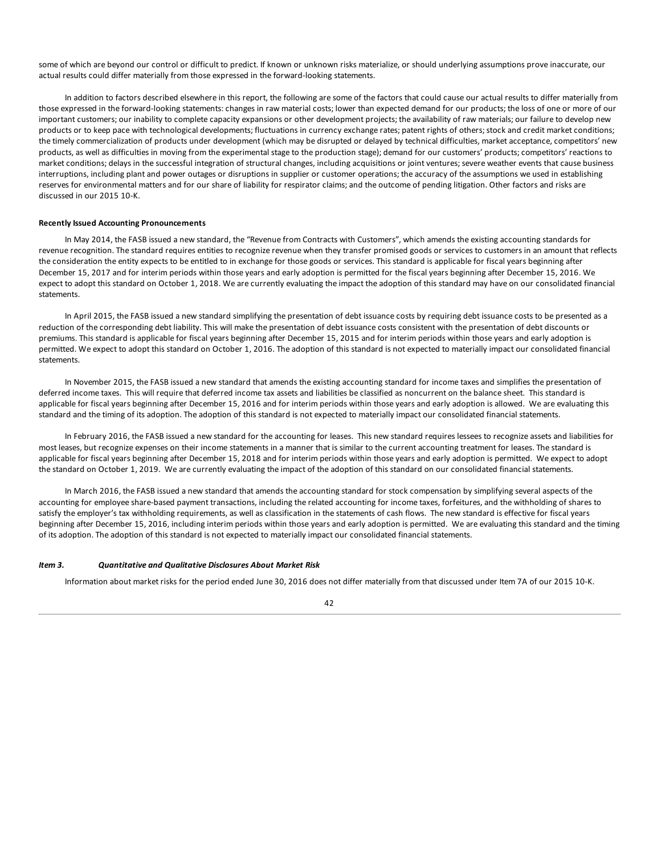<span id="page-41-0"></span>some of which are beyond our control or difficult to predict. If known or unknown risks materialize, or should underlying assumptions prove inaccurate, our actual results could differ materially from those expressed in the forward-looking statements.

In addition to factors described elsewhere in this report, the following are some of the factors that could cause our actual results to differ materially from those expressed in the forward-looking statements: changes in raw material costs; lower than expected demand for our products; the loss of one or more of our important customers; our inability to complete capacity expansions or other development projects; the availability of raw materials; our failure to develop new products or to keep pace with technological developments; fluctuations in currency exchange rates; patent rights of others; stock and credit market conditions; the timely commercialization of products under development (which may be disrupted or delayed by technical difficulties, market acceptance, competitors' new products, as well as difficulties in moving from the experimental stage to the production stage); demand for our customers' products; competitors' reactions to market conditions; delays in the successful integration of structural changes, including acquisitions or joint ventures; severe weather events that cause business interruptions, including plant and power outages or disruptions in supplier or customer operations; the accuracy of the assumptions we used in establishing reserves for environmental matters and for our share of liability for respirator claims; and the outcome of pending litigation. Other factors and risks are discussed in our 2015 10-K.

#### **Recently Issued Accounting Pronouncements**

In May 2014, the FASB issued a new standard, the "Revenue from Contracts with Customers", which amends the existing accounting standards for revenue recognition. The standard requires entities to recognize revenue when they transfer promised goods or services to customers in an amount that reflects the consideration the entity expects to be entitled to in exchange for those goods or services. This standard is applicable for fiscal years beginning after December 15, 2017 and for interim periods within those years and early adoption is permitted for the fiscal years beginning after December 15, 2016. We expect to adopt this standard on October 1, 2018. We are currently evaluating the impact the adoption of this standard may have on our consolidated financial statements.

In April 2015, the FASB issued a new standard simplifying the presentation of debt issuance costs by requiring debt issuance costs to be presented as a reduction of the corresponding debt liability. This will make the presentation of debt issuance costs consistent with the presentation of debt discounts or premiums. This standard is applicable for fiscal years beginning after December 15, 2015 and for interim periods within those years and early adoption is permitted. We expect to adopt this standard on October 1, 2016. The adoption of this standard is not expected to materially impact our consolidated financial statements.

In November 2015, the FASB issued a new standard that amends the existing accounting standard for income taxes and simplifies the presentation of deferred income taxes. This will require that deferred income tax assets and liabilities be classified as noncurrent on the balance sheet. This standard is applicable for fiscal years beginning after December 15, 2016 and for interim periods within those years and early adoption is allowed. We are evaluating this standard and the timing of its adoption. The adoption of this standard is not expected to materially impact our consolidated financial statements.

In February 2016, the FASB issued a new standard for the accounting for leases. This new standard requires lessees to recognize assets and liabilities for most leases, but recognize expenses on their income statements in a manner that is similar to the current accounting treatment for leases. The standard is applicable for fiscal years beginning after December 15, 2018 and for interim periods within those years and early adoption is permitted. We expect to adopt the standard on October 1, 2019. We are currently evaluating the impact of the adoption of this standard on our consolidated financial statements.

In March 2016, the FASB issued a new standard that amends the accounting standard for stock compensation by simplifying several aspects of the accounting for employee share-based payment transactions, including the related accounting for income taxes, forfeitures, and the withholding of shares to satisfy the employer's tax withholding requirements, as well as classification in the statements of cash flows. The new standard is effective for fiscal years beginning after December 15, 2016, including interim periods within those years and early adoption is permitted. We are evaluating this standard and the timing of its adoption. The adoption of this standard is not expected to materially impact our consolidated financial statements.

### *Item 3. Quantitative and Qualitative Disclosures About Market Risk*

Information about market risks for the period ended June 30, 2016 does not differ materially from that discussed under Item 7A of our 2015 10-K.

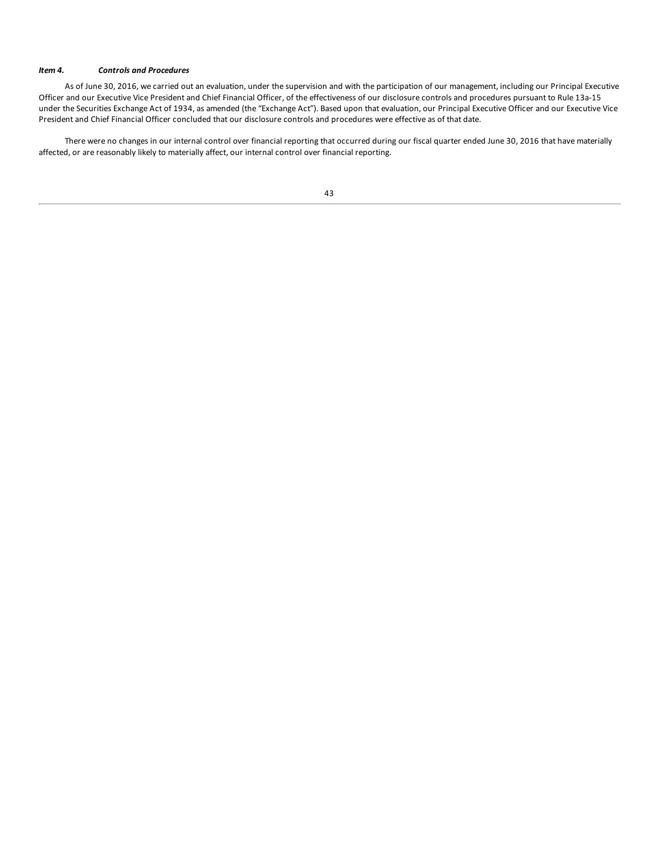# <span id="page-42-0"></span>*Item 4. Controls and Procedures*

As of June 30, 2016, we carried out an evaluation, under the supervision and with the participation of our management, including our Principal Executive Officer and our Executive Vice President and Chief Financial Officer, of the effectiveness of our disclosure controls and procedures pursuant to Rule 13a-15 under the Securities Exchange Act of 1934, as amended (the "Exchange Act"). Based upon that evaluation, our Principal Executive Officer and our Executive Vice President and Chief Financial Officer concluded that our disclosure controls and procedures were effective as of that date.

There were no changes in our internal control over financial reporting that occurred during our fiscal quarter ended June 30, 2016 that have materially affected, or are reasonably likely to materially affect, our internal control over financial reporting.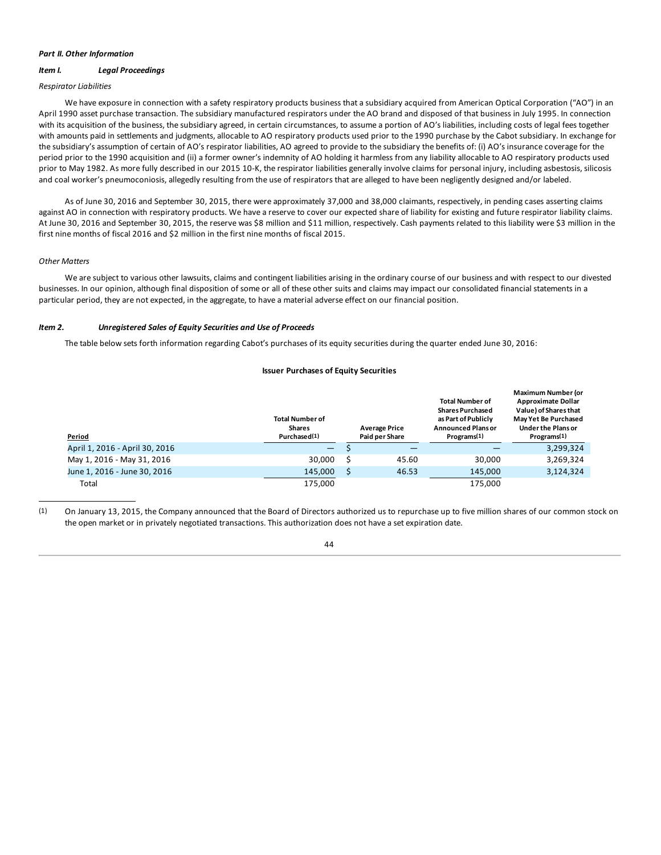### <span id="page-43-0"></span>*Part II. Other Information*

#### *Item I. Legal Proceedings*

#### *Respirator Liabilities*

We have exposure in connection with a safety respiratory products business that a subsidiary acquired from American Optical Corporation ("AO") in an April 1990 asset purchase transaction. The subsidiary manufactured respirators under the AO brand and disposed of that business in July 1995. In connection with its acquisition of the business, the subsidiary agreed, in certain circumstances, to assume a portion of AO's liabilities, including costs of legal fees together with amounts paid in settlements and judgments, allocable to AO respiratory products used prior to the 1990 purchase by the Cabot subsidiary. In exchange for the subsidiary's assumption of certain of AO's respirator liabilities, AO agreed to provide to the subsidiary the benefits of: (i) AO's insurance coverage for the period prior to the 1990 acquisition and (ii) a former owner's indemnity of AO holding it harmless from any liability allocable to AO respiratory products used prior to May 1982. As more fully described in our 2015 10-K, the respirator liabilities generally involve claims for personal injury, including asbestosis, silicosis and coal worker's pneumoconiosis, allegedly resulting from the use of respirators that are alleged to have been negligently designed and/or labeled.

As of June 30, 2016 and September 30, 2015, there were approximately 37,000 and 38,000 claimants, respectively, in pending cases asserting claims against AO in connection with respiratory products. We have a reserve to cover our expected share of liability for existing and future respirator liability claims. At June 30, 2016 and September 30, 2015, the reserve was \$8 million and \$11 million, respectively. Cash payments related to this liability were \$3 million in the first nine months of fiscal 2016 and \$2 million in the first nine months of fiscal 2015.

#### *Other Matters*

We are subject to various other lawsuits, claims and contingent liabilities arising in the ordinary course of our business and with respect to our divested businesses. In our opinion, although final disposition of some or all of these other suits and claims may impact our consolidated financial statements in a particular period, they are not expected, in the aggregate, to have a material adverse effect on our financial position.

## *Item 2. Unregistered Sales of Equity Securities and Use of Proceeds*

The table below sets forth information regarding Cabot's purchases of its equity securities during the quarter ended June 30, 2016:

### **Issuer Purchases of Equity Securities**

| Period                         | <b>Total Number of</b><br><b>Shares</b><br>Purchased <sup>(1)</sup> |  | <b>Average Price</b><br>Paid per Share | <b>Total Number of</b><br><b>Shares Purchased</b><br>as Part of Publicly<br><b>Announced Plans or</b><br>Programs <sup>(1)</sup> | <b>Maximum Number (or</b><br><b>Approximate Dollar</b><br>Value) of Shares that<br>May Yet Be Purchased<br>Under the Plans or<br>Programs <sup>(1)</sup> |  |
|--------------------------------|---------------------------------------------------------------------|--|----------------------------------------|----------------------------------------------------------------------------------------------------------------------------------|----------------------------------------------------------------------------------------------------------------------------------------------------------|--|
| April 1, 2016 - April 30, 2016 | $\overline{\phantom{0}}$                                            |  |                                        |                                                                                                                                  | 3,299,324                                                                                                                                                |  |
| May 1, 2016 - May 31, 2016     | 30.000                                                              |  | 45.60                                  | 30.000                                                                                                                           | 3,269,324                                                                                                                                                |  |
| June 1, 2016 - June 30, 2016   | 145.000                                                             |  | 46.53                                  | 145,000                                                                                                                          | 3,124,324                                                                                                                                                |  |
| Total                          | 175.000                                                             |  |                                        | 175.000                                                                                                                          |                                                                                                                                                          |  |

(1) On January 13, 2015, the Company announced that the Board of Directors authorized us to repurchase up to five million shares of our common stock on the open market or in privately negotiated transactions. This authorization does not have a set expiration date.

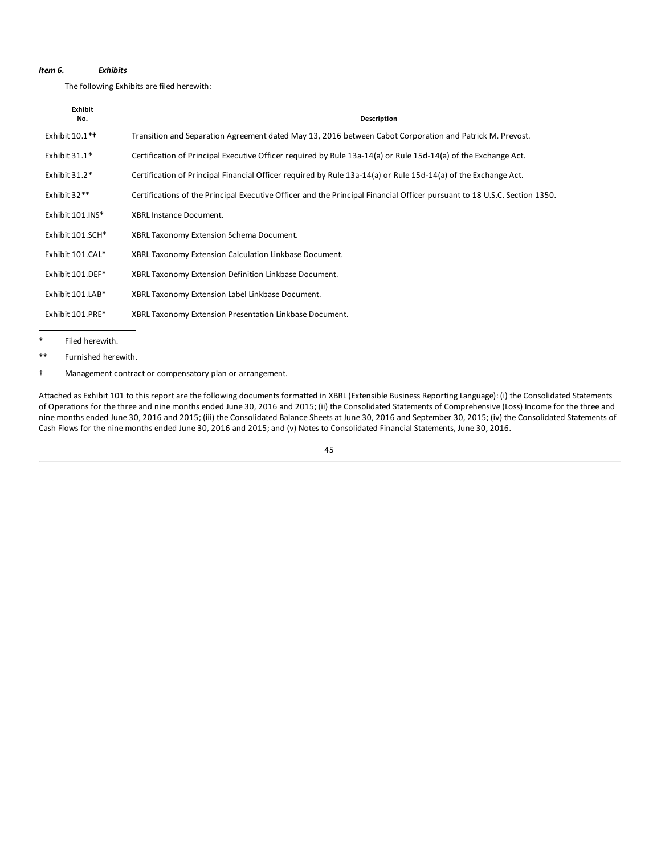## <span id="page-44-0"></span>*Item 6. Exhibits*

The following Exhibits are filed herewith:

| Exhibit<br>No.             | Description                                                                                                               |
|----------------------------|---------------------------------------------------------------------------------------------------------------------------|
| Exhibit 10.1* <sup>+</sup> | Transition and Separation Agreement dated May 13, 2016 between Cabot Corporation and Patrick M. Prevost.                  |
| Exhibit $31.1*$            | Certification of Principal Executive Officer required by Rule 13a-14(a) or Rule 15d-14(a) of the Exchange Act.            |
| Exhibit $31.2*$            | Certification of Principal Financial Officer required by Rule 13a-14(a) or Rule 15d-14(a) of the Exchange Act.            |
| Exhibit 32**               | Certifications of the Principal Executive Officer and the Principal Financial Officer pursuant to 18 U.S.C. Section 1350. |
| Exhibit 101.INS*           | <b>XBRL Instance Document.</b>                                                                                            |
| Exhibit 101.SCH*           | XBRL Taxonomy Extension Schema Document.                                                                                  |
| Exhibit 101.CAL*           | XBRL Taxonomy Extension Calculation Linkbase Document.                                                                    |
| Exhibit 101.DEF*           | XBRL Taxonomy Extension Definition Linkbase Document.                                                                     |
| Exhibit 101.LAB*           | XBRL Taxonomy Extension Label Linkbase Document.                                                                          |
| Exhibit 101.PRE*           | XBRL Taxonomy Extension Presentation Linkbase Document.                                                                   |
|                            |                                                                                                                           |

\* Filed herewith.

\*\* Furnished herewith.

† Management contract or compensatory plan or arrangement.

Attached as Exhibit 101 to this report are the following documents formatted in XBRL (Extensible Business Reporting Language): (i) the Consolidated Statements of Operations for the three and nine months ended June 30, 2016 and 2015; (ii) the Consolidated Statements of Comprehensive (Loss) Income for the three and nine months ended June 30, 2016 and 2015; (iii) the Consolidated Balance Sheets at June 30, 2016 and September 30, 2015; (iv) the Consolidated Statements of Cash Flows for the nine months ended June 30, 2016 and 2015; and (v) Notes to Consolidated Financial Statements, June 30, 2016.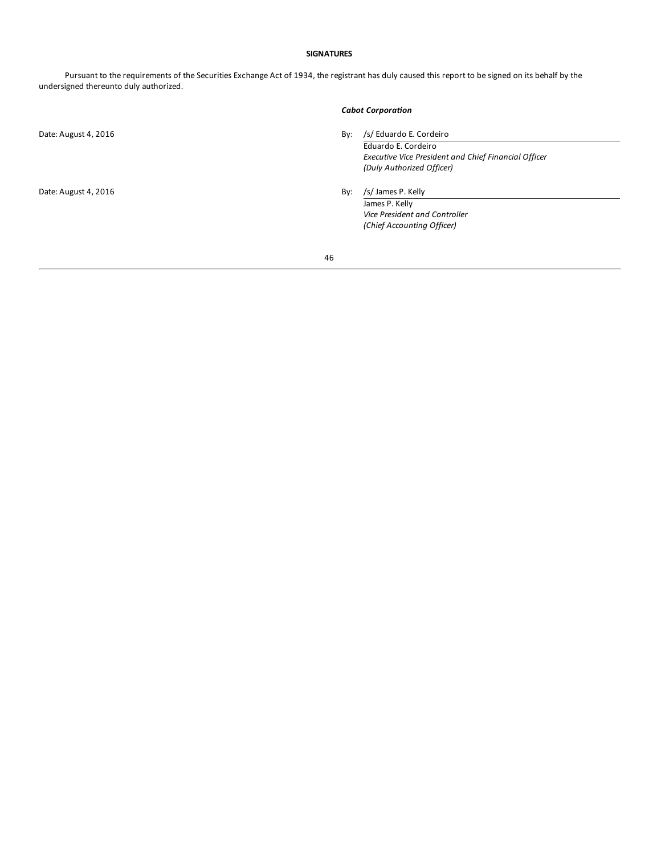# **SIGNATURES**

Pursuant to the requirements of the Securities Exchange Act of 1934, the registrant has duly caused this report to be signed on its behalf by the undersigned thereunto duly authorized.

|                      | <b>Cabot Corporation</b>                                    |  |  |  |  |  |  |
|----------------------|-------------------------------------------------------------|--|--|--|--|--|--|
| Date: August 4, 2016 | /s/ Eduardo E. Cordeiro<br>By:                              |  |  |  |  |  |  |
|                      | Eduardo E. Cordeiro                                         |  |  |  |  |  |  |
|                      | <b>Executive Vice President and Chief Financial Officer</b> |  |  |  |  |  |  |
|                      | (Duly Authorized Officer)                                   |  |  |  |  |  |  |
| Date: August 4, 2016 | /s/ James P. Kelly<br>By:                                   |  |  |  |  |  |  |
|                      | James P. Kelly                                              |  |  |  |  |  |  |
|                      | Vice President and Controller                               |  |  |  |  |  |  |
|                      | (Chief Accounting Officer)                                  |  |  |  |  |  |  |
|                      |                                                             |  |  |  |  |  |  |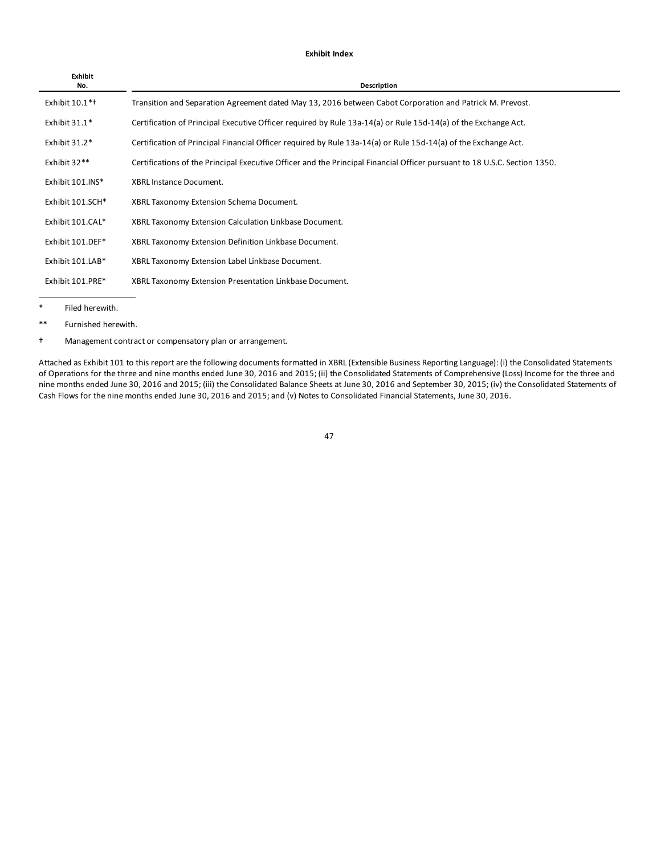# **Exhibit Index**

| Exhibit<br>No.             | Description                                                                                                               |
|----------------------------|---------------------------------------------------------------------------------------------------------------------------|
| Exhibit 10.1* <sup>+</sup> | Transition and Separation Agreement dated May 13, 2016 between Cabot Corporation and Patrick M. Prevost.                  |
| Exhibit $31.1*$            | Certification of Principal Executive Officer required by Rule 13a-14(a) or Rule 15d-14(a) of the Exchange Act.            |
| Exhibit $31.2*$            | Certification of Principal Financial Officer required by Rule 13a-14(a) or Rule 15d-14(a) of the Exchange Act.            |
| Exhibit 32**               | Certifications of the Principal Executive Officer and the Principal Financial Officer pursuant to 18 U.S.C. Section 1350. |
| Exhibit 101.INS*           | <b>XBRL Instance Document.</b>                                                                                            |
| Exhibit 101.SCH*           | XBRL Taxonomy Extension Schema Document.                                                                                  |
| Exhibit 101.CAL*           | XBRL Taxonomy Extension Calculation Linkbase Document.                                                                    |
| Exhibit 101.DEF*           | XBRL Taxonomy Extension Definition Linkbase Document.                                                                     |
| Exhibit 101.LAB*           | XBRL Taxonomy Extension Label Linkbase Document.                                                                          |
| Exhibit 101.PRE*           | XBRL Taxonomy Extension Presentation Linkbase Document.                                                                   |

\* Filed herewith.

\*\* Furnished herewith.

† Management contract or compensatory plan or arrangement.

Attached as Exhibit 101 to this report are the following documents formatted in XBRL (Extensible Business Reporting Language): (i) the Consolidated Statements of Operations for the three and nine months ended June 30, 2016 and 2015; (ii) the Consolidated Statements of Comprehensive (Loss) Income for the three and nine months ended June 30, 2016 and 2015; (iii) the Consolidated Balance Sheets at June 30, 2016 and September 30, 2015; (iv) the Consolidated Statements of Cash Flows for the nine months ended June 30, 2016 and 2015; and (v) Notes to Consolidated Financial Statements, June 30, 2016.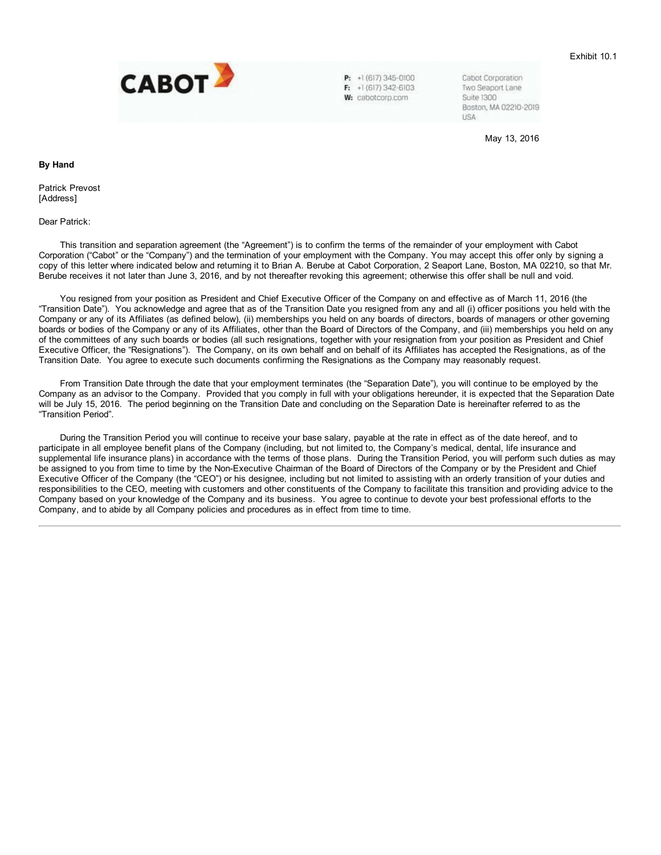

 $P: +1(617)345-0100$ F:  $+1(617)342-6103$ W: cabotcorp.com

Cabot Corporation Two Seaport Lane Suite 1300 Boston, MA 02210-2019 LISA

May 13, 2016

**By Hand**

Patrick Prevost [Address]

Dear Patrick:

This transition and separation agreement (the "Agreement") is to confirm the terms of the remainder of your employment with Cabot Corporation ("Cabot" or the "Company") and the termination of your employment with the Company. You may accept this offer only by signing a copy of this letter where indicated below and returning it to Brian A. Berube at Cabot Corporation, 2 Seaport Lane, Boston, MA 02210, so that Mr. Berube receives it not later than June 3, 2016, and by not thereafter revoking this agreement; otherwise this offer shall be null and void.

You resigned from your position as President and Chief Executive Officer of the Company on and effective as of March 11, 2016 (the "Transition Date"). You acknowledge and agree that as of the Transition Date you resigned from any and all (i) officer positions you held with the Company or any of its Affiliates (as defined below), (ii) memberships you held on any boards of directors, boards of managers or other governing boards or bodies of the Company or any of its Affiliates, other than the Board of Directors of the Company, and (iii) memberships you held on any of the committees of any such boards or bodies (all such resignations, together with your resignation from your position as President and Chief Executive Officer, the "Resignations"). The Company, on its own behalf and on behalf of its Affiliates has accepted the Resignations, as of the Transition Date. You agree to execute such documents confirming the Resignations as the Company may reasonably request.

From Transition Date through the date that your employment terminates (the "Separation Date"), you will continue to be employed by the Company as an advisor to the Company. Provided that you comply in full with your obligations hereunder, it is expected that the Separation Date will be July 15, 2016. The period beginning on the Transition Date and concluding on the Separation Date is hereinafter referred to as the "Transition Period".

During the Transition Period you will continue to receive your base salary, payable at the rate in effect as of the date hereof, and to participate in all employee benefit plans of the Company (including, but not limited to, the Company's medical, dental, life insurance and supplemental life insurance plans) in accordance with the terms of those plans. During the Transition Period, you will perform such duties as may be assigned to you from time to time by the Non-Executive Chairman of the Board of Directors of the Company or by the President and Chief Executive Officer of the Company (the "CEO") or his designee, including but not limited to assisting with an orderly transition of your duties and responsibilities to the CEO, meeting with customers and other constituents of the Company to facilitate this transition and providing advice to the Company based on your knowledge of the Company and its business. You agree to continue to devote your best professional efforts to the Company, and to abide by all Company policies and procedures as in effect from time to time.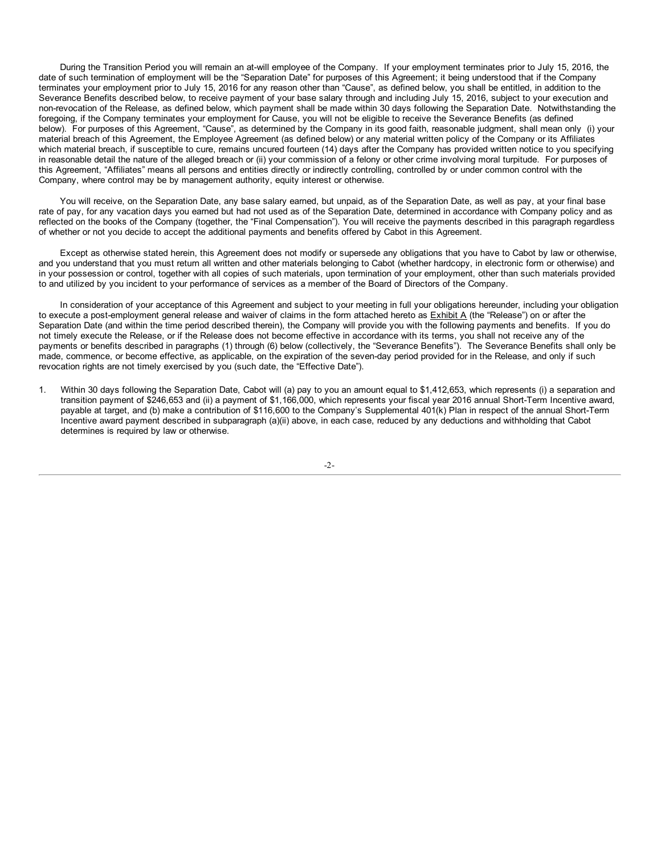During the Transition Period you will remain an at-will employee of the Company. If your employment terminates prior to July 15, 2016, the date of such termination of employment will be the "Separation Date" for purposes of this Agreement; it being understood that if the Company terminates your employment prior to July 15, 2016 for any reason other than "Cause", as defined below, you shall be entitled, in addition to the Severance [Benefits](#page-2-0) described below, to receive payment of your base salary through and including July 15, 2016, subject to your execution and non-revocation of the Release, as defined below, which payment shall be made within 30 days following the Separation Date. Notwithstanding the foregoing, if the Company [terminates](#page-2-0) your employment for Cause, you will not be eligible to receive the Severance Benefits (as defined below). For purposes of this [Agreement,](#page-2-0) "Cause", as determined by the Company in its good faith, reasonable judgment, shall mean only (i) your material breach of this [Agreement,](#page-3-0) the Employee Agreement (as defined below) or any material written policy of the Company or its Affiliates which material breach, if susceptible to cure, remains uncured fourteen (14) days after the Company has provided written notice to you specifying in reasonable detail the nature of the alleged breach or (ii) your [commission](#page-4-0) of a felony or other crime involving moral turpitude. For purposes of this Agreement, "Affiliates" means all persons and entities directly or indirectly [controlling,](#page-6-0) controlled by or under common control with the Company, where control may be by [management](#page-7-0) authority, equity interest or otherwise.

You will receive, on the [Separation](#page-27-0) Date, any base salary earned, but unpaid, as of the Separation Date, as well as pay, at your final base rate of pay, for any [vacation](#page-41-0) days you earned but had not used as of the Separation Date, determined in accordance with Company policy and as reflected on the books of the Company (together, the "Final Compensation"). You will receive the payments described in this paragraph regardless of whether or not you decide to [accept](#page-42-0) the additional payments and benefits offered by Cabot in this Agreement.

Except as [otherwise](#page-43-0) [stated](#page-43-0) herein, this Agreement does not modify or supersede any obligations that you have to Cabot by law or otherwise, and you understand that you must return all written and other [materials](#page-43-0) belonging to Cabot (whether hardcopy, in electronic form or otherwise) and in your possession or [contr](#page-44-0)ol, together with all copies of such materials, upon termination of your employment, other than such materials provided to and utilized by you incident to your performance of services as a member of the Board of Directors of the Company.

In consideration of your acceptance of this Agreement and subject to your meeting in full your obligations hereunder, including your obligation to execute a post-employment general release and waiver of claims in the form attached hereto as **Exhibit A** (the "Release") on or after the Separation Date (and within the time period described therein), the Company will provide you with the following payments and benefits. If you do not timely execute the Release, or if the Release does not become effective in accordance with its terms, you shall not receive any of the payments or benefits described in paragraphs (1) through (6) below (collectively, the "Severance Benefits"). The Severance Benefits shall only be made, commence, or become effective, as applicable, on the expiration of the seven-day period provided for in the Release, and only if such revocation rights are not timely exercised by you (such date, the "Effective Date").

1. Within 30 days following the Separation Date, Cabot will (a) pay to you an amount equal to \$1,412,653, which represents (i) a separation and transition payment of \$246,653 and (ii) a payment of \$1,166,000, which represents your fiscal year 2016 annual Short-Term Incentive award, payable at target, and (b) make a contribution of \$116,600 to the Company's Supplemental 401(k) Plan in respect of the annual Short-Term Incentive award payment described in subparagraph (a)(ii) above, in each case, reduced by any deductions and withholding that Cabot determines is required by law or otherwise.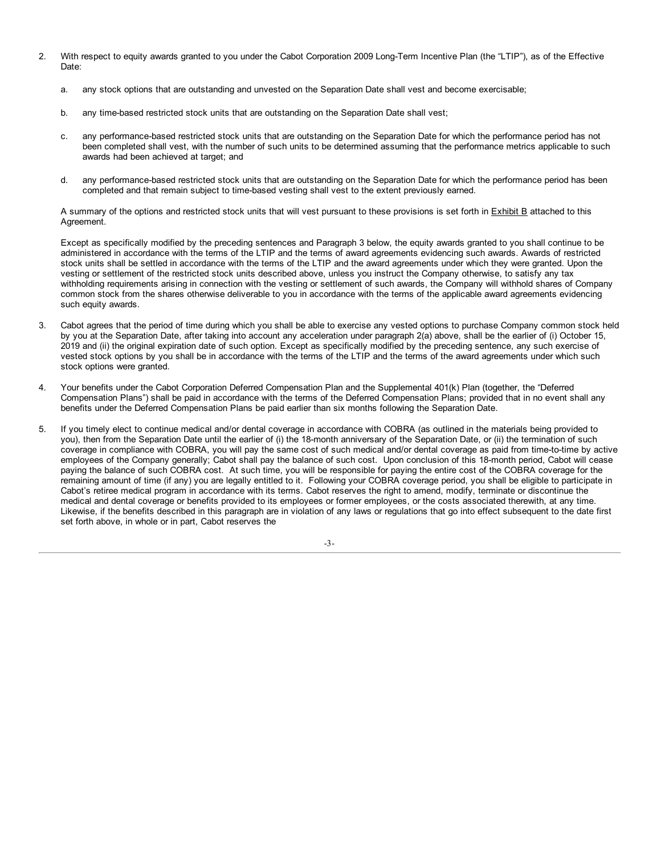- 2. With respect to equity awards granted to you under the Cabot Corporation 2009 Long-Term Incentive Plan (the "LTIP"), as of the Effective Date:
	- a. any stock options that are outstanding and unvested on the Separation Date shall vest and become exercisable;
	- b. any time-based restricted stock units that are outstanding on the Separation Date shall vest;
	- c. any performance-based restricted stock units that are outstanding on the Separation Date for which the performance period has not been completed shall vest, with the number of such units to be determined assuming that the performance metrics applicable to such awards had been achieved at target; and
	- d. any performance-based restricted stock units that are outstanding on the Separation Date for which the performance period has been completed and that remain subject to time-based vesting shall vest to the extent previously earned.

A summary of the options and restricted stock units that will vest pursuant to these provisions is set forth in Exhibit B attached to this Agreement.

Except as specifically modified by the preceding sentences and Paragraph 3 below, the equity awards granted to you shall continue to be administered in accordance with the terms of the LTIP and the terms of award agreements evidencing such awards. Awards of restricted stock units shall be settled in accordance with the terms of the LTIP and the award agreements under which they were granted. Upon the vesting or settlement of the restricted stock units described above, unless you instruct the Company otherwise, to satisfy any tax withholding requirements arising in connection with the vesting or settlement of such awards, the Company will withhold shares of Company common stock from the shares otherwise deliverable to you in accordance with the terms of the applicable award agreements evidencing such equity awards.

- 3. Cabot agrees that the period of time during which you shall be able to exercise any vested options to purchase Company common stock held by you at the Separation Date, after taking into account any acceleration under paragraph 2(a) above, shall be the earlier of (i) October 15, 2019 and (ii) the original expiration date of such option. Except as specifically modified by the preceding sentence, any such exercise of vested stock options by you shall be in accordance with the terms of the LTIP and the terms of the award agreements under which such stock options were granted.
- 4. Your benefits under the Cabot Corporation Deferred Compensation Plan and the Supplemental 401(k) Plan (together, the "Deferred Compensation Plans") shall be paid in accordance with the terms of the Deferred Compensation Plans; provided that in no event shall any benefits under the Deferred Compensation Plans be paid earlier than six months following the Separation Date.
- 5. If you timely elect to continue medical and/or dental coverage in accordance with COBRA (as outlined in the materials being provided to you), then from the Separation Date until the earlier of (i) the 18-month anniversary of the Separation Date, or (ii) the termination of such coverage in compliance with COBRA, you will pay the same cost of such medical and/or dental coverage as paid from time-to-time by active employees of the Company generally; Cabot shall pay the balance of such cost. Upon conclusion of this 18-month period, Cabot will cease paying the balance of such COBRA cost. At such time, you will be responsible for paying the entire cost of the COBRA coverage for the remaining amount of time (if any) you are legally entitled to it. Following your COBRA coverage period, you shall be eligible to participate in Cabot's retiree medical program in accordance with its terms. Cabot reserves the right to amend, modify, terminate or discontinue the medical and dental coverage or benefits provided to its employees or former employees, or the costs associated therewith, at any time. Likewise, if the benefits described in this paragraph are in violation of any laws or regulations that go into effect subsequent to the date first set forth above, in whole or in part, Cabot reserves the

-3-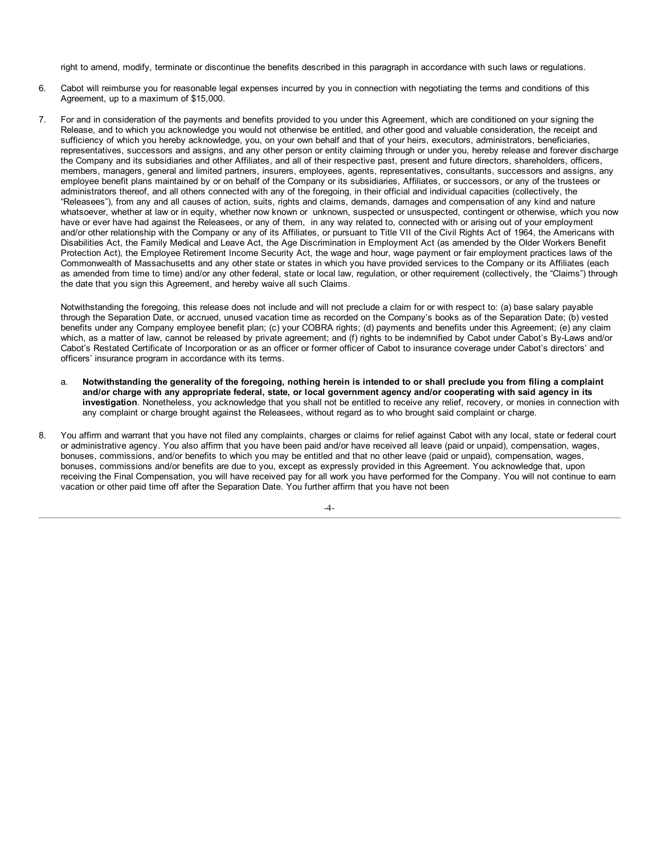right to amend, modify, terminate or discontinue the benefits described in this paragraph in accordance with such laws or regulations.

- 6. Cabot will reimburse you for reasonable legal expenses incurred by you in connection with negotiating the terms and conditions of this Agreement, up to a maximum of \$15,000.
- 7. For and in consideration of the payments and benefits provided to you under this Agreement, which are conditioned on your signing the Release, and to which you acknowledge you would not otherwise be entitled, and other good and valuable consideration, the receipt and sufficiency of which you hereby acknowledge, you, on your own behalf and that of your heirs, executors, administrators, beneficiaries, representatives, successors and assigns, and any other person or entity claiming through or under you, hereby release and forever discharge the Company and its subsidiaries and other Affiliates, and all of their respective past, present and future directors, shareholders, officers, members, managers, general and limited partners, insurers, employees, agents, representatives, consultants, successors and assigns, any employee benefit plans maintained by or on behalf of the Company or its subsidiaries, Affiliates, or successors, or any of the trustees or administrators thereof, and all others connected with any of the foregoing, in their official and individual capacities (collectively, the "Releasees"), from any and all causes of action, suits, rights and claims, demands, damages and compensation of any kind and nature whatsoever, whether at law or in equity, whether now known or unknown, suspected or unsuspected, contingent or otherwise, which you now have or ever have had against the Releasees, or any of them, in any way related to, connected with or arising out of your employment and/or other relationship with the Company or any of its Affiliates, or pursuant to Title VII of the Civil Rights Act of 1964, the Americans with Disabilities Act, the Family Medical and Leave Act, the Age Discrimination in Employment Act (as amended by the Older Workers Benefit Protection Act), the Employee Retirement Income Security Act, the wage and hour, wage payment or fair employment practices laws of the Commonwealth of Massachusetts and any other state or states in which you have provided services to the Company or its Affiliates (each as amended from time to time) and/or any other federal, state or local law, regulation, or other requirement (collectively, the "Claims") through the date that you sign this Agreement, and hereby waive all such Claims.

Notwithstanding the foregoing, this release does not include and will not preclude a claim for or with respect to: (a) base salary payable through the Separation Date, or accrued, unused vacation time as recorded on the Company's books as of the Separation Date; (b) vested benefits under any Company employee benefit plan; (c) your COBRA rights; (d) payments and benefits under this Agreement; (e) any claim which, as a matter of law, cannot be released by private agreement; and (f) rights to be indemnified by Cabot under Cabot's By-Laws and/or Cabot's Restated Certificate of Incorporation or as an officer or former officer of Cabot to insurance coverage under Cabot's directors' and officers' insurance program in accordance with its terms.

- a. Notwithstanding the generality of the foregoing, nothing herein is intended to or shall preclude you from filing a complaint and/or charge with any appropriate federal, state, or local government agency and/or cooperating with said agency in its **investigation**. Nonetheless, you acknowledge that you shall not be entitled to receive any relief, recovery, or monies in connection with any complaint or charge brought against the Releasees, without regard as to who brought said complaint or charge.
- 8. You affirm and warrant that you have not filed any complaints, charges or claims for relief against Cabot with any local, state or federal court or administrative agency. You also affirm that you have been paid and/or have received all leave (paid or unpaid), compensation, wages, bonuses, commissions, and/or benefits to which you may be entitled and that no other leave (paid or unpaid), compensation, wages, bonuses, commissions and/or benefits are due to you, except as expressly provided in this Agreement. You acknowledge that, upon receiving the Final Compensation, you will have received pay for all work you have performed for the Company. You will not continue to earn vacation or other paid time off after the Separation Date. You further affirm that you have not been

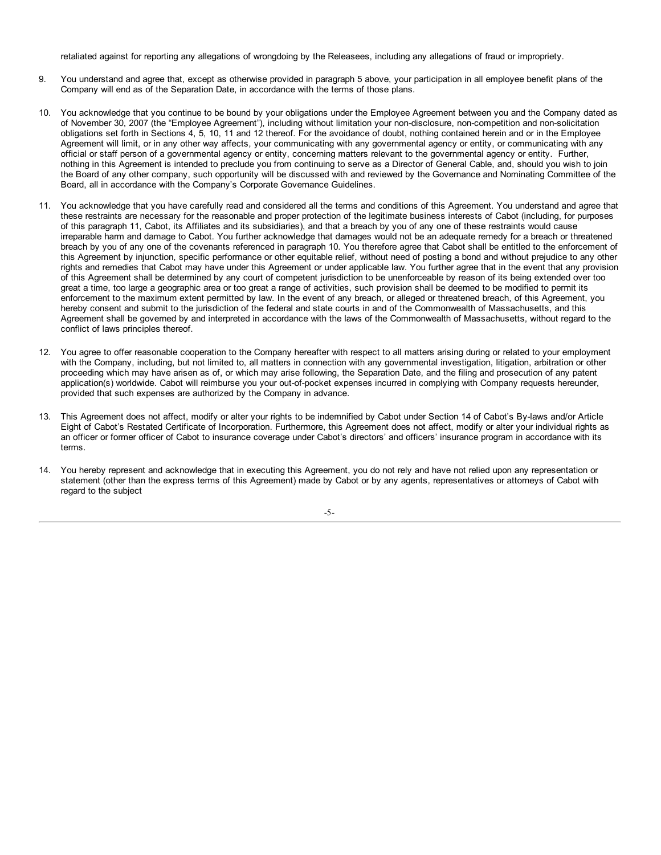retaliated against for reporting any allegations of wrongdoing by the Releasees, including any allegations of fraud or impropriety.

- 9. You understand and agree that, except as otherwise provided in paragraph 5 above, your participation in all employee benefit plans of the Company will end as of the Separation Date, in accordance with the terms of those plans.
- 10. You acknowledge that you continue to be bound by your obligations under the Employee Agreement between you and the Company dated as of November 30, 2007 (the "Employee Agreement"), including without limitation your non-disclosure, non-competition and non-solicitation obligations set forth in Sections 4, 5, 10, 11 and 12 thereof. For the avoidance of doubt, nothing contained herein and or in the Employee Agreement will limit, or in any other way affects, your communicating with any governmental agency or entity, or communicating with any official or staff person of a governmental agency or entity, concerning matters relevant to the governmental agency or entity. Further, nothing in this Agreement is intended to preclude you from continuing to serve as a Director of General Cable, and, should you wish to join the Board of any other company, such opportunity will be discussed with and reviewed by the Governance and Nominating Committee of the Board, all in accordance with the Company's Corporate Governance Guidelines.
- 11. You acknowledge that you have carefully read and considered all the terms and conditions of this Agreement. You understand and agree that these restraints are necessary for the reasonable and proper protection of the legitimate business interests of Cabot (including, for purposes of this paragraph 11, Cabot, its Affiliates and its subsidiaries), and that a breach by you of any one of these restraints would cause irreparable harm and damage to Cabot. You further acknowledge that damages would not be an adequate remedy for a breach or threatened breach by you of any one of the covenants referenced in paragraph 10. You therefore agree that Cabot shall be entitled to the enforcement of this Agreement by injunction, specific performance or other equitable relief, without need of posting a bond and without prejudice to any other rights and remedies that Cabot may have under this Agreement or under applicable law. You further agree that in the event that any provision of this Agreement shall be determined by any court of competent jurisdiction to be unenforceable by reason of its being extended over too great a time, too large a geographic area or too great a range of activities, such provision shall be deemed to be modified to permit its enforcement to the maximum extent permitted by law. In the event of any breach, or alleged or threatened breach, of this Agreement, you hereby consent and submit to the jurisdiction of the federal and state courts in and of the Commonwealth of Massachusetts, and this Agreement shall be governed by and interpreted in accordance with the laws of the Commonwealth of Massachusetts, without regard to the conflict of laws principles thereof.
- 12. You agree to offer reasonable cooperation to the Company hereafter with respect to all matters arising during or related to your employment with the Company, including, but not limited to, all matters in connection with any governmental investigation, litigation, arbitration or other proceeding which may have arisen as of, or which may arise following, the Separation Date, and the filing and prosecution of any patent application(s) worldwide. Cabot will reimburse you your out-of-pocket expenses incurred in complying with Company requests hereunder, provided that such expenses are authorized by the Company in advance.
- 13. This Agreement does not affect, modify or alter your rights to be indemnified by Cabot under Section 14 of Cabot's By-laws and/or Article Eight of Cabot's Restated Certificate of Incorporation. Furthermore, this Agreement does not affect, modify or alter your individual rights as an officer or former officer of Cabot to insurance coverage under Cabot's directors' and officers' insurance program in accordance with its terms.
- 14. You hereby represent and acknowledge that in executing this Agreement, you do not rely and have not relied upon any representation or statement (other than the express terms of this Agreement) made by Cabot or by any agents, representatives or attorneys of Cabot with regard to the subject

-5-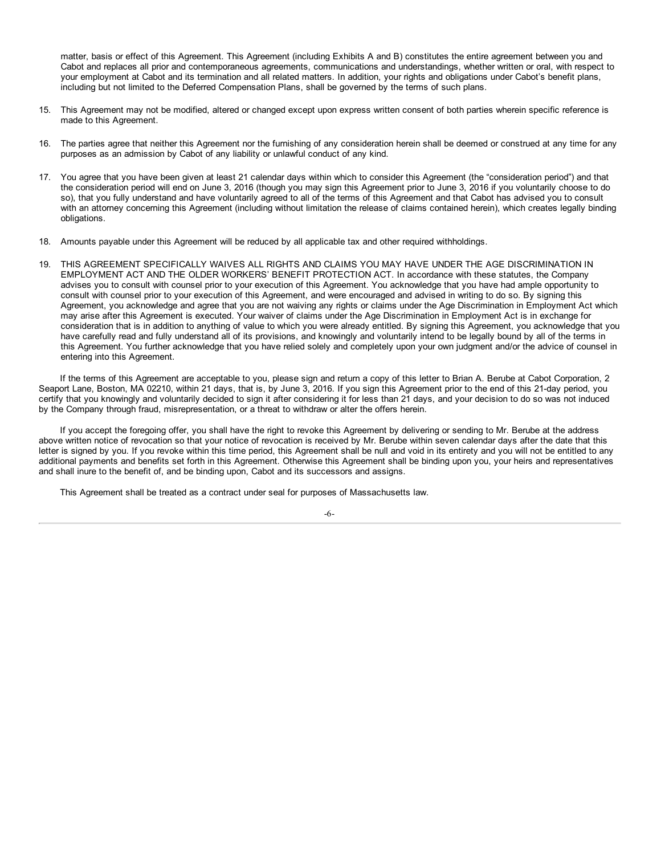matter, basis or effect of this Agreement. This Agreement (including Exhibits A and B) constitutes the entire agreement between you and Cabot and replaces all prior and contemporaneous agreements, communications and understandings, whether written or oral, with respect to your employment at Cabot and its termination and all related matters. In addition, your rights and obligations under Cabot's benefit plans, including but not limited to the Deferred Compensation Plans, shall be governed by the terms of such plans.

- 15. This Agreement may not be modified, altered or changed except upon express written consent of both parties wherein specific reference is made to this Agreement.
- 16. The parties agree that neither this Agreement nor the furnishing of any consideration herein shall be deemed or construed at any time for any purposes as an admission by Cabot of any liability or unlawful conduct of any kind.
- 17. You agree that you have been given at least 21 calendar days within which to consider this Agreement (the "consideration period") and that the consideration period will end on June 3, 2016 (though you may sign this Agreement prior to June 3, 2016 if you voluntarily choose to do so), that you fully understand and have voluntarily agreed to all of the terms of this Agreement and that Cabot has advised you to consult with an attorney concerning this Agreement (including without limitation the release of claims contained herein), which creates legally binding obligations.
- 18. Amounts payable under this Agreement will be reduced by all applicable tax and other required withholdings.
- 19. THIS AGREEMENT SPECIFICALLY WAIVES ALL RIGHTS AND CLAIMS YOU MAY HAVE UNDER THE AGE DISCRIMINATION IN EMPLOYMENT ACT AND THE OLDER WORKERS' BENEFIT PROTECTION ACT. In accordance with these statutes, the Company advises you to consult with counsel prior to your execution of this Agreement. You acknowledge that you have had ample opportunity to consult with counsel prior to your execution of this Agreement, and were encouraged and advised in writing to do so. By signing this Agreement, you acknowledge and agree that you are not waiving any rights or claims under the Age Discrimination in Employment Act which may arise after this Agreement is executed. Your waiver of claims under the Age Discrimination in Employment Act is in exchange for consideration that is in addition to anything of value to which you were already entitled. By signing this Agreement, you acknowledge that you have carefully read and fully understand all of its provisions, and knowingly and voluntarily intend to be legally bound by all of the terms in this Agreement. You further acknowledge that you have relied solely and completely upon your own judgment and/or the advice of counsel in entering into this Agreement.

If the terms of this Agreement are acceptable to you, please sign and return a copy of this letter to Brian A. Berube at Cabot Corporation, 2 Seaport Lane, Boston, MA 02210, within 21 days, that is, by June 3, 2016. If you sign this Agreement prior to the end of this 21-day period, you certify that you knowingly and voluntarily decided to sign it after considering it for less than 21 days, and your decision to do so was not induced by the Company through fraud, misrepresentation, or a threat to withdraw or alter the offers herein.

If you accept the foregoing offer, you shall have the right to revoke this Agreement by delivering or sending to Mr. Berube at the address above written notice of revocation so that your notice of revocation is received by Mr. Berube within seven calendar days after the date that this letter is signed by you. If you revoke within this time period, this Agreement shall be null and void in its entirety and you will not be entitled to any additional payments and benefits set forth in this Agreement. Otherwise this Agreement shall be binding upon you, your heirs and representatives and shall inure to the benefit of, and be binding upon, Cabot and its successors and assigns.

This Agreement shall be treated as a contract under seal for purposes of Massachusetts law.

-6-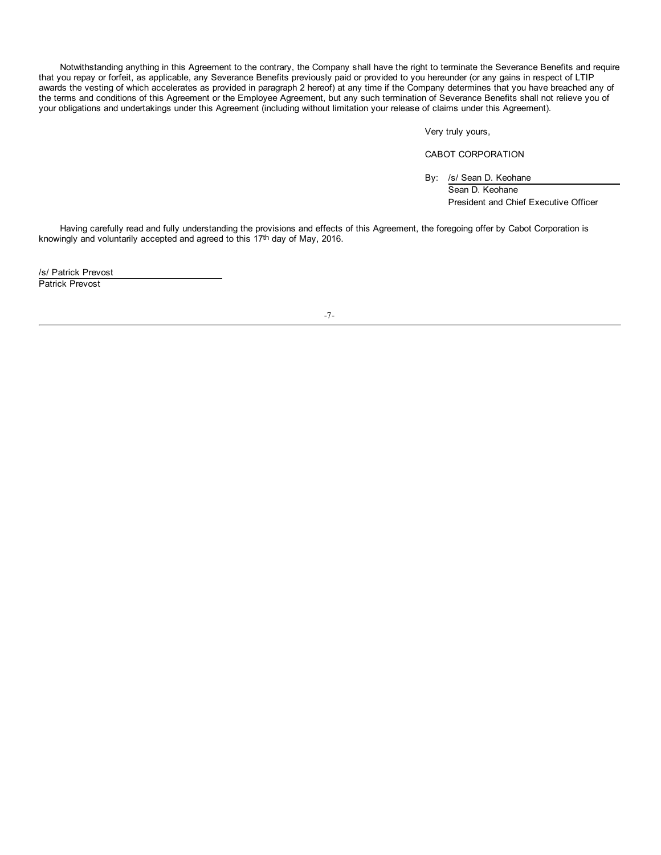Notwithstanding anything in this Agreement to the contrary, the Company shall have the right to terminate the Severance Benefits and require that you repay or forfeit, as applicable, any Severance Benefits previously paid or provided to you hereunder (or any gains in respect of LTIP awards the vesting of which accelerates as provided in paragraph 2 hereof) at any time if the Company determines that you have breached any of the terms and conditions of this Agreement or the Employee Agreement, but any such termination of Severance Benefits shall not relieve you of your obligations and undertakings under this Agreement (including without limitation your release of claims under this Agreement).

Very truly yours,

CABOT CORPORATION

By: /s/ Sean D. Keohane Sean D. Keohane

President and Chief Executive Officer

Having carefully read and fully understanding the provisions and effects of this Agreement, the foregoing offer by Cabot Corporation is knowingly and voluntarily accepted and agreed to this 17th day of May, 2016.

/s/ Patrick Prevost Patrick Prevost

-7-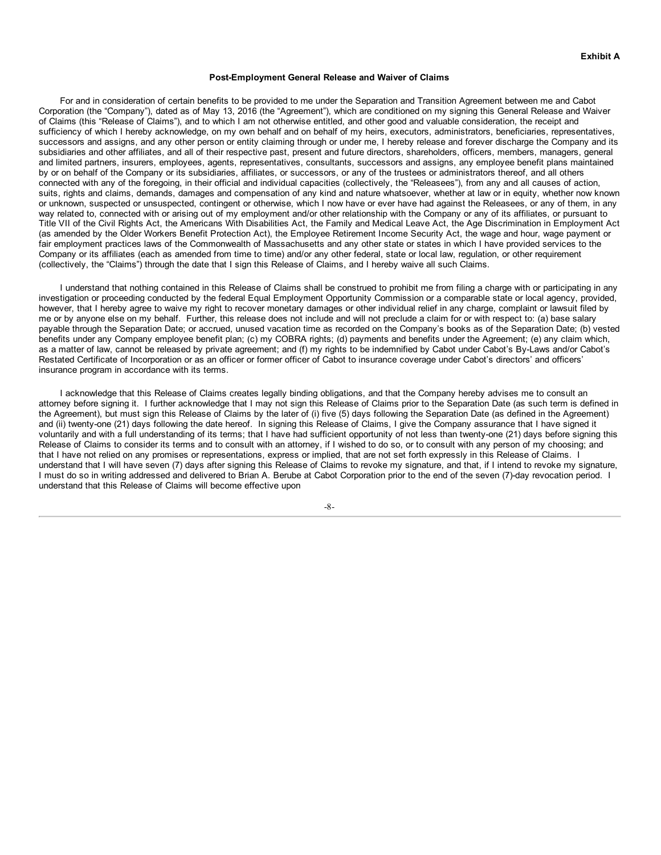# **Post-Employment General Release and Waiver of Claims**

For and in consideration of certain benefits to be provided to me under the Separation and Transition Agreement between me and Cabot Corporation (the "Company"), dated as of May 13, 2016 (the "Agreement"), which are conditioned on my signing this General Release and Waiver of Claims (this "Release of Claims"), and to which I am not otherwise entitled, and other good and valuable consideration, the receipt and sufficiency of which I hereby acknowledge, on my own behalf and on behalf of my heirs, executors, administrators, beneficiaries, representatives, successors and assigns, and any other person or entity claiming through or under me, I hereby release and forever discharge the Company and its subsidiaries and other affiliates, and all of their respective past, present and future directors, shareholders, officers, members, managers, general and limited partners, insurers, employees, agents, representatives, consultants, successors and assigns, any employee benefit plans maintained by or on behalf of the Company or its subsidiaries, affiliates, or successors, or any of the trustees or administrators thereof, and all others connected with any of the foregoing, in their official and individual capacities (collectively, the "Releasees"), from any and all causes of action, suits, rights and claims, demands, damages and compensation of any kind and nature whatsoever, whether at law or in equity, whether now known or unknown, suspected or unsuspected, contingent or otherwise, which I now have or ever have had against the Releasees, or any of them, in any way related to, connected with or arising out of my employment and/or other relationship with the Company or any of its affiliates, or pursuant to Title VII of the Civil Rights Act, the Americans With Disabilities Act, the Family and Medical Leave Act, the Age Discrimination in Employment Act (as amended by the Older Workers Benefit Protection Act), the Employee Retirement Income Security Act, the wage and hour, wage payment or fair employment practices laws of the Commonwealth of Massachusetts and any other state or states in which I have provided services to the Company or its affiliates (each as amended from time to time) and/or any other federal, state or local law, regulation, or other requirement (collectively, the "Claims") through the date that I sign this Release of Claims, and I hereby waive all such Claims.

I understand that nothing contained in this Release of Claims shall be construed to prohibit me from filing a charge with or participating in any investigation or proceeding conducted by the federal Equal Employment Opportunity Commission or a comparable state or local agency, provided, however, that I hereby agree to waive my right to recover monetary damages or other individual relief in any charge, complaint or lawsuit filed by me or by anyone else on my behalf. Further, this release does not include and will not preclude a claim for or with respect to: (a) base salary payable through the Separation Date; or accrued, unused vacation time as recorded on the Company's books as of the Separation Date; (b) vested benefits under any Company employee benefit plan; (c) my COBRA rights; (d) payments and benefits under the Agreement; (e) any claim which, as a matter of law, cannot be released by private agreement; and (f) my rights to be indemnified by Cabot under Cabot's By-Laws and/or Cabot's Restated Certificate of Incorporation or as an officer or former officer of Cabot to insurance coverage under Cabot's directors' and officers' insurance program in accordance with its terms.

I acknowledge that this Release of Claims creates legally binding obligations, and that the Company hereby advises me to consult an attorney before signing it. I further acknowledge that I may not sign this Release of Claims prior to the Separation Date (as such term is defined in the Agreement), but must sign this Release of Claims by the later of (i) five (5) days following the Separation Date (as defined in the Agreement) and (ii) twenty-one (21) days following the date hereof. In signing this Release of Claims, I give the Company assurance that I have signed it voluntarily and with a full understanding of its terms; that I have had sufficient opportunity of not less than twenty-one (21) days before signing this Release of Claims to consider its terms and to consult with an attorney, if I wished to do so, or to consult with any person of my choosing; and that I have not relied on any promises or representations, express or implied, that are not set forth expressly in this Release of Claims. I understand that I will have seven (7) days after signing this Release of Claims to revoke my signature, and that, if I intend to revoke my signature, I must do so in writing addressed and delivered to Brian A. Berube at Cabot Corporation prior to the end of the seven (7)-day revocation period. I understand that this Release of Claims will become effective upon

-8-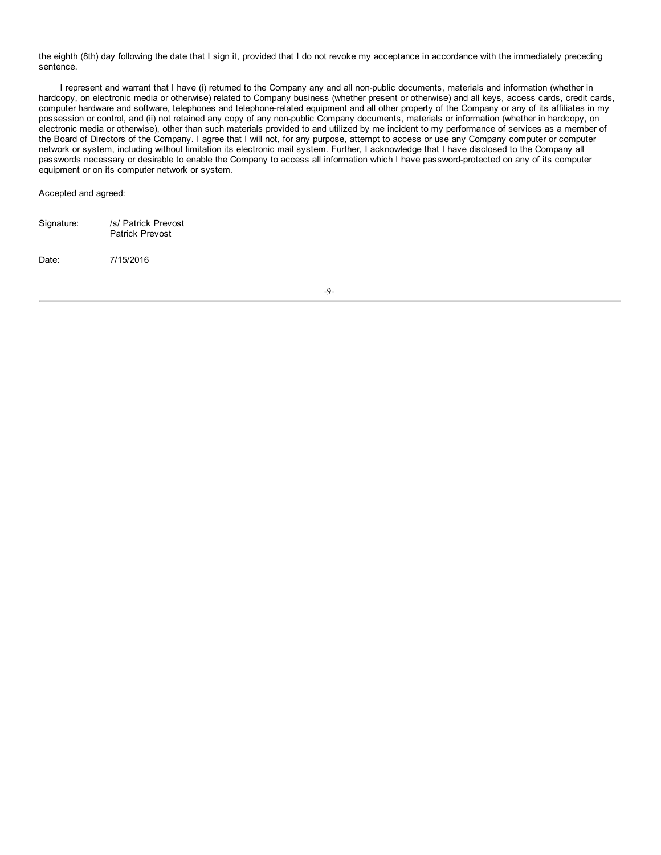the eighth (8th) day following the date that I sign it, provided that I do not revoke my acceptance in accordance with the immediately preceding sentence.

I represent and warrant that I have (i) returned to the Company any and all non-public documents, materials and information (whether in hardcopy, on electronic media or otherwise) related to Company business (whether present or otherwise) and all keys, access cards, credit cards, computer hardware and software, telephones and telephone-related equipment and all other property of the Company or any of its affiliates in my possession or control, and (ii) not retained any copy of any non-public Company documents, materials or information (whether in hardcopy, on electronic media or otherwise), other than such materials provided to and utilized by me incident to my performance of services as a member of the Board of Directors of the Company. I agree that I will not, for any purpose, attempt to access or use any Company computer or computer network or system, including without limitation its electronic mail system. Further, I acknowledge that I have disclosed to the Company all passwords necessary or desirable to enable the Company to access all information which I have password-protected on any of its computer equipment or on its computer network or system.

Accepted and agreed:

Signature: /s/ Patrick Prevost Patrick Prevost

Date: 7/15/2016

-9-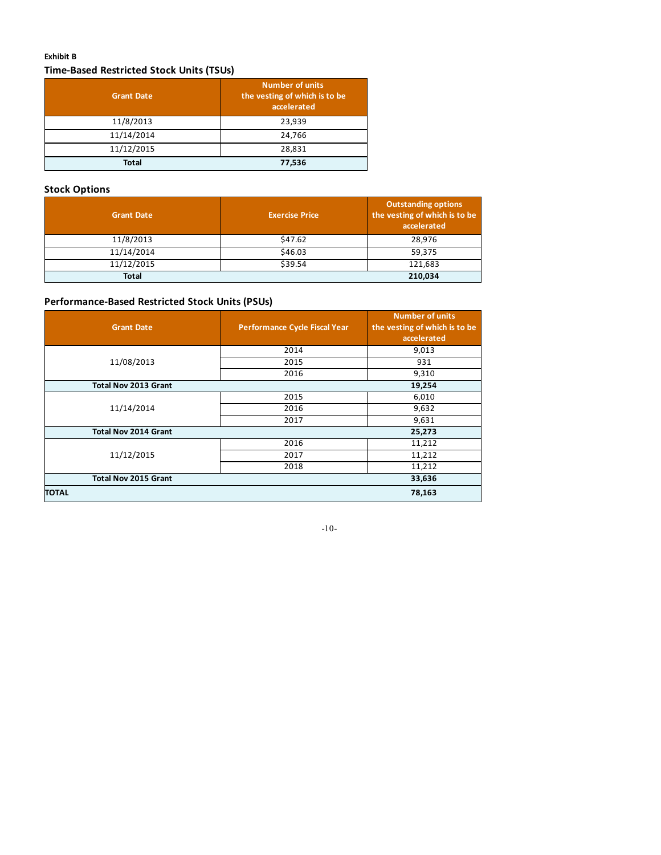# **Exhibit B**

# **Time-Based Restricted Stock Units (TSUs)**

| <b>Grant Date</b> | Number of units<br>the vesting of which is to be<br>accelerated |
|-------------------|-----------------------------------------------------------------|
| 11/8/2013         | 23,939                                                          |
| 11/14/2014        | 24,766                                                          |
| 11/12/2015        | 28,831                                                          |
| <b>Total</b>      | 77,536                                                          |

# **Stock Options**

| <b>Grant Date</b> | <b>Exercise Price</b> | <b>Outstanding options</b><br>the vesting of which is to be<br>accelerated |
|-------------------|-----------------------|----------------------------------------------------------------------------|
| 11/8/2013         | \$47.62               | 28,976                                                                     |
| 11/14/2014        | \$46.03               | 59,375                                                                     |
| 11/12/2015        | \$39.54               | 121,683                                                                    |
| <b>Total</b>      |                       | 210,034                                                                    |

# **Performance-Based Restricted Stock Units (PSUs)**

| <b>Grant Date</b>           | <b>Performance Cycle Fiscal Year</b> | <b>Number of units</b><br>the vesting of which is to be<br>accelerated |
|-----------------------------|--------------------------------------|------------------------------------------------------------------------|
| 11/08/2013                  | 2014                                 | 9,013                                                                  |
|                             | 2015                                 | 931                                                                    |
|                             | 2016                                 | 9,310                                                                  |
| <b>Total Nov 2013 Grant</b> |                                      | 19,254                                                                 |
| 11/14/2014                  | 2015                                 | 6,010                                                                  |
|                             | 2016                                 | 9,632                                                                  |
|                             | 2017                                 | 9,631                                                                  |
| <b>Total Nov 2014 Grant</b> |                                      | 25,273                                                                 |
| 11/12/2015                  | 2016                                 | 11,212                                                                 |
|                             | 2017                                 | 11,212                                                                 |
|                             | 2018                                 | 11,212                                                                 |
| <b>Total Nov 2015 Grant</b> |                                      | 33,636                                                                 |
| <b>TOTAL</b>                |                                      | 78,163                                                                 |

-10-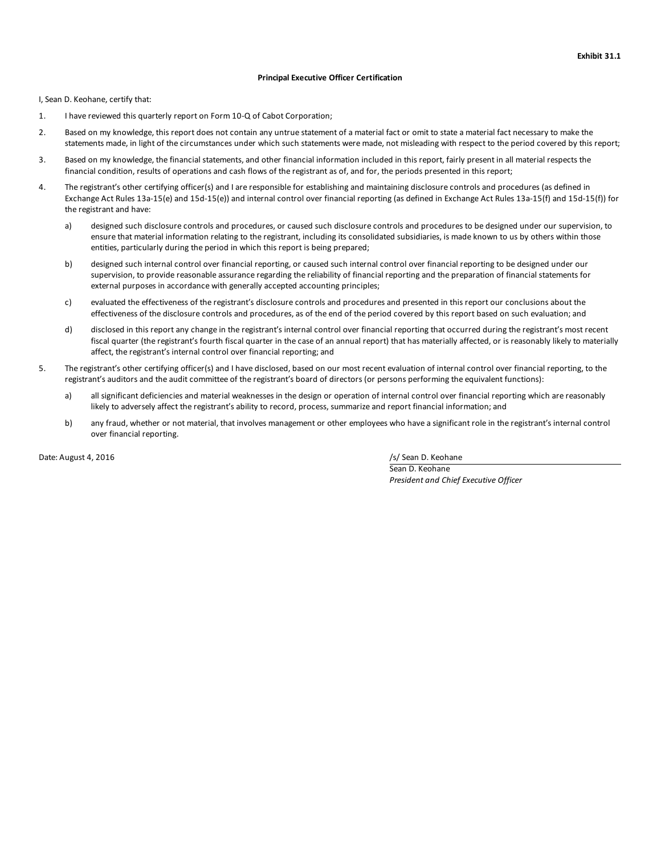#### **Principal Executive Officer Certification**

I, Sean D. Keohane, certify that:

- 1. I have reviewed this quarterly report on Form 10-Q of Cabot Corporation;
- 2. Based on my knowledge, this report does not contain any untrue statement of a material fact or omit to state a material fact necessary to make the statements made, in light of the circumstances under which such statements were made, not misleading with respect to the period covered by this report;
- 3. Based on my knowledge, the financial statements, and other financial information included in this report, fairly present in all material respects the financial condition, results of operations and cash flows of the registrant as of, and for, the periods presented in this report;
- 4. The registrant's other certifying officer(s) and I are responsible for establishing and maintaining disclosure controls and procedures (as defined in Exchange Act Rules 13a-15(e) and 15d-15(e)) and internal control over financial reporting (as defined in Exchange Act Rules 13a-15(f) and 15d-15(f)) for the registrant and have:
	- a) designed such disclosure controls and procedures, or caused such disclosure controls and procedures to be designed under our supervision, to ensure that material information relating to the registrant, including its consolidated subsidiaries, is made known to us by others within those entities, particularly during the period in which this report is being prepared;
	- b) designed such internal control over financial reporting, or caused such internal control over financial reporting to be designed under our supervision, to provide reasonable assurance regarding the reliability of financial reporting and the preparation of financial statements for external purposes in accordance with generally accepted accounting principles;
	- c) evaluated the effectiveness of the registrant's disclosure controls and procedures and presented in this report our conclusions about the effectiveness of the disclosure controls and procedures, as of the end of the period covered by this report based on such evaluation; and
	- d) disclosed in this report any change in the registrant's internal control over financial reporting that occurred during the registrant's most recent fiscal quarter (the registrant's fourth fiscal quarter in the case of an annual report) that has materially affected, or is reasonably likely to materially affect, the registrant's internal control over financial reporting; and
- 5. The registrant's other certifying officer(s) and I have disclosed, based on our most recent evaluation of internal control over financial reporting, to the registrant's auditors and the audit committee of the registrant's board of directors (or persons performing the equivalent functions):
	- a) all significant deficiencies and material weaknesses in the design or operation of internal control over financial reporting which are reasonably likely to adversely affect the registrant's ability to record, process, summarize and report financial information; and
	- b) any fraud, whether or not material, that involves management or other employees who have a significant role in the registrant's internal control over financial reporting.

Date: August 4, 2016 *Date: August 4, 2016 Journal August 4, 2016 Journal August 4, 2016* 

Sean D. Keohane *President and Chief Executive Officer*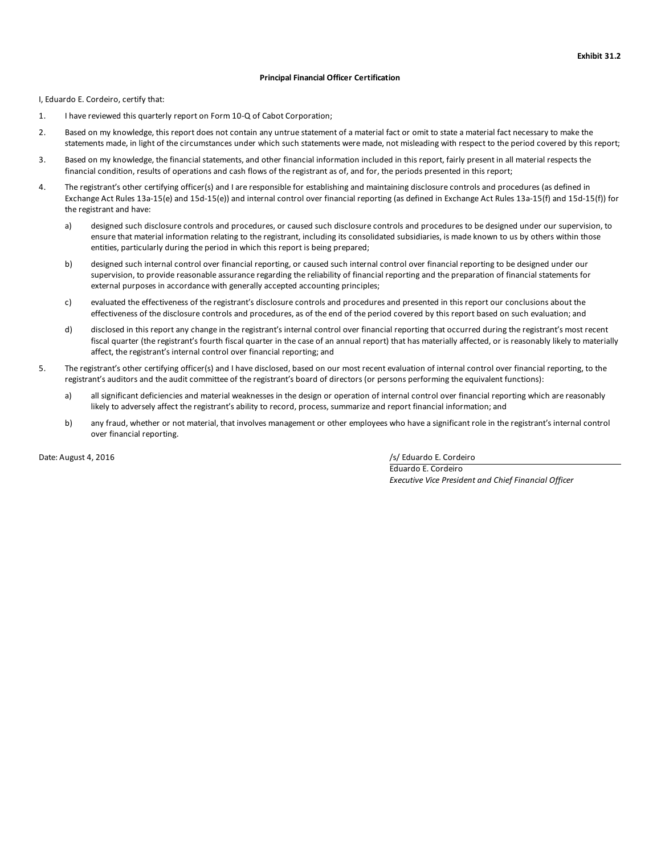#### **Principal Financial Officer Certification**

I, Eduardo E. Cordeiro, certify that:

- 1. I have reviewed this quarterly report on Form 10-Q of Cabot Corporation;
- 2. Based on my knowledge, this report does not contain any untrue statement of a material fact or omit to state a material fact necessary to make the statements made, in light of the circumstances under which such statements were made, not misleading with respect to the period covered by this report;
- 3. Based on my knowledge, the financial statements, and other financial information included in this report, fairly present in all material respects the financial condition, results of operations and cash flows of the registrant as of, and for, the periods presented in this report;
- 4. The registrant's other certifying officer(s) and I are responsible for establishing and maintaining disclosure controls and procedures (as defined in Exchange Act Rules 13a-15(e) and 15d-15(e)) and internal control over financial reporting (as defined in Exchange Act Rules 13a-15(f) and 15d-15(f)) for the registrant and have:
	- a) designed such disclosure controls and procedures, or caused such disclosure controls and procedures to be designed under our supervision, to ensure that material information relating to the registrant, including its consolidated subsidiaries, is made known to us by others within those entities, particularly during the period in which this report is being prepared;
	- b) designed such internal control over financial reporting, or caused such internal control over financial reporting to be designed under our supervision, to provide reasonable assurance regarding the reliability of financial reporting and the preparation of financial statements for external purposes in accordance with generally accepted accounting principles;
	- c) evaluated the effectiveness of the registrant's disclosure controls and procedures and presented in this report our conclusions about the effectiveness of the disclosure controls and procedures, as of the end of the period covered by this report based on such evaluation; and
	- d) disclosed in this report any change in the registrant's internal control over financial reporting that occurred during the registrant's most recent fiscal quarter (the registrant's fourth fiscal quarter in the case of an annual report) that has materially affected, or is reasonably likely to materially affect, the registrant's internal control over financial reporting; and
- 5. The registrant's other certifying officer(s) and I have disclosed, based on our most recent evaluation of internal control over financial reporting, to the registrant's auditors and the audit committee of the registrant's board of directors (or persons performing the equivalent functions):
	- a) all significant deficiencies and material weaknesses in the design or operation of internal control over financial reporting which are reasonably likely to adversely affect the registrant's ability to record, process, summarize and report financial information; and
	- b) any fraud, whether or not material, that involves management or other employees who have a significant role in the registrant's internal control over financial reporting.

Date: August 4, 2016 /s/ Eduardo E. Cordeiro

Eduardo E. Cordeiro *Executive Vice President and Chief Financial Officer*